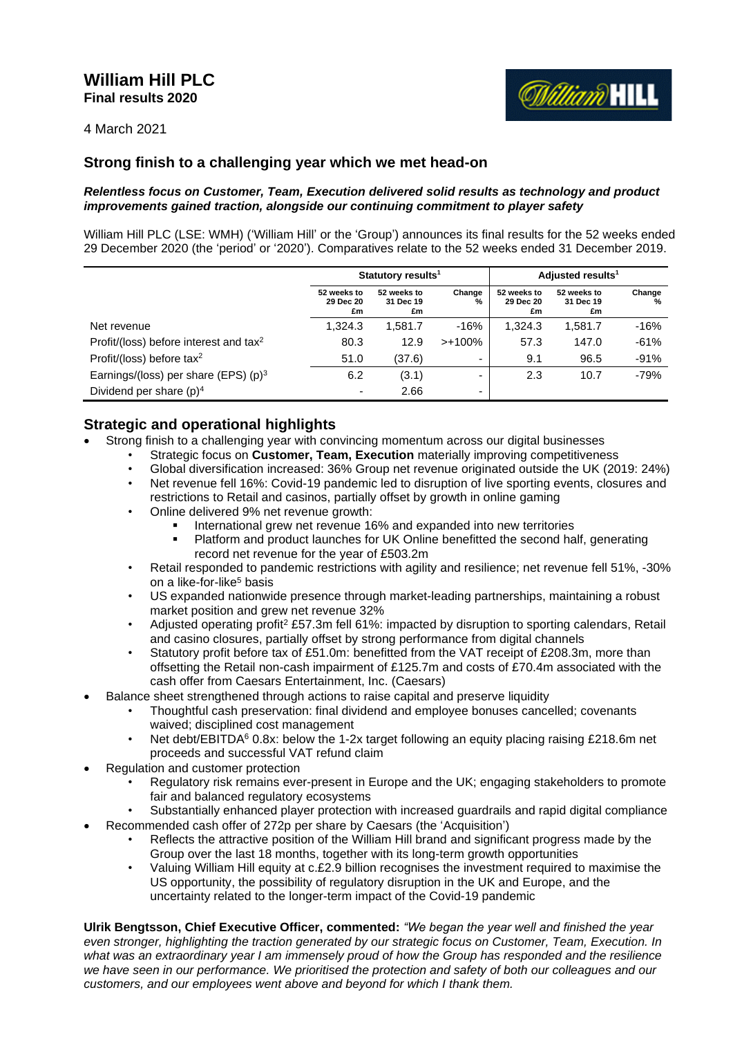# **William Hill PLC Final results 2020**



4 March 2021

# **Strong finish to a challenging year which we met head-on**

# *Relentless focus on Customer, Team, Execution delivered solid results as technology and product improvements gained traction, alongside our continuing commitment to player safety*

William Hill PLC (LSE: WMH) ('William Hill' or the 'Group') announces its final results for the 52 weeks ended 29 December 2020 (the 'period' or '2020'). Comparatives relate to the 52 weeks ended 31 December 2019.

|                                                    |                                | Statutory results <sup>1</sup> |             | Adjusted results <sup>1</sup>  |                                |             |  |
|----------------------------------------------------|--------------------------------|--------------------------------|-------------|--------------------------------|--------------------------------|-------------|--|
|                                                    | 52 weeks to<br>29 Dec 20<br>£m | 52 weeks to<br>31 Dec 19<br>£m | Change<br>% | 52 weeks to<br>29 Dec 20<br>£m | 52 weeks to<br>31 Dec 19<br>£m | Change<br>% |  |
| Net revenue                                        | 1.324.3                        | 1,581.7                        | $-16%$      | 1.324.3                        | 1,581.7                        | $-16%$      |  |
| Profit/(loss) before interest and tax <sup>2</sup> | 80.3                           | 12.9                           | $>+100\%$   | 57.3                           | 147.0                          | $-61%$      |  |
| Profit/(loss) before tax <sup>2</sup>              | 51.0                           | (37.6)                         | -           | 9.1                            | 96.5                           | $-91%$      |  |
| Earnings/(loss) per share (EPS) $(p)^3$            | 6.2                            | (3.1)                          | -           | 2.3                            | 10.7                           | $-79%$      |  |
| Dividend per share $(p)^4$                         | $\overline{\phantom{0}}$       | 2.66                           | -           |                                |                                |             |  |

# **Strategic and operational highlights**

- Strong finish to a challenging year with convincing momentum across our digital businesses
	- Strategic focus on **Customer, Team, Execution** materially improving competitiveness
		- Global diversification increased: 36% Group net revenue originated outside the UK (2019: 24%)
		- Net revenue fell 16%: Covid-19 pandemic led to disruption of live sporting events, closures and restrictions to Retail and casinos, partially offset by growth in online gaming
		- Online delivered 9% net revenue growth:
			- International grew net revenue 16% and expanded into new territories
			- Platform and product launches for UK Online benefitted the second half, generating record net revenue for the year of £503.2m
		- Retail responded to pandemic restrictions with agility and resilience; net revenue fell 51%, -30% on a like-for-like<sup>5</sup> basis
		- US expanded nationwide presence through market-leading partnerships, maintaining a robust market position and grew net revenue 32%
		- Adjusted operating profit<sup>2</sup> £57.3m fell 61%: impacted by disruption to sporting calendars, Retail and casino closures, partially offset by strong performance from digital channels
		- Statutory profit before tax of £51.0m: benefitted from the VAT receipt of £208.3m, more than offsetting the Retail non-cash impairment of £125.7m and costs of £70.4m associated with the cash offer from Caesars Entertainment, Inc. (Caesars)
- Balance sheet strengthened through actions to raise capital and preserve liquidity
	- Thoughtful cash preservation: final dividend and employee bonuses cancelled; covenants waived; disciplined cost management
	- Net debt/EBITDA<sup>6</sup> 0.8x: below the 1-2x target following an equity placing raising £218.6m net proceeds and successful VAT refund claim
- Regulation and customer protection
	- Regulatory risk remains ever-present in Europe and the UK; engaging stakeholders to promote fair and balanced regulatory ecosystems
	- Substantially enhanced player protection with increased guardrails and rapid digital compliance
- Recommended cash offer of 272p per share by Caesars (the 'Acquisition')
	- Reflects the attractive position of the William Hill brand and significant progress made by the Group over the last 18 months, together with its long-term growth opportunities
	- Valuing William Hill equity at c.£2.9 billion recognises the investment required to maximise the US opportunity, the possibility of regulatory disruption in the UK and Europe, and the uncertainty related to the longer-term impact of the Covid-19 pandemic

**Ulrik Bengtsson, Chief Executive Officer, commented:** *"We began the year well and finished the year even stronger, highlighting the traction generated by our strategic focus on Customer, Team, Execution. In what was an extraordinary year I am immensely proud of how the Group has responded and the resilience we have seen in our performance. We prioritised the protection and safety of both our colleagues and our customers, and our employees went above and beyond for which I thank them.*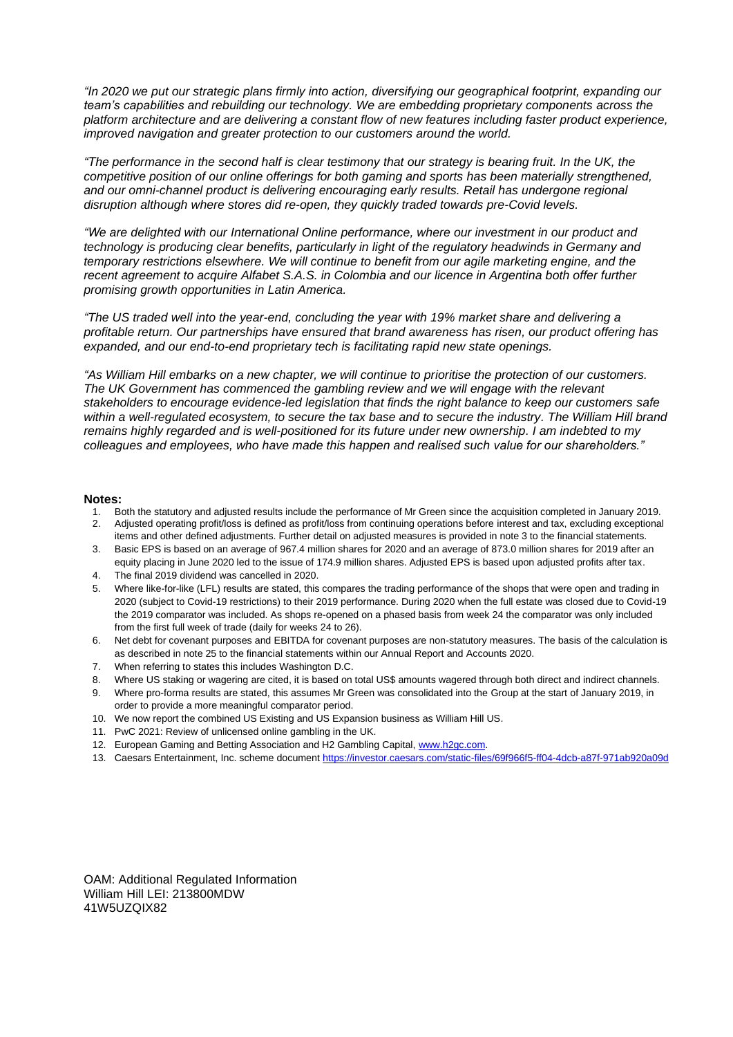*"In 2020 we put our strategic plans firmly into action, diversifying our geographical footprint, expanding our team's capabilities and rebuilding our technology. We are embedding proprietary components across the platform architecture and are delivering a constant flow of new features including faster product experience, improved navigation and greater protection to our customers around the world.*

*"The performance in the second half is clear testimony that our strategy is bearing fruit. In the UK, the competitive position of our online offerings for both gaming and sports has been materially strengthened, and our omni-channel product is delivering encouraging early results. Retail has undergone regional disruption although where stores did re-open, they quickly traded towards pre-Covid levels.*

*"We are delighted with our International Online performance, where our investment in our product and technology is producing clear benefits, particularly in light of the regulatory headwinds in Germany and temporary restrictions elsewhere. We will continue to benefit from our agile marketing engine, and the recent agreement to acquire Alfabet S.A.S. in Colombia and our licence in Argentina both offer further promising growth opportunities in Latin America.*

*"The US traded well into the year-end, concluding the year with 19% market share and delivering a profitable return. Our partnerships have ensured that brand awareness has risen, our product offering has expanded, and our end-to-end proprietary tech is facilitating rapid new state openings.*

*"As William Hill embarks on a new chapter, we will continue to prioritise the protection of our customers. The UK Government has commenced the gambling review and we will engage with the relevant stakeholders to encourage evidence-led legislation that finds the right balance to keep our customers safe within a well-regulated ecosystem, to secure the tax base and to secure the industry. The William Hill brand remains highly regarded and is well-positioned for its future under new ownership. I am indebted to my colleagues and employees, who have made this happen and realised such value for our shareholders."*

### **Notes:**

- 1. Both the statutory and adjusted results include the performance of Mr Green since the acquisition completed in January 2019.
- 2. Adjusted operating profit/loss is defined as profit/loss from continuing operations before interest and tax, excluding exceptional items and other defined adjustments. Further detail on adjusted measures is provided in note 3 to the financial statements.
- 3. Basic EPS is based on an average of 967.4 million shares for 2020 and an average of 873.0 million shares for 2019 after an equity placing in June 2020 led to the issue of 174.9 million shares. Adjusted EPS is based upon adjusted profits after tax.
- 4. The final 2019 dividend was cancelled in 2020.
- 5. Where like-for-like (LFL) results are stated, this compares the trading performance of the shops that were open and trading in 2020 (subject to Covid-19 restrictions) to their 2019 performance. During 2020 when the full estate was closed due to Covid-19 the 2019 comparator was included. As shops re-opened on a phased basis from week 24 the comparator was only included from the first full week of trade (daily for weeks 24 to 26).
- 6. Net debt for covenant purposes and EBITDA for covenant purposes are non-statutory measures. The basis of the calculation is as described in note 25 to the financial statements within our Annual Report and Accounts 2020.
- 7. When referring to states this includes Washington D.C.
- 8. Where US staking or wagering are cited, it is based on total US\$ amounts wagered through both direct and indirect channels.
- 9. Where pro-forma results are stated, this assumes Mr Green was consolidated into the Group at the start of January 2019, in order to provide a more meaningful comparator period.
- 10. We now report the combined US Existing and US Expansion business as William Hill US.
- 11. PwC 2021: Review of unlicensed online gambling in the UK.
- 12. European Gaming and Betting Association and H2 Gambling Capital, [www.h2gc.com.](http://www.h2gc.com/)
- 13. Caesars Entertainment, Inc. scheme document<https://investor.caesars.com/static-files/69f966f5-ff04-4dcb-a87f-971ab920a09d>

OAM: Additional Regulated Information William Hill LEI: 213800MDW 41W5UZQIX82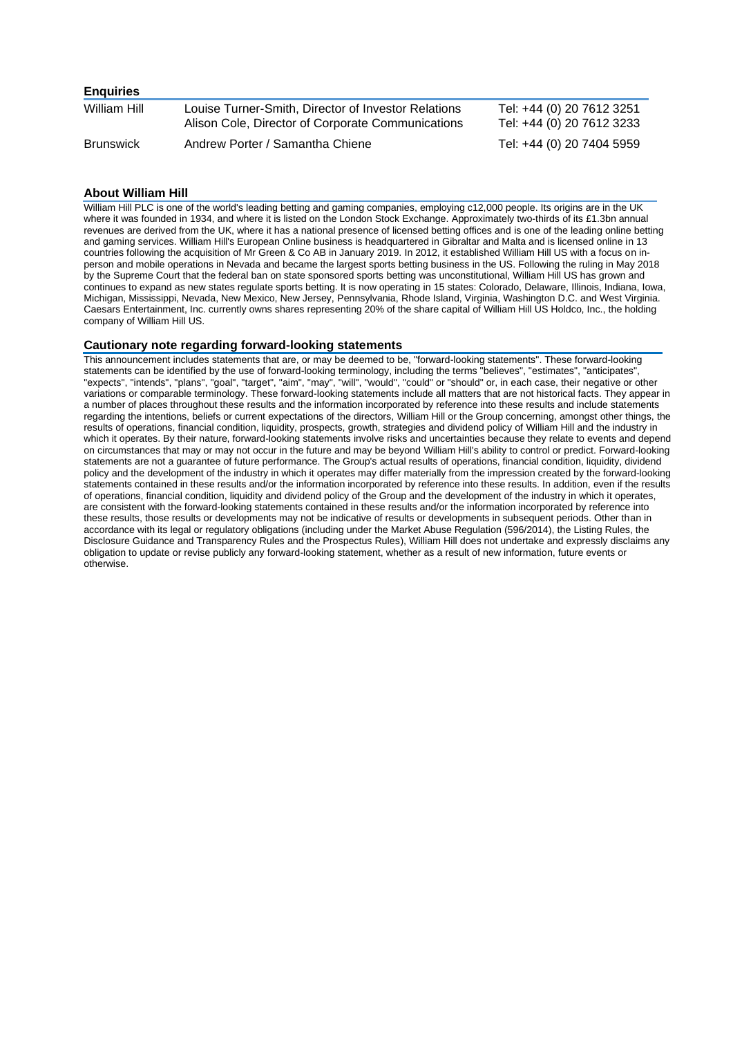| <b>Enquiries</b> |                                                                                                          |                                                        |
|------------------|----------------------------------------------------------------------------------------------------------|--------------------------------------------------------|
| William Hill     | Louise Turner-Smith, Director of Investor Relations<br>Alison Cole, Director of Corporate Communications | Tel: +44 (0) 20 7612 3251<br>Tel: +44 (0) 20 7612 3233 |
| <b>Brunswick</b> | Andrew Porter / Samantha Chiene                                                                          | Tel: +44 (0) 20 7404 5959                              |

### **About William Hill**

William Hill PLC is one of the world's leading betting and gaming companies, employing c12,000 people. Its origins are in the UK where it was founded in 1934, and where it is listed on the London Stock Exchange. Approximately two-thirds of its £1.3bn annual revenues are derived from the UK, where it has a national presence of licensed betting offices and is one of the leading online betting and gaming services. William Hill's European Online business is headquartered in Gibraltar and Malta and is licensed online in 13 countries following the acquisition of Mr Green & Co AB in January 2019. In 2012, it established William Hill US with a focus on inperson and mobile operations in Nevada and became the largest sports betting business in the US. Following the ruling in May 2018 by the Supreme Court that the federal ban on state sponsored sports betting was unconstitutional, William Hill US has grown and continues to expand as new states regulate sports betting. It is now operating in 15 states: Colorado, Delaware, Illinois, Indiana, Iowa, Michigan, Mississippi, Nevada, New Mexico, New Jersey, Pennsylvania, Rhode Island, Virginia, Washington D.C. and West Virginia. Caesars Entertainment, Inc. currently owns shares representing 20% of the share capital of William Hill US Holdco, Inc., the holding company of William Hill US.

### **Cautionary note regarding forward-looking statements**

This announcement includes statements that are, or may be deemed to be, "forward-looking statements". These forward-looking statements can be identified by the use of forward-looking terminology, including the terms "believes", "estimates", "anticipates", "expects", "intends", "plans", "goal", "target", "aim", "may", "will", "would", "could" or "should" or, in each case, their negative or other variations or comparable terminology. These forward-looking statements include all matters that are not historical facts. They appear in a number of places throughout these results and the information incorporated by reference into these results and include statements regarding the intentions, beliefs or current expectations of the directors, William Hill or the Group concerning, amongst other things, the results of operations, financial condition, liquidity, prospects, growth, strategies and dividend policy of William Hill and the industry in which it operates. By their nature, forward-looking statements involve risks and uncertainties because they relate to events and depend on circumstances that may or may not occur in the future and may be beyond William Hill's ability to control or predict. Forward-looking statements are not a guarantee of future performance. The Group's actual results of operations, financial condition, liquidity, dividend policy and the development of the industry in which it operates may differ materially from the impression created by the forward-looking statements contained in these results and/or the information incorporated by reference into these results. In addition, even if the results of operations, financial condition, liquidity and dividend policy of the Group and the development of the industry in which it operates, are consistent with the forward-looking statements contained in these results and/or the information incorporated by reference into these results, those results or developments may not be indicative of results or developments in subsequent periods. Other than in accordance with its legal or regulatory obligations (including under the Market Abuse Regulation (596/2014), the Listing Rules, the Disclosure Guidance and Transparency Rules and the Prospectus Rules), William Hill does not undertake and expressly disclaims any obligation to update or revise publicly any forward-looking statement, whether as a result of new information, future events or otherwise.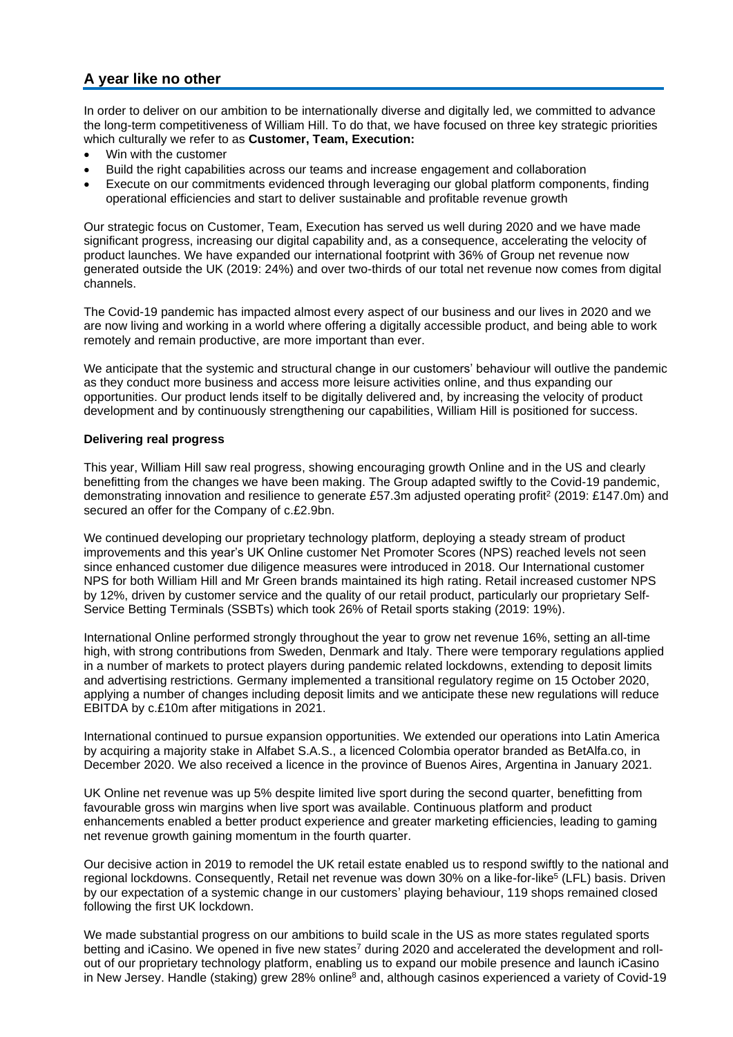# **A year like no other**

In order to deliver on our ambition to be internationally diverse and digitally led, we committed to advance the long-term competitiveness of William Hill. To do that, we have focused on three key strategic priorities which culturally we refer to as **Customer, Team, Execution:**

- Win with the customer
- Build the right capabilities across our teams and increase engagement and collaboration
- Execute on our commitments evidenced through leveraging our global platform components, finding operational efficiencies and start to deliver sustainable and profitable revenue growth

Our strategic focus on Customer, Team, Execution has served us well during 2020 and we have made significant progress, increasing our digital capability and, as a consequence, accelerating the velocity of product launches. We have expanded our international footprint with 36% of Group net revenue now generated outside the UK (2019: 24%) and over two-thirds of our total net revenue now comes from digital channels.

The Covid-19 pandemic has impacted almost every aspect of our business and our lives in 2020 and we are now living and working in a world where offering a digitally accessible product, and being able to work remotely and remain productive, are more important than ever.

We anticipate that the systemic and structural change in our customers' behaviour will outlive the pandemic as they conduct more business and access more leisure activities online, and thus expanding our opportunities. Our product lends itself to be digitally delivered and, by increasing the velocity of product development and by continuously strengthening our capabilities, William Hill is positioned for success.

# **Delivering real progress**

This year, William Hill saw real progress, showing encouraging growth Online and in the US and clearly benefitting from the changes we have been making. The Group adapted swiftly to the Covid-19 pandemic, demonstrating innovation and resilience to generate £57.3m adjusted operating profit<sup>2</sup> (2019: £147.0m) and secured an offer for the Company of c.£2.9bn.

We continued developing our proprietary technology platform, deploying a steady stream of product improvements and this year's UK Online customer Net Promoter Scores (NPS) reached levels not seen since enhanced customer due diligence measures were introduced in 2018. Our International customer NPS for both William Hill and Mr Green brands maintained its high rating. Retail increased customer NPS by 12%, driven by customer service and the quality of our retail product, particularly our proprietary Self-Service Betting Terminals (SSBTs) which took 26% of Retail sports staking (2019: 19%).

International Online performed strongly throughout the year to grow net revenue 16%, setting an all-time high, with strong contributions from Sweden, Denmark and Italy. There were temporary regulations applied in a number of markets to protect players during pandemic related lockdowns, extending to deposit limits and advertising restrictions. Germany implemented a transitional regulatory regime on 15 October 2020, applying a number of changes including deposit limits and we anticipate these new regulations will reduce EBITDA by c.£10m after mitigations in 2021.

International continued to pursue expansion opportunities. We extended our operations into Latin America by acquiring a majority stake in Alfabet S.A.S., a licenced Colombia operator branded as BetAlfa.co, in December 2020. We also received a licence in the province of Buenos Aires, Argentina in January 2021.

UK Online net revenue was up 5% despite limited live sport during the second quarter, benefitting from favourable gross win margins when live sport was available. Continuous platform and product enhancements enabled a better product experience and greater marketing efficiencies, leading to gaming net revenue growth gaining momentum in the fourth quarter.

Our decisive action in 2019 to remodel the UK retail estate enabled us to respond swiftly to the national and regional lockdowns. Consequently, Retail net revenue was down 30% on a like-for-like<sup>5</sup> (LFL) basis. Driven by our expectation of a systemic change in our customers' playing behaviour, 119 shops remained closed following the first UK lockdown.

We made substantial progress on our ambitions to build scale in the US as more states regulated sports betting and iCasino. We opened in five new states<sup>7</sup> during 2020 and accelerated the development and rollout of our proprietary technology platform, enabling us to expand our mobile presence and launch iCasino in New Jersey. Handle (staking) grew 28% online<sup>8</sup> and, although casinos experienced a variety of Covid-19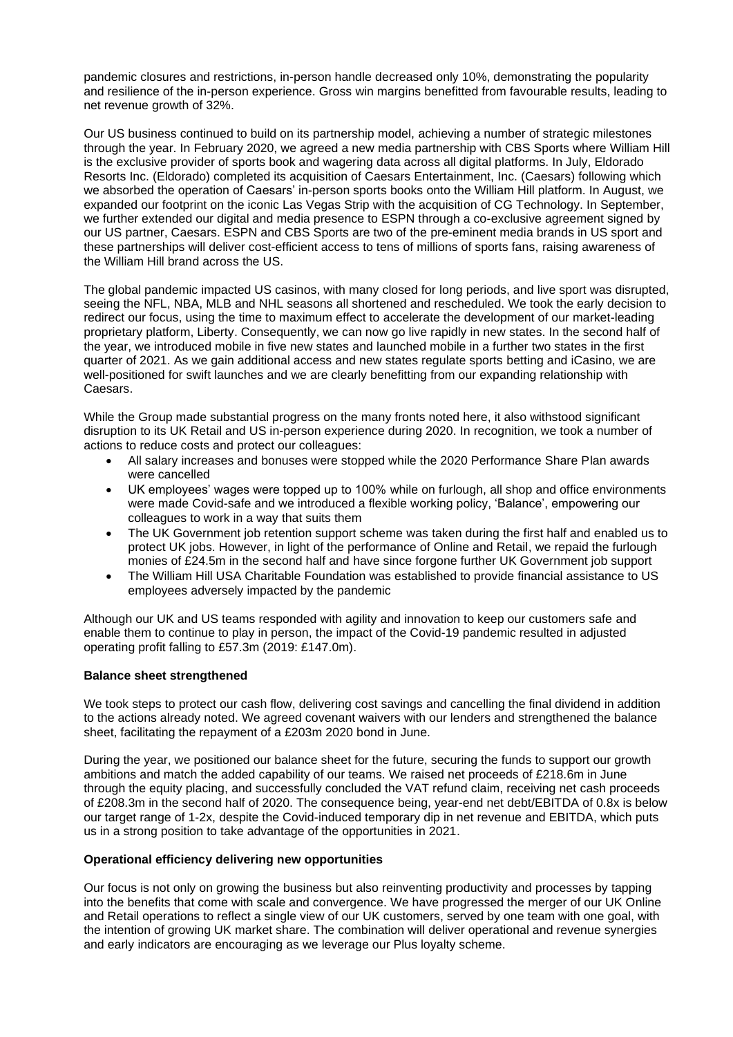pandemic closures and restrictions, in-person handle decreased only 10%, demonstrating the popularity and resilience of the in-person experience. Gross win margins benefitted from favourable results, leading to net revenue growth of 32%.

Our US business continued to build on its partnership model, achieving a number of strategic milestones through the year. In February 2020, we agreed a new media partnership with CBS Sports where William Hill is the exclusive provider of sports book and wagering data across all digital platforms. In July, Eldorado Resorts Inc. (Eldorado) completed its acquisition of Caesars Entertainment, Inc. (Caesars) following which we absorbed the operation of Caesars' in-person sports books onto the William Hill platform. In August, we expanded our footprint on the iconic Las Vegas Strip with the acquisition of CG Technology. In September, we further extended our digital and media presence to ESPN through a co-exclusive agreement signed by our US partner, Caesars. ESPN and CBS Sports are two of the pre-eminent media brands in US sport and these partnerships will deliver cost-efficient access to tens of millions of sports fans, raising awareness of the William Hill brand across the US.

The global pandemic impacted US casinos, with many closed for long periods, and live sport was disrupted, seeing the NFL, NBA, MLB and NHL seasons all shortened and rescheduled. We took the early decision to redirect our focus, using the time to maximum effect to accelerate the development of our market-leading proprietary platform, Liberty. Consequently, we can now go live rapidly in new states. In the second half of the year, we introduced mobile in five new states and launched mobile in a further two states in the first quarter of 2021. As we gain additional access and new states regulate sports betting and iCasino, we are well-positioned for swift launches and we are clearly benefitting from our expanding relationship with Caesars.

While the Group made substantial progress on the many fronts noted here, it also withstood significant disruption to its UK Retail and US in-person experience during 2020. In recognition, we took a number of actions to reduce costs and protect our colleagues:

- All salary increases and bonuses were stopped while the 2020 Performance Share Plan awards were cancelled
- UK employees' wages were topped up to 100% while on furlough, all shop and office environments were made Covid-safe and we introduced a flexible working policy, 'Balance', empowering our colleagues to work in a way that suits them
- The UK Government job retention support scheme was taken during the first half and enabled us to protect UK jobs. However, in light of the performance of Online and Retail, we repaid the furlough monies of £24.5m in the second half and have since forgone further UK Government job support
- The William Hill USA Charitable Foundation was established to provide financial assistance to US employees adversely impacted by the pandemic

Although our UK and US teams responded with agility and innovation to keep our customers safe and enable them to continue to play in person, the impact of the Covid-19 pandemic resulted in adjusted operating profit falling to £57.3m (2019: £147.0m).

### **Balance sheet strengthened**

We took steps to protect our cash flow, delivering cost savings and cancelling the final dividend in addition to the actions already noted. We agreed covenant waivers with our lenders and strengthened the balance sheet, facilitating the repayment of a £203m 2020 bond in June.

During the year, we positioned our balance sheet for the future, securing the funds to support our growth ambitions and match the added capability of our teams. We raised net proceeds of £218.6m in June through the equity placing, and successfully concluded the VAT refund claim, receiving net cash proceeds of £208.3m in the second half of 2020. The consequence being, year-end net debt/EBITDA of 0.8x is below our target range of 1-2x, despite the Covid-induced temporary dip in net revenue and EBITDA, which puts us in a strong position to take advantage of the opportunities in 2021.

### **Operational efficiency delivering new opportunities**

Our focus is not only on growing the business but also reinventing productivity and processes by tapping into the benefits that come with scale and convergence. We have progressed the merger of our UK Online and Retail operations to reflect a single view of our UK customers, served by one team with one goal, with the intention of growing UK market share. The combination will deliver operational and revenue synergies and early indicators are encouraging as we leverage our Plus loyalty scheme.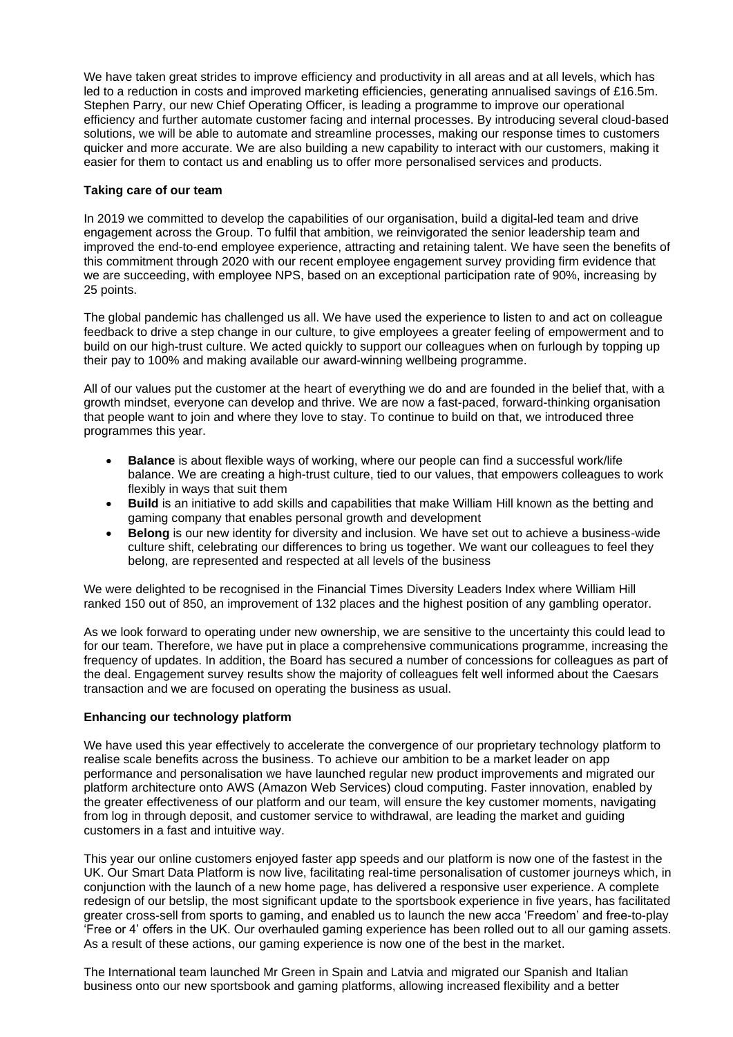We have taken great strides to improve efficiency and productivity in all areas and at all levels, which has led to a reduction in costs and improved marketing efficiencies, generating annualised savings of £16.5m. Stephen Parry, our new Chief Operating Officer, is leading a programme to improve our operational efficiency and further automate customer facing and internal processes. By introducing several cloud-based solutions, we will be able to automate and streamline processes, making our response times to customers quicker and more accurate. We are also building a new capability to interact with our customers, making it easier for them to contact us and enabling us to offer more personalised services and products.

# **Taking care of our team**

In 2019 we committed to develop the capabilities of our organisation, build a digital-led team and drive engagement across the Group. To fulfil that ambition, we reinvigorated the senior leadership team and improved the end-to-end employee experience, attracting and retaining talent. We have seen the benefits of this commitment through 2020 with our recent employee engagement survey providing firm evidence that we are succeeding, with employee NPS, based on an exceptional participation rate of 90%, increasing by 25 points.

The global pandemic has challenged us all. We have used the experience to listen to and act on colleague feedback to drive a step change in our culture, to give employees a greater feeling of empowerment and to build on our high-trust culture. We acted quickly to support our colleagues when on furlough by topping up their pay to 100% and making available our award-winning wellbeing programme.

All of our values put the customer at the heart of everything we do and are founded in the belief that, with a growth mindset, everyone can develop and thrive. We are now a fast-paced, forward-thinking organisation that people want to join and where they love to stay. To continue to build on that, we introduced three programmes this year.

- **Balance** is about flexible ways of working, where our people can find a successful work/life balance. We are creating a high-trust culture, tied to our values, that empowers colleagues to work flexibly in ways that suit them
- **Build** is an initiative to add skills and capabilities that make William Hill known as the betting and gaming company that enables personal growth and development
- **Belong** is our new identity for diversity and inclusion. We have set out to achieve a business-wide culture shift, celebrating our differences to bring us together. We want our colleagues to feel they belong, are represented and respected at all levels of the business

We were delighted to be recognised in the Financial Times Diversity Leaders Index where William Hill ranked 150 out of 850, an improvement of 132 places and the highest position of any gambling operator.

As we look forward to operating under new ownership, we are sensitive to the uncertainty this could lead to for our team. Therefore, we have put in place a comprehensive communications programme, increasing the frequency of updates. In addition, the Board has secured a number of concessions for colleagues as part of the deal. Engagement survey results show the majority of colleagues felt well informed about the Caesars transaction and we are focused on operating the business as usual.

# **Enhancing our technology platform**

We have used this year effectively to accelerate the convergence of our proprietary technology platform to realise scale benefits across the business. To achieve our ambition to be a market leader on app performance and personalisation we have launched regular new product improvements and migrated our platform architecture onto AWS (Amazon Web Services) cloud computing. Faster innovation, enabled by the greater effectiveness of our platform and our team, will ensure the key customer moments, navigating from log in through deposit, and customer service to withdrawal, are leading the market and guiding customers in a fast and intuitive way.

This year our online customers enjoyed faster app speeds and our platform is now one of the fastest in the UK. Our Smart Data Platform is now live, facilitating real-time personalisation of customer journeys which, in conjunction with the launch of a new home page, has delivered a responsive user experience. A complete redesign of our betslip, the most significant update to the sportsbook experience in five years, has facilitated greater cross-sell from sports to gaming, and enabled us to launch the new acca 'Freedom' and free-to-play 'Free or 4' offers in the UK. Our overhauled gaming experience has been rolled out to all our gaming assets. As a result of these actions, our gaming experience is now one of the best in the market.

The International team launched Mr Green in Spain and Latvia and migrated our Spanish and Italian business onto our new sportsbook and gaming platforms, allowing increased flexibility and a better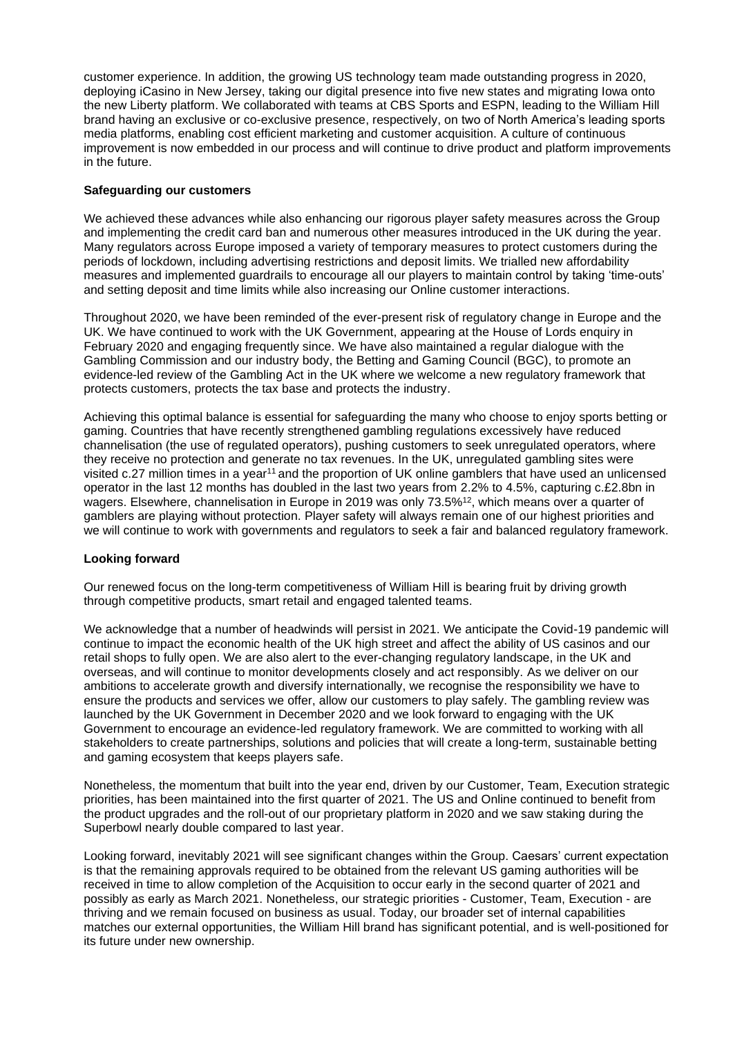customer experience. In addition, the growing US technology team made outstanding progress in 2020, deploying iCasino in New Jersey, taking our digital presence into five new states and migrating Iowa onto the new Liberty platform. We collaborated with teams at CBS Sports and ESPN, leading to the William Hill brand having an exclusive or co-exclusive presence, respectively, on two of North America's leading sports media platforms, enabling cost efficient marketing and customer acquisition. A culture of continuous improvement is now embedded in our process and will continue to drive product and platform improvements in the future.

# **Safeguarding our customers**

We achieved these advances while also enhancing our rigorous player safety measures across the Group and implementing the credit card ban and numerous other measures introduced in the UK during the year. Many regulators across Europe imposed a variety of temporary measures to protect customers during the periods of lockdown, including advertising restrictions and deposit limits. We trialled new affordability measures and implemented guardrails to encourage all our players to maintain control by taking 'time-outs' and setting deposit and time limits while also increasing our Online customer interactions.

Throughout 2020, we have been reminded of the ever-present risk of regulatory change in Europe and the UK. We have continued to work with the UK Government, appearing at the House of Lords enquiry in February 2020 and engaging frequently since. We have also maintained a regular dialogue with the Gambling Commission and our industry body, the Betting and Gaming Council (BGC), to promote an evidence-led review of the Gambling Act in the UK where we welcome a new regulatory framework that protects customers, protects the tax base and protects the industry.

Achieving this optimal balance is essential for safeguarding the many who choose to enjoy sports betting or gaming. Countries that have recently strengthened gambling regulations excessively have reduced channelisation (the use of regulated operators), pushing customers to seek unregulated operators, where they receive no protection and generate no tax revenues. In the UK, unregulated gambling sites were visited c.27 million times in a year<sup>11</sup> and the proportion of UK online gamblers that have used an unlicensed operator in the last 12 months has doubled in the last two years from 2.2% to 4.5%, capturing c.£2.8bn in wagers. Elsewhere, channelisation in Europe in 2019 was only 73.5%<sup>12</sup>, which means over a quarter of gamblers are playing without protection. Player safety will always remain one of our highest priorities and we will continue to work with governments and regulators to seek a fair and balanced regulatory framework.

# **Looking forward**

Our renewed focus on the long-term competitiveness of William Hill is bearing fruit by driving growth through competitive products, smart retail and engaged talented teams.

We acknowledge that a number of headwinds will persist in 2021. We anticipate the Covid-19 pandemic will continue to impact the economic health of the UK high street and affect the ability of US casinos and our retail shops to fully open. We are also alert to the ever-changing regulatory landscape, in the UK and overseas, and will continue to monitor developments closely and act responsibly. As we deliver on our ambitions to accelerate growth and diversify internationally, we recognise the responsibility we have to ensure the products and services we offer, allow our customers to play safely. The gambling review was launched by the UK Government in December 2020 and we look forward to engaging with the UK Government to encourage an evidence-led regulatory framework. We are committed to working with all stakeholders to create partnerships, solutions and policies that will create a long-term, sustainable betting and gaming ecosystem that keeps players safe.

Nonetheless, the momentum that built into the year end, driven by our Customer, Team, Execution strategic priorities, has been maintained into the first quarter of 2021. The US and Online continued to benefit from the product upgrades and the roll-out of our proprietary platform in 2020 and we saw staking during the Superbowl nearly double compared to last year.

Looking forward, inevitably 2021 will see significant changes within the Group. Caesars' current expectation is that the remaining approvals required to be obtained from the relevant US gaming authorities will be received in time to allow completion of the Acquisition to occur early in the second quarter of 2021 and possibly as early as March 2021. Nonetheless, our strategic priorities - Customer, Team, Execution - are thriving and we remain focused on business as usual. Today, our broader set of internal capabilities matches our external opportunities, the William Hill brand has significant potential, and is well-positioned for its future under new ownership.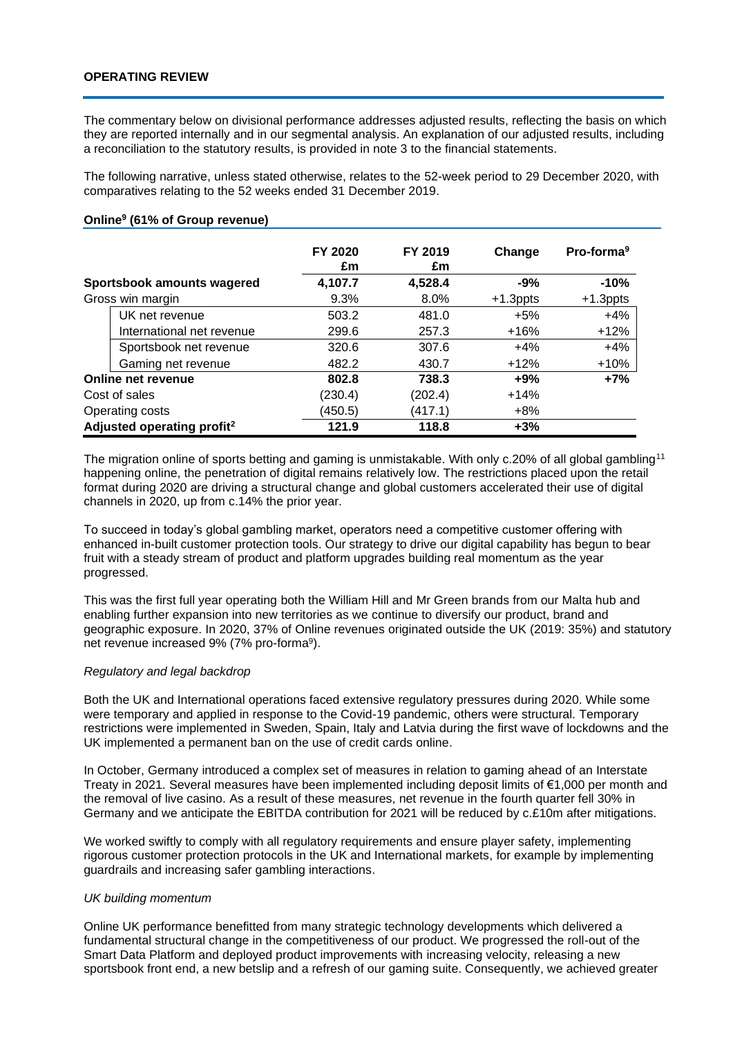The commentary below on divisional performance addresses adjusted results, reflecting the basis on which they are reported internally and in our segmental analysis. An explanation of our adjusted results, including a reconciliation to the statutory results, is provided in note 3 to the financial statements.

The following narrative, unless stated otherwise, relates to the 52-week period to 29 December 2020, with comparatives relating to the 52 weeks ended 31 December 2019.

|                                        | FY 2020<br>£m | FY 2019<br>£m | Change      | Pro-forma <sup>9</sup> |
|----------------------------------------|---------------|---------------|-------------|------------------------|
| Sportsbook amounts wagered             | 4,107.7       | 4,528.4       | $-9%$       | $-10%$                 |
| Gross win margin                       | 9.3%          | 8.0%          | $+1.3$ ppts | $+1.3$ ppts            |
| UK net revenue                         | 503.2         | 481.0         | $+5%$       | $+4%$                  |
| International net revenue              | 299.6         | 257.3         | $+16%$      | $+12%$                 |
| Sportsbook net revenue                 | 320.6         | 307.6         | $+4%$       | $+4%$                  |
| Gaming net revenue                     | 482.2         | 430.7         | $+12%$      | $+10%$                 |
| Online net revenue                     | 802.8         | 738.3         | $+9%$       | $+7%$                  |
| Cost of sales                          | (230.4)       | (202.4)       | $+14%$      |                        |
| Operating costs                        | (450.5)       | (417.1)       | $+8\%$      |                        |
| Adjusted operating profit <sup>2</sup> | 121.9         | 118.8         | $+3%$       |                        |

# **Online<sup>9</sup> (61% of Group revenue)**

The migration online of sports betting and gaming is unmistakable. With only c.20% of all global gambling<sup>11</sup> happening online, the penetration of digital remains relatively low. The restrictions placed upon the retail format during 2020 are driving a structural change and global customers accelerated their use of digital channels in 2020, up from c.14% the prior year.

To succeed in today's global gambling market, operators need a competitive customer offering with enhanced in-built customer protection tools. Our strategy to drive our digital capability has begun to bear fruit with a steady stream of product and platform upgrades building real momentum as the year progressed.

This was the first full year operating both the William Hill and Mr Green brands from our Malta hub and enabling further expansion into new territories as we continue to diversify our product, brand and geographic exposure. In 2020, 37% of Online revenues originated outside the UK (2019: 35%) and statutory net revenue increased 9% (7% pro-forma<sup>9</sup>).

### *Regulatory and legal backdrop*

Both the UK and International operations faced extensive regulatory pressures during 2020. While some were temporary and applied in response to the Covid-19 pandemic, others were structural. Temporary restrictions were implemented in Sweden, Spain, Italy and Latvia during the first wave of lockdowns and the UK implemented a permanent ban on the use of credit cards online.

In October, Germany introduced a complex set of measures in relation to gaming ahead of an Interstate Treaty in 2021. Several measures have been implemented including deposit limits of €1,000 per month and the removal of live casino. As a result of these measures, net revenue in the fourth quarter fell 30% in Germany and we anticipate the EBITDA contribution for 2021 will be reduced by c.£10m after mitigations.

We worked swiftly to comply with all regulatory requirements and ensure player safety, implementing rigorous customer protection protocols in the UK and International markets, for example by implementing guardrails and increasing safer gambling interactions.

### *UK building momentum*

Online UK performance benefitted from many strategic technology developments which delivered a fundamental structural change in the competitiveness of our product. We progressed the roll-out of the Smart Data Platform and deployed product improvements with increasing velocity, releasing a new sportsbook front end, a new betslip and a refresh of our gaming suite. Consequently, we achieved greater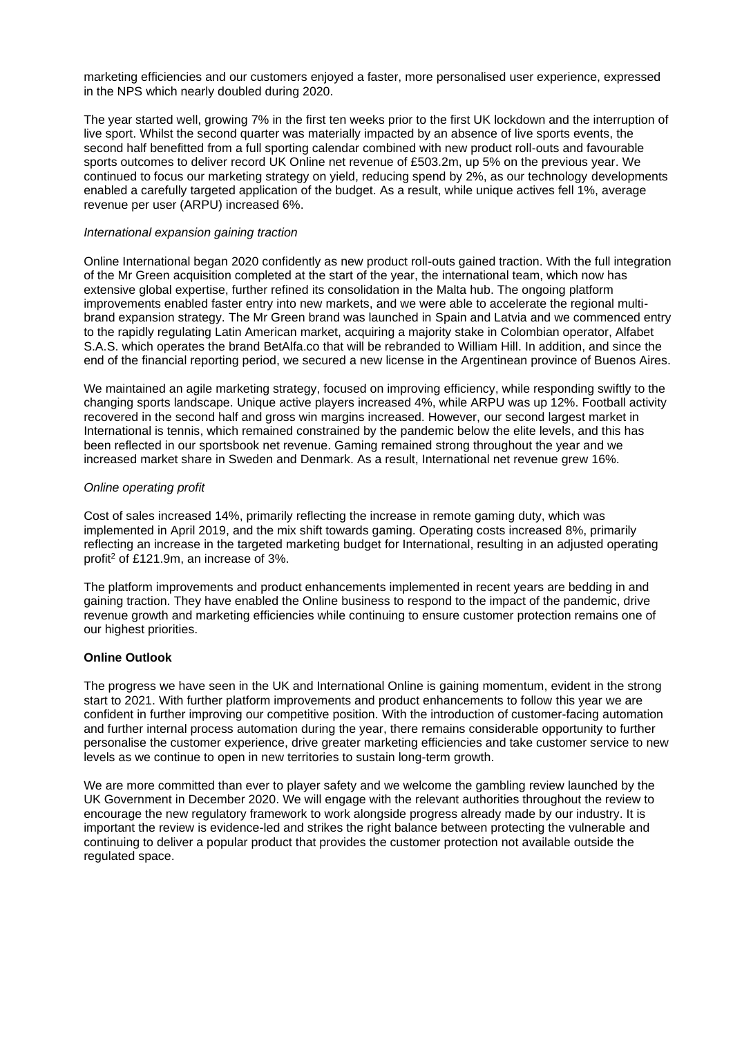marketing efficiencies and our customers enjoyed a faster, more personalised user experience, expressed in the NPS which nearly doubled during 2020.

The year started well, growing 7% in the first ten weeks prior to the first UK lockdown and the interruption of live sport. Whilst the second quarter was materially impacted by an absence of live sports events, the second half benefitted from a full sporting calendar combined with new product roll-outs and favourable sports outcomes to deliver record UK Online net revenue of £503.2m, up 5% on the previous year. We continued to focus our marketing strategy on yield, reducing spend by 2%, as our technology developments enabled a carefully targeted application of the budget. As a result, while unique actives fell 1%, average revenue per user (ARPU) increased 6%.

### *International expansion gaining traction*

Online International began 2020 confidently as new product roll-outs gained traction. With the full integration of the Mr Green acquisition completed at the start of the year, the international team, which now has extensive global expertise, further refined its consolidation in the Malta hub. The ongoing platform improvements enabled faster entry into new markets, and we were able to accelerate the regional multibrand expansion strategy. The Mr Green brand was launched in Spain and Latvia and we commenced entry to the rapidly regulating Latin American market, acquiring a majority stake in Colombian operator, Alfabet S.A.S. which operates the brand BetAlfa.co that will be rebranded to William Hill. In addition, and since the end of the financial reporting period, we secured a new license in the Argentinean province of Buenos Aires.

We maintained an agile marketing strategy, focused on improving efficiency, while responding swiftly to the changing sports landscape. Unique active players increased 4%, while ARPU was up 12%. Football activity recovered in the second half and gross win margins increased. However, our second largest market in International is tennis, which remained constrained by the pandemic below the elite levels, and this has been reflected in our sportsbook net revenue. Gaming remained strong throughout the year and we increased market share in Sweden and Denmark. As a result, International net revenue grew 16%.

### *Online operating profit*

Cost of sales increased 14%, primarily reflecting the increase in remote gaming duty, which was implemented in April 2019, and the mix shift towards gaming. Operating costs increased 8%, primarily reflecting an increase in the targeted marketing budget for International, resulting in an adjusted operating profit<sup>2</sup> of £121.9m, an increase of 3%.

The platform improvements and product enhancements implemented in recent years are bedding in and gaining traction. They have enabled the Online business to respond to the impact of the pandemic, drive revenue growth and marketing efficiencies while continuing to ensure customer protection remains one of our highest priorities.

# **Online Outlook**

The progress we have seen in the UK and International Online is gaining momentum, evident in the strong start to 2021. With further platform improvements and product enhancements to follow this year we are confident in further improving our competitive position. With the introduction of customer-facing automation and further internal process automation during the year, there remains considerable opportunity to further personalise the customer experience, drive greater marketing efficiencies and take customer service to new levels as we continue to open in new territories to sustain long-term growth.

We are more committed than ever to player safety and we welcome the gambling review launched by the UK Government in December 2020. We will engage with the relevant authorities throughout the review to encourage the new regulatory framework to work alongside progress already made by our industry. It is important the review is evidence-led and strikes the right balance between protecting the vulnerable and continuing to deliver a popular product that provides the customer protection not available outside the regulated space.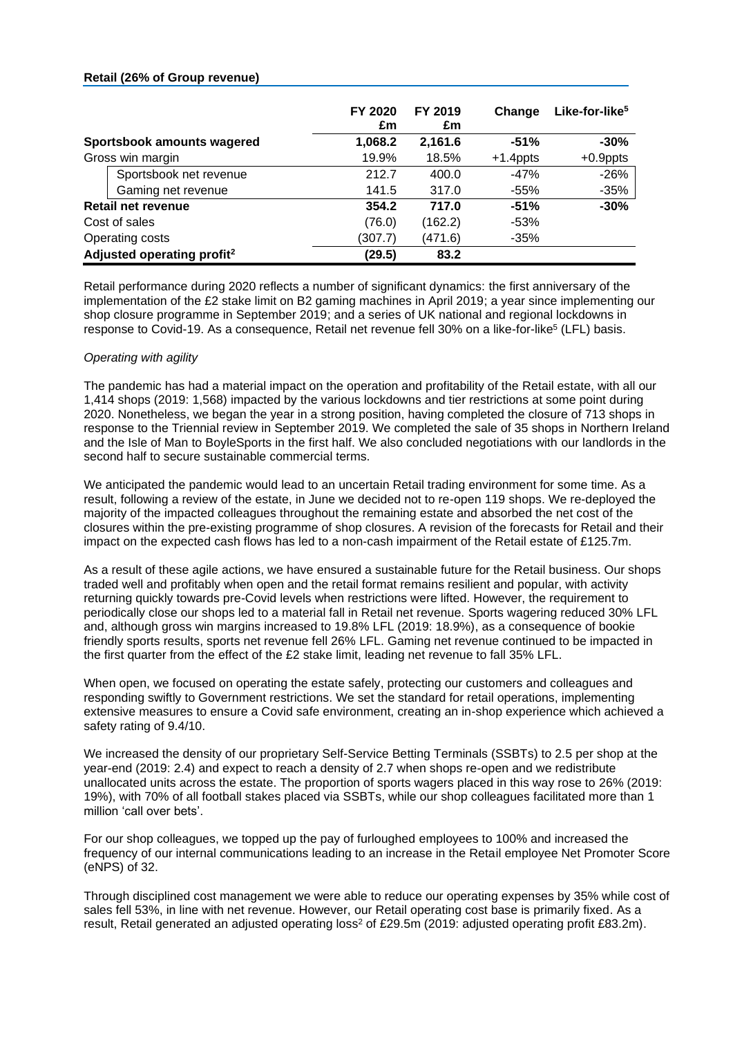### **Retail (26% of Group revenue)**

|                                        | FY 2020<br>£m | FY 2019<br>£m | Change      | Like-for-like <sup>5</sup> |
|----------------------------------------|---------------|---------------|-------------|----------------------------|
| Sportsbook amounts wagered             | 1,068.2       | 2,161.6       | $-51%$      | $-30%$                     |
| Gross win margin                       | 19.9%         | 18.5%         | $+1.4$ ppts | $+0.9$ ppts                |
| Sportsbook net revenue                 | 212.7         | 400.0         | $-47%$      | $-26%$                     |
| Gaming net revenue                     | 141.5         | 317.0         | -55%        | $-35%$                     |
| <b>Retail net revenue</b>              | 354.2         | 717.0         | $-51%$      | $-30%$                     |
| Cost of sales                          | (76.0)        | (162.2)       | $-53%$      |                            |
| Operating costs                        | (307.7)       | (471.6)       | $-35%$      |                            |
| Adjusted operating profit <sup>2</sup> | (29.5)        | 83.2          |             |                            |

Retail performance during 2020 reflects a number of significant dynamics: the first anniversary of the implementation of the £2 stake limit on B2 gaming machines in April 2019; a year since implementing our shop closure programme in September 2019; and a series of UK national and regional lockdowns in response to Covid-19. As a consequence, Retail net revenue fell 30% on a like-for-like<sup>5</sup> (LFL) basis.

# *Operating with agility*

The pandemic has had a material impact on the operation and profitability of the Retail estate, with all our 1,414 shops (2019: 1,568) impacted by the various lockdowns and tier restrictions at some point during 2020. Nonetheless, we began the year in a strong position, having completed the closure of 713 shops in response to the Triennial review in September 2019. We completed the sale of 35 shops in Northern Ireland and the Isle of Man to BoyleSports in the first half. We also concluded negotiations with our landlords in the second half to secure sustainable commercial terms.

We anticipated the pandemic would lead to an uncertain Retail trading environment for some time. As a result, following a review of the estate, in June we decided not to re-open 119 shops. We re-deployed the majority of the impacted colleagues throughout the remaining estate and absorbed the net cost of the closures within the pre-existing programme of shop closures. A revision of the forecasts for Retail and their impact on the expected cash flows has led to a non-cash impairment of the Retail estate of £125.7m.

As a result of these agile actions, we have ensured a sustainable future for the Retail business. Our shops traded well and profitably when open and the retail format remains resilient and popular, with activity returning quickly towards pre-Covid levels when restrictions were lifted. However, the requirement to periodically close our shops led to a material fall in Retail net revenue. Sports wagering reduced 30% LFL and, although gross win margins increased to 19.8% LFL (2019: 18.9%), as a consequence of bookie friendly sports results, sports net revenue fell 26% LFL. Gaming net revenue continued to be impacted in the first quarter from the effect of the £2 stake limit, leading net revenue to fall 35% LFL.

When open, we focused on operating the estate safely, protecting our customers and colleagues and responding swiftly to Government restrictions. We set the standard for retail operations, implementing extensive measures to ensure a Covid safe environment, creating an in-shop experience which achieved a safety rating of 9.4/10.

We increased the density of our proprietary Self-Service Betting Terminals (SSBTs) to 2.5 per shop at the year-end (2019: 2.4) and expect to reach a density of 2.7 when shops re-open and we redistribute unallocated units across the estate. The proportion of sports wagers placed in this way rose to 26% (2019: 19%), with 70% of all football stakes placed via SSBTs, while our shop colleagues facilitated more than 1 million 'call over bets'.

For our shop colleagues, we topped up the pay of furloughed employees to 100% and increased the frequency of our internal communications leading to an increase in the Retail employee Net Promoter Score (eNPS) of 32.

Through disciplined cost management we were able to reduce our operating expenses by 35% while cost of sales fell 53%, in line with net revenue. However, our Retail operating cost base is primarily fixed. As a result, Retail generated an adjusted operating loss<sup>2</sup> of £29.5m (2019; adjusted operating profit £83.2m).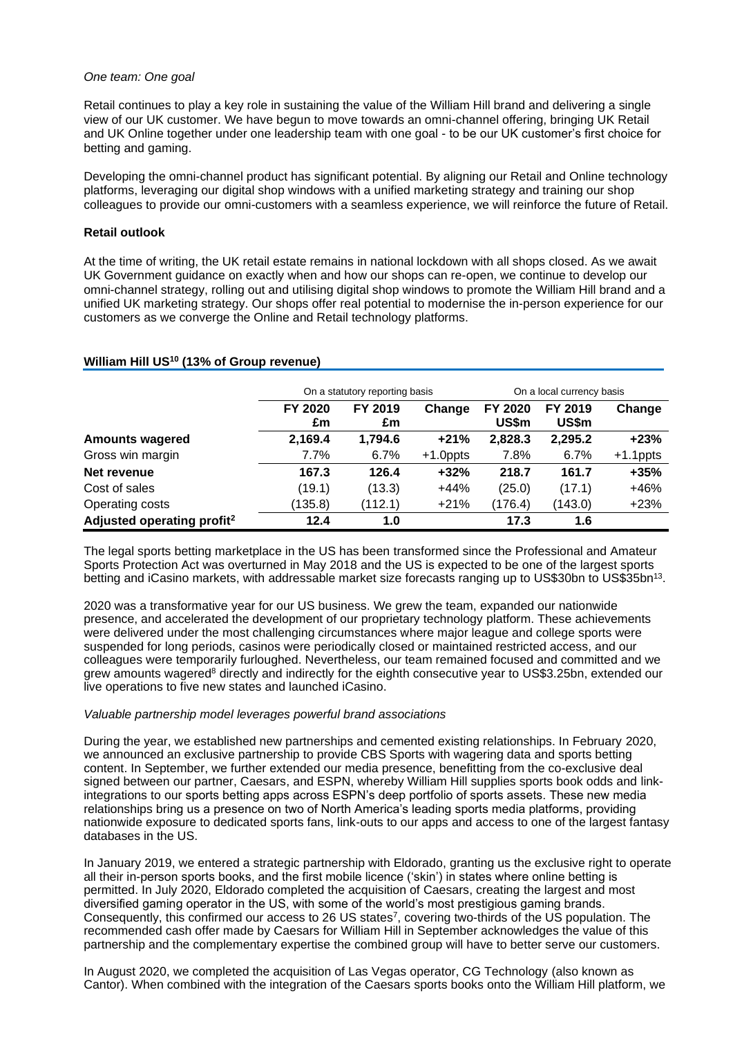### *One team: One goal*

Retail continues to play a key role in sustaining the value of the William Hill brand and delivering a single view of our UK customer. We have begun to move towards an omni-channel offering, bringing UK Retail and UK Online together under one leadership team with one goal - to be our UK customer's first choice for betting and gaming.

Developing the omni-channel product has significant potential. By aligning our Retail and Online technology platforms, leveraging our digital shop windows with a unified marketing strategy and training our shop colleagues to provide our omni-customers with a seamless experience, we will reinforce the future of Retail.

### **Retail outlook**

At the time of writing, the UK retail estate remains in national lockdown with all shops closed. As we await UK Government guidance on exactly when and how our shops can re-open, we continue to develop our omni-channel strategy, rolling out and utilising digital shop windows to promote the William Hill brand and a unified UK marketing strategy. Our shops offer real potential to modernise the in-person experience for our customers as we converge the Online and Retail technology platforms.

### **William Hill US<sup>10</sup> (13% of Group revenue)**

|                                        |               | On a statutory reporting basis | On a local currency basis |                  |                         |             |
|----------------------------------------|---------------|--------------------------------|---------------------------|------------------|-------------------------|-------------|
|                                        | FY 2020<br>£m | FY 2019<br>£m                  | Change                    | FY 2020<br>US\$m | <b>FY 2019</b><br>US\$m | Change      |
| <b>Amounts wagered</b>                 | 2,169.4       | 1,794.6                        | $+21%$                    | 2,828.3          | 2,295.2                 | $+23%$      |
| Gross win margin                       | 7.7%          | 6.7%                           | $+1.0$ ppts               | 7.8%             | 6.7%                    | $+1.1$ ppts |
| Net revenue                            | 167.3         | 126.4                          | $+32%$                    | 218.7            | 161.7                   | $+35%$      |
| Cost of sales                          | (19.1)        | (13.3)                         | $+44%$                    | (25.0)           | (17.1)                  | $+46%$      |
| Operating costs                        | (135.8)       | (112.1)                        | $+21%$                    | (176.4)          | (143.0)                 | $+23%$      |
| Adjusted operating profit <sup>2</sup> | 12.4          | 1.0                            |                           | 17.3             | 1.6                     |             |

The legal sports betting marketplace in the US has been transformed since the Professional and Amateur Sports Protection Act was overturned in May 2018 and the US is expected to be one of the largest sports betting and iCasino markets, with addressable market size forecasts ranging up to US\$30bn to US\$35bn<sup>13</sup>.

2020 was a transformative year for our US business. We grew the team, expanded our nationwide presence, and accelerated the development of our proprietary technology platform. These achievements were delivered under the most challenging circumstances where major league and college sports were suspended for long periods, casinos were periodically closed or maintained restricted access, and our colleagues were temporarily furloughed. Nevertheless, our team remained focused and committed and we grew amounts wagered<sup>8</sup> directly and indirectly for the eighth consecutive year to US\$3.25bn, extended our live operations to five new states and launched iCasino.

### *Valuable partnership model leverages powerful brand associations*

During the year, we established new partnerships and cemented existing relationships. In February 2020, we announced an exclusive partnership to provide CBS Sports with wagering data and sports betting content. In September, we further extended our media presence, benefitting from the co-exclusive deal signed between our partner, Caesars, and ESPN, whereby William Hill supplies sports book odds and linkintegrations to our sports betting apps across ESPN's deep portfolio of sports assets. These new media relationships bring us a presence on two of North America's leading sports media platforms, providing nationwide exposure to dedicated sports fans, link-outs to our apps and access to one of the largest fantasy databases in the US.

In January 2019, we entered a strategic partnership with Eldorado, granting us the exclusive right to operate all their in-person sports books, and the first mobile licence ('skin') in states where online betting is permitted. In July 2020, Eldorado completed the acquisition of Caesars, creating the largest and most diversified gaming operator in the US, with some of the world's most prestigious gaming brands. Consequently, this confirmed our access to 26 US states<sup>7</sup>, covering two-thirds of the US population. The recommended cash offer made by Caesars for William Hill in September acknowledges the value of this partnership and the complementary expertise the combined group will have to better serve our customers.

In August 2020, we completed the acquisition of Las Vegas operator, CG Technology (also known as Cantor). When combined with the integration of the Caesars sports books onto the William Hill platform, we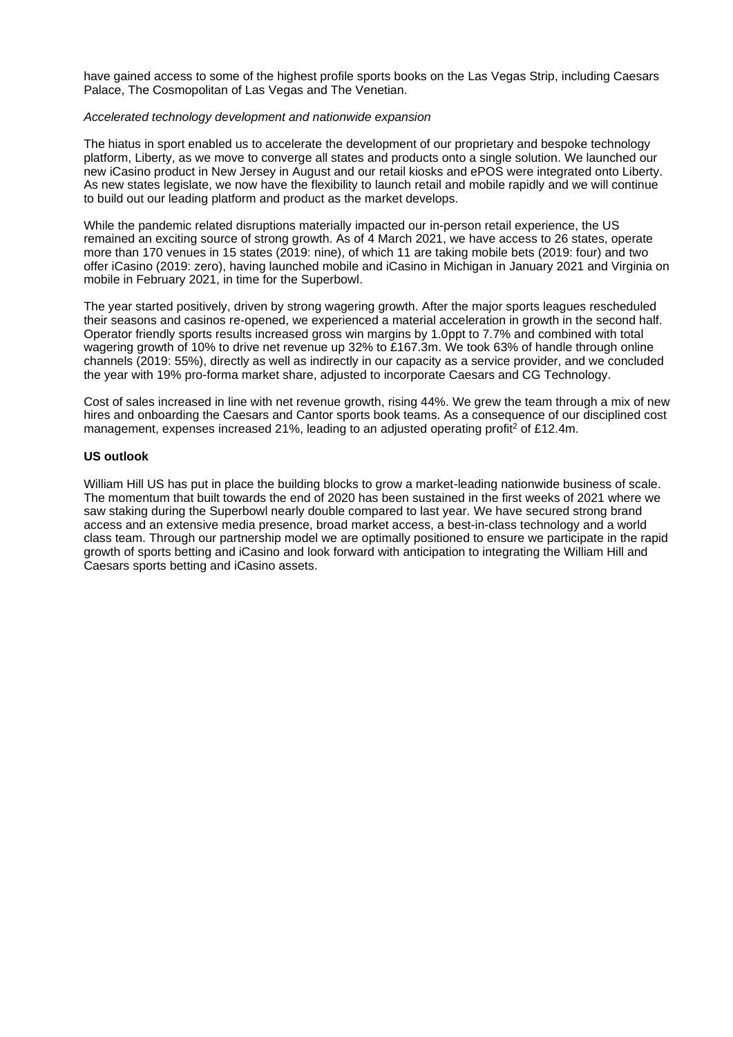have gained access to some of the highest profile sports books on the Las Vegas Strip, including Caesars Palace, The Cosmopolitan of Las Vegas and The Venetian.

### *Accelerated technology development and nationwide expansion*

The hiatus in sport enabled us to accelerate the development of our proprietary and bespoke technology platform, Liberty, as we move to converge all states and products onto a single solution. We launched our new iCasino product in New Jersey in August and our retail kiosks and ePOS were integrated onto Liberty. As new states legislate, we now have the flexibility to launch retail and mobile rapidly and we will continue to build out our leading platform and product as the market develops.

While the pandemic related disruptions materially impacted our in-person retail experience, the US remained an exciting source of strong growth. As of 4 March 2021, we have access to 26 states, operate more than 170 venues in 15 states (2019: nine), of which 11 are taking mobile bets (2019: four) and two offer iCasino (2019: zero), having launched mobile and iCasino in Michigan in January 2021 and Virginia on mobile in February 2021, in time for the Superbowl.

The year started positively, driven by strong wagering growth. After the major sports leagues rescheduled their seasons and casinos re-opened, we experienced a material acceleration in growth in the second half. Operator friendly sports results increased gross win margins by 1.0ppt to 7.7% and combined with total wagering growth of 10% to drive net revenue up 32% to £167.3m. We took 63% of handle through online channels (2019: 55%), directly as well as indirectly in our capacity as a service provider, and we concluded the year with 19% pro-forma market share, adjusted to incorporate Caesars and CG Technology.

Cost of sales increased in line with net revenue growth, rising 44%. We grew the team through a mix of new hires and onboarding the Caesars and Cantor sports book teams. As a consequence of our disciplined cost management, expenses increased 21%, leading to an adjusted operating profit<sup>2</sup> of £12.4m.

# **US outlook**

William Hill US has put in place the building blocks to grow a market-leading nationwide business of scale. The momentum that built towards the end of 2020 has been sustained in the first weeks of 2021 where we saw staking during the Superbowl nearly double compared to last year. We have secured strong brand access and an extensive media presence, broad market access, a best-in-class technology and a world class team. Through our partnership model we are optimally positioned to ensure we participate in the rapid growth of sports betting and iCasino and look forward with anticipation to integrating the William Hill and Caesars sports betting and iCasino assets.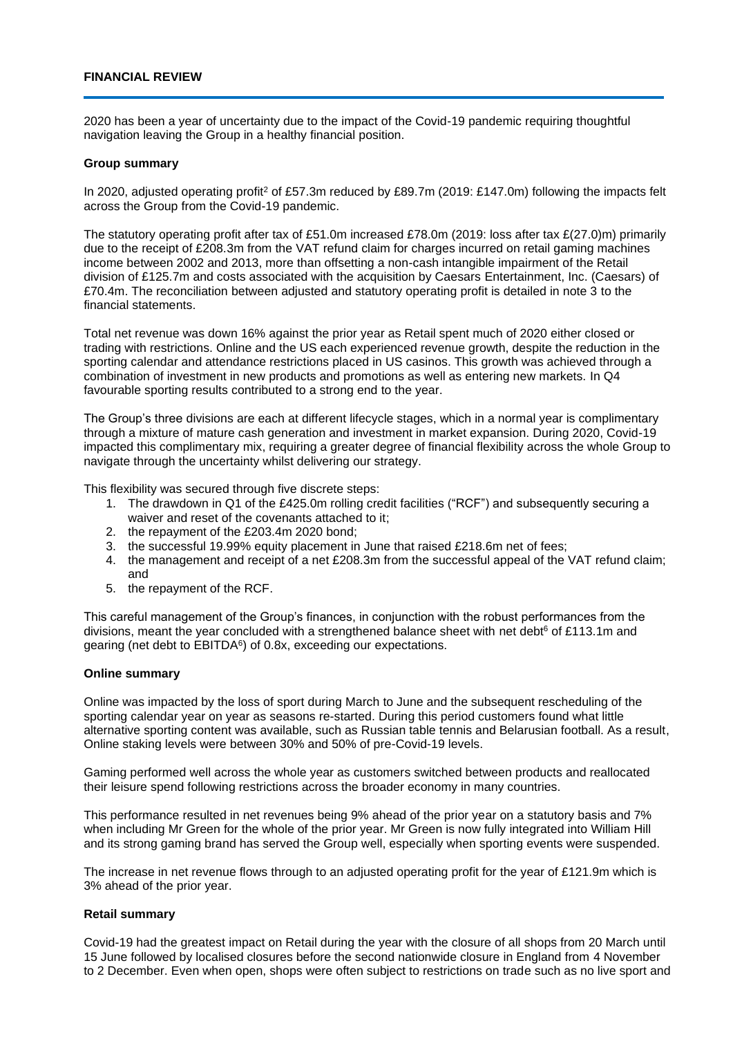# **FINANCIAL REVIEW**

2020 has been a year of uncertainty due to the impact of the Covid-19 pandemic requiring thoughtful navigation leaving the Group in a healthy financial position.

### **Group summary**

In 2020, adjusted operating profit<sup>2</sup> of £57.3m reduced by £89.7m (2019: £147.0m) following the impacts felt across the Group from the Covid-19 pandemic.

The statutory operating profit after tax of £51.0m increased £78.0m (2019: loss after tax £(27.0)m) primarily due to the receipt of £208.3m from the VAT refund claim for charges incurred on retail gaming machines income between 2002 and 2013, more than offsetting a non-cash intangible impairment of the Retail division of £125.7m and costs associated with the acquisition by Caesars Entertainment, Inc. (Caesars) of £70.4m. The reconciliation between adjusted and statutory operating profit is detailed in note 3 to the financial statements.

Total net revenue was down 16% against the prior year as Retail spent much of 2020 either closed or trading with restrictions. Online and the US each experienced revenue growth, despite the reduction in the sporting calendar and attendance restrictions placed in US casinos. This growth was achieved through a combination of investment in new products and promotions as well as entering new markets. In Q4 favourable sporting results contributed to a strong end to the year.

The Group's three divisions are each at different lifecycle stages, which in a normal year is complimentary through a mixture of mature cash generation and investment in market expansion. During 2020, Covid-19 impacted this complimentary mix, requiring a greater degree of financial flexibility across the whole Group to navigate through the uncertainty whilst delivering our strategy.

This flexibility was secured through five discrete steps:

- 1. The drawdown in Q1 of the £425.0m rolling credit facilities ("RCF") and subsequently securing a waiver and reset of the covenants attached to it;
- 2. the repayment of the £203.4m 2020 bond;
- 3. the successful 19.99% equity placement in June that raised £218.6m net of fees;
- 4. the management and receipt of a net £208.3m from the successful appeal of the VAT refund claim; and
- 5. the repayment of the RCF.

This careful management of the Group's finances, in conjunction with the robust performances from the divisions, meant the year concluded with a strengthened balance sheet with net debt<sup>6</sup> of £113.1m and gearing (net debt to EBITDA<sup>6</sup>) of 0.8x, exceeding our expectations.

### **Online summary**

Online was impacted by the loss of sport during March to June and the subsequent rescheduling of the sporting calendar year on year as seasons re-started. During this period customers found what little alternative sporting content was available, such as Russian table tennis and Belarusian football. As a result, Online staking levels were between 30% and 50% of pre-Covid-19 levels.

Gaming performed well across the whole year as customers switched between products and reallocated their leisure spend following restrictions across the broader economy in many countries.

This performance resulted in net revenues being 9% ahead of the prior year on a statutory basis and 7% when including Mr Green for the whole of the prior year. Mr Green is now fully integrated into William Hill and its strong gaming brand has served the Group well, especially when sporting events were suspended.

The increase in net revenue flows through to an adjusted operating profit for the year of £121.9m which is 3% ahead of the prior year.

### **Retail summary**

Covid-19 had the greatest impact on Retail during the year with the closure of all shops from 20 March until 15 June followed by localised closures before the second nationwide closure in England from 4 November to 2 December. Even when open, shops were often subject to restrictions on trade such as no live sport and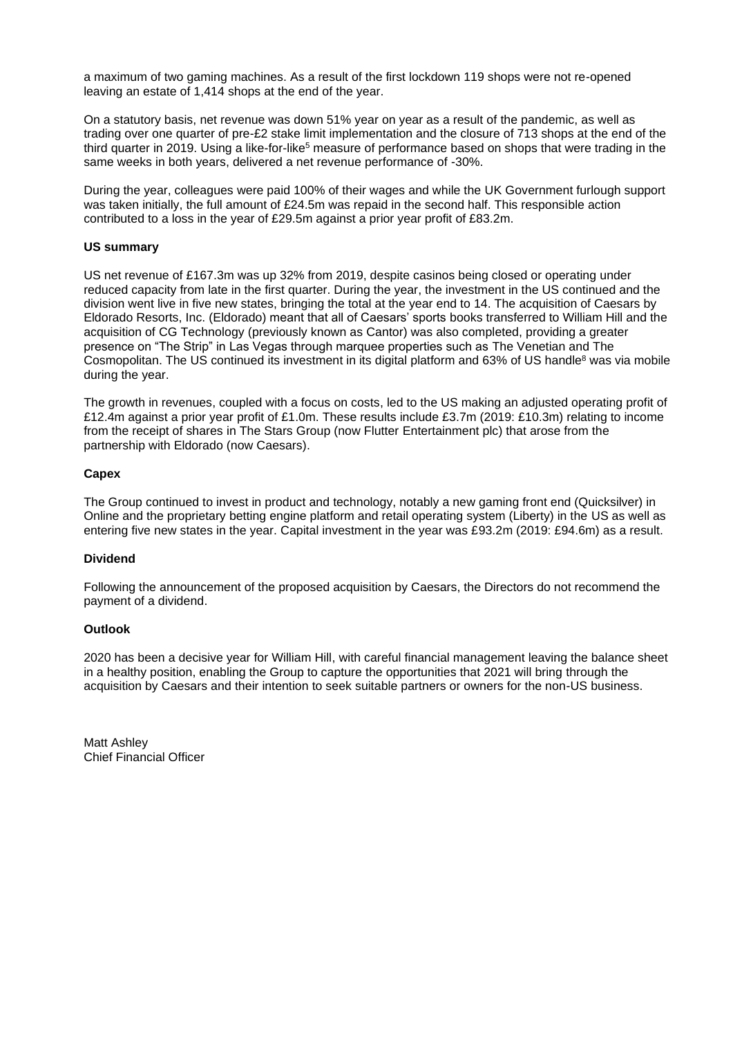a maximum of two gaming machines. As a result of the first lockdown 119 shops were not re-opened leaving an estate of 1,414 shops at the end of the year.

On a statutory basis, net revenue was down 51% year on year as a result of the pandemic, as well as trading over one quarter of pre-£2 stake limit implementation and the closure of 713 shops at the end of the third quarter in 2019. Using a like-for-like<sup>5</sup> measure of performance based on shops that were trading in the same weeks in both years, delivered a net revenue performance of -30%.

During the year, colleagues were paid 100% of their wages and while the UK Government furlough support was taken initially, the full amount of £24.5m was repaid in the second half. This responsible action contributed to a loss in the year of £29.5m against a prior year profit of £83.2m.

# **US summary**

US net revenue of £167.3m was up 32% from 2019, despite casinos being closed or operating under reduced capacity from late in the first quarter. During the year, the investment in the US continued and the division went live in five new states, bringing the total at the year end to 14. The acquisition of Caesars by Eldorado Resorts, Inc. (Eldorado) meant that all of Caesars' sports books transferred to William Hill and the acquisition of CG Technology (previously known as Cantor) was also completed, providing a greater presence on "The Strip" in Las Vegas through marquee properties such as The Venetian and The Cosmopolitan. The US continued its investment in its digital platform and 63% of US handle<sup>8</sup> was via mobile during the year.

The growth in revenues, coupled with a focus on costs, led to the US making an adjusted operating profit of £12.4m against a prior year profit of £1.0m. These results include £3.7m (2019: £10.3m) relating to income from the receipt of shares in The Stars Group (now Flutter Entertainment plc) that arose from the partnership with Eldorado (now Caesars).

# **Capex**

The Group continued to invest in product and technology, notably a new gaming front end (Quicksilver) in Online and the proprietary betting engine platform and retail operating system (Liberty) in the US as well as entering five new states in the year. Capital investment in the year was £93.2m (2019: £94.6m) as a result.

### **Dividend**

Following the announcement of the proposed acquisition by Caesars, the Directors do not recommend the payment of a dividend.

### **Outlook**

2020 has been a decisive year for William Hill, with careful financial management leaving the balance sheet in a healthy position, enabling the Group to capture the opportunities that 2021 will bring through the acquisition by Caesars and their intention to seek suitable partners or owners for the non-US business.

Matt Ashley Chief Financial Officer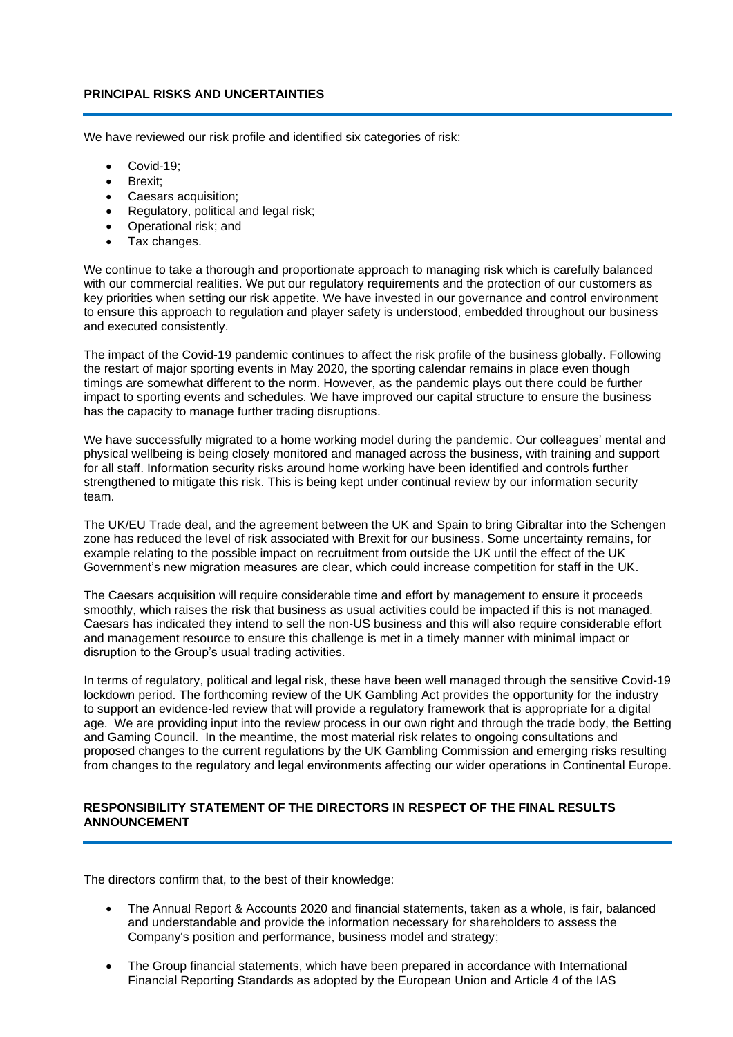# **PRINCIPAL RISKS AND UNCERTAINTIES**

We have reviewed our risk profile and identified six categories of risk:

- Covid-19:
- Brexit;
- Caesars acquisition;
- Regulatory, political and legal risk;
- Operational risk; and
- Tax changes.

We continue to take a thorough and proportionate approach to managing risk which is carefully balanced with our commercial realities. We put our regulatory requirements and the protection of our customers as key priorities when setting our risk appetite. We have invested in our governance and control environment to ensure this approach to regulation and player safety is understood, embedded throughout our business and executed consistently.

The impact of the Covid-19 pandemic continues to affect the risk profile of the business globally. Following the restart of major sporting events in May 2020, the sporting calendar remains in place even though timings are somewhat different to the norm. However, as the pandemic plays out there could be further impact to sporting events and schedules. We have improved our capital structure to ensure the business has the capacity to manage further trading disruptions.

We have successfully migrated to a home working model during the pandemic. Our colleagues' mental and physical wellbeing is being closely monitored and managed across the business, with training and support for all staff. Information security risks around home working have been identified and controls further strengthened to mitigate this risk. This is being kept under continual review by our information security team.

The UK/EU Trade deal, and the agreement between the UK and Spain to bring Gibraltar into the Schengen zone has reduced the level of risk associated with Brexit for our business. Some uncertainty remains, for example relating to the possible impact on recruitment from outside the UK until the effect of the UK Government's new migration measures are clear, which could increase competition for staff in the UK.

The Caesars acquisition will require considerable time and effort by management to ensure it proceeds smoothly, which raises the risk that business as usual activities could be impacted if this is not managed. Caesars has indicated they intend to sell the non-US business and this will also require considerable effort and management resource to ensure this challenge is met in a timely manner with minimal impact or disruption to the Group's usual trading activities.

In terms of regulatory, political and legal risk, these have been well managed through the sensitive Covid-19 lockdown period. The forthcoming review of the UK Gambling Act provides the opportunity for the industry to support an evidence-led review that will provide a regulatory framework that is appropriate for a digital age. We are providing input into the review process in our own right and through the trade body, the Betting and Gaming Council. In the meantime, the most material risk relates to ongoing consultations and proposed changes to the current regulations by the UK Gambling Commission and emerging risks resulting from changes to the regulatory and legal environments affecting our wider operations in Continental Europe.

# **RESPONSIBILITY STATEMENT OF THE DIRECTORS IN RESPECT OF THE FINAL RESULTS ANNOUNCEMENT**

The directors confirm that, to the best of their knowledge:

- The Annual Report & Accounts 2020 and financial statements, taken as a whole, is fair, balanced and understandable and provide the information necessary for shareholders to assess the Company's position and performance, business model and strategy;
- The Group financial statements, which have been prepared in accordance with International Financial Reporting Standards as adopted by the European Union and Article 4 of the IAS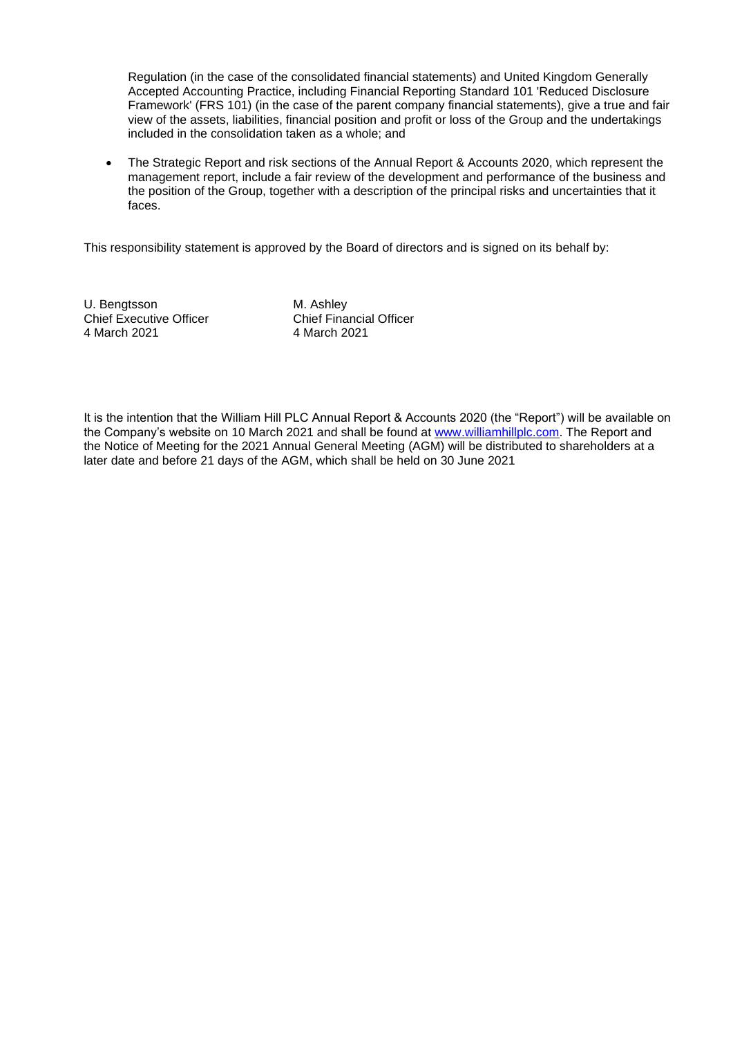Regulation (in the case of the consolidated financial statements) and United Kingdom Generally Accepted Accounting Practice, including Financial Reporting Standard 101 'Reduced Disclosure Framework' (FRS 101) (in the case of the parent company financial statements), give a true and fair view of the assets, liabilities, financial position and profit or loss of the Group and the undertakings included in the consolidation taken as a whole; and

• The Strategic Report and risk sections of the Annual Report & Accounts 2020, which represent the management report, include a fair review of the development and performance of the business and the position of the Group, together with a description of the principal risks and uncertainties that it faces.

This responsibility statement is approved by the Board of directors and is signed on its behalf by:

U. Bengtsson M. Ashley<br>
Chief Executive Officer
Chief Financial Officer Chief Executive Officer<br>4 March 2021

4 March 2021 4 March 2021

It is the intention that the William Hill PLC Annual Report & Accounts 2020 (the "Report") will be available on the Company's website on 10 March 2021 and shall be found at [www.williamhillplc.com.](http://www.williamhillplc.com/) The Report and the Notice of Meeting for the 2021 Annual General Meeting (AGM) will be distributed to shareholders at a later date and before 21 days of the AGM, which shall be held on 30 June 2021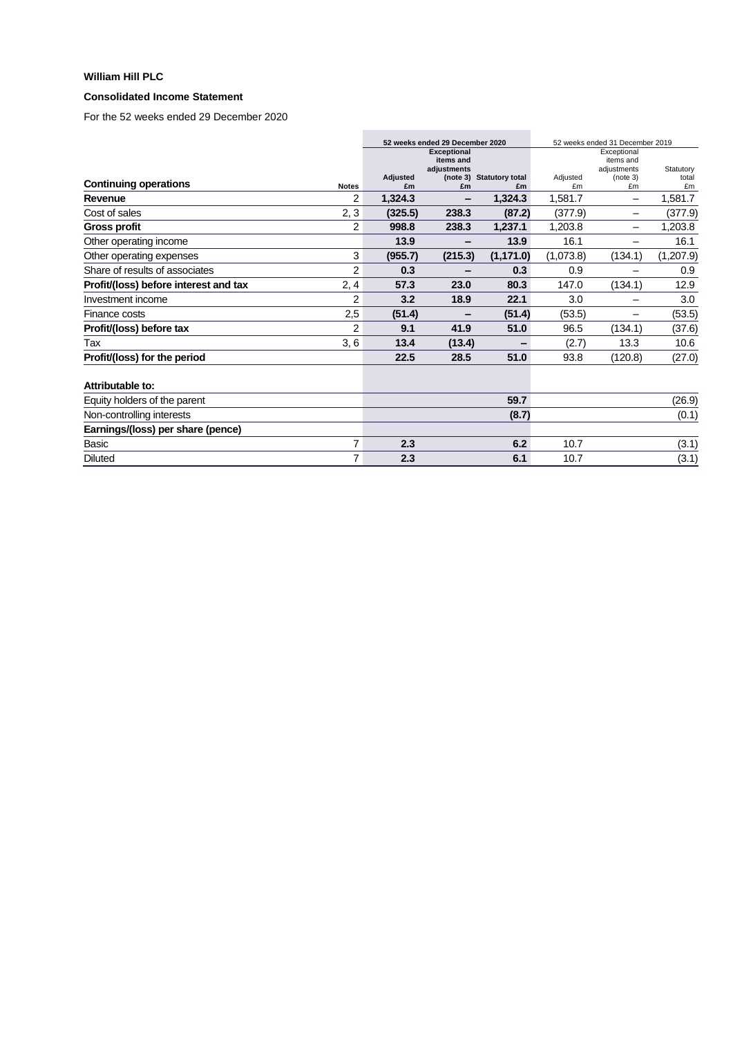## **Consolidated Income Statement**

|                                       |              |                | 52 weeks ended 29 December 2020<br><b>Exceptional</b> |                                | 52 weeks ended 31 December 2019<br>Exceptional |                |             |
|---------------------------------------|--------------|----------------|-------------------------------------------------------|--------------------------------|------------------------------------------------|----------------|-------------|
|                                       |              |                | items and                                             |                                |                                                | items and      |             |
|                                       |              |                | adiustments                                           |                                |                                                | adiustments    | Statutory   |
| <b>Continuing operations</b>          | <b>Notes</b> | Adjusted<br>£m | £m                                                    | (note 3) Statutory total<br>£m | Adjusted<br>£m                                 | (note 3)<br>£m | total<br>£m |
| Revenue                               | 2            | 1,324.3        |                                                       | 1,324.3                        | 1,581.7                                        | -              | 1,581.7     |
| Cost of sales                         | 2, 3         | (325.5)        | 238.3                                                 | (87.2)                         | (377.9)                                        | —              | (377.9)     |
| <b>Gross profit</b>                   | 2            | 998.8          | 238.3                                                 | 1,237.1                        | 1,203.8                                        |                | 1,203.8     |
| Other operating income                |              | 13.9           |                                                       | 13.9                           | 16.1                                           |                | 16.1        |
| Other operating expenses              | 3            | (955.7)        | (215.3)                                               | (1, 171.0)                     | (1,073.8)                                      | (134.1)        | (1,207.9)   |
| Share of results of associates        | 2            | 0.3            |                                                       | 0.3                            | 0.9                                            | —              | 0.9         |
| Profit/(loss) before interest and tax | 2, 4         | 57.3           | 23.0                                                  | 80.3                           | 147.0                                          | (134.1)        | 12.9        |
| Investment income                     | 2            | 3.2            | 18.9                                                  | 22.1                           | 3.0                                            |                | 3.0         |
| Finance costs                         | 2,5          | (51.4)         |                                                       | (51.4)                         | (53.5)                                         |                | (53.5)      |
| Profit/(loss) before tax              | 2            | 9.1            | 41.9                                                  | 51.0                           | 96.5                                           | (134.1)        | (37.6)      |
| Tax                                   | 3, 6         | 13.4           | (13.4)                                                | -                              | (2.7)                                          | 13.3           | 10.6        |
| Profit/(loss) for the period          |              | 22.5           | 28.5                                                  | 51.0                           | 93.8                                           | (120.8)        | (27.0)      |
| Attributable to:                      |              |                |                                                       |                                |                                                |                |             |
| Equity holders of the parent          |              |                |                                                       | 59.7                           |                                                |                | (26.9)      |
| Non-controlling interests             |              |                |                                                       | (8.7)                          |                                                |                | (0.1)       |
| Earnings/(loss) per share (pence)     |              |                |                                                       |                                |                                                |                |             |
| Basic                                 | 7            | 2.3            |                                                       | 6.2                            | 10.7                                           |                | (3.1)       |
| <b>Diluted</b>                        | 7            | 2.3            |                                                       | 6.1                            | 10.7                                           |                | (3.1)       |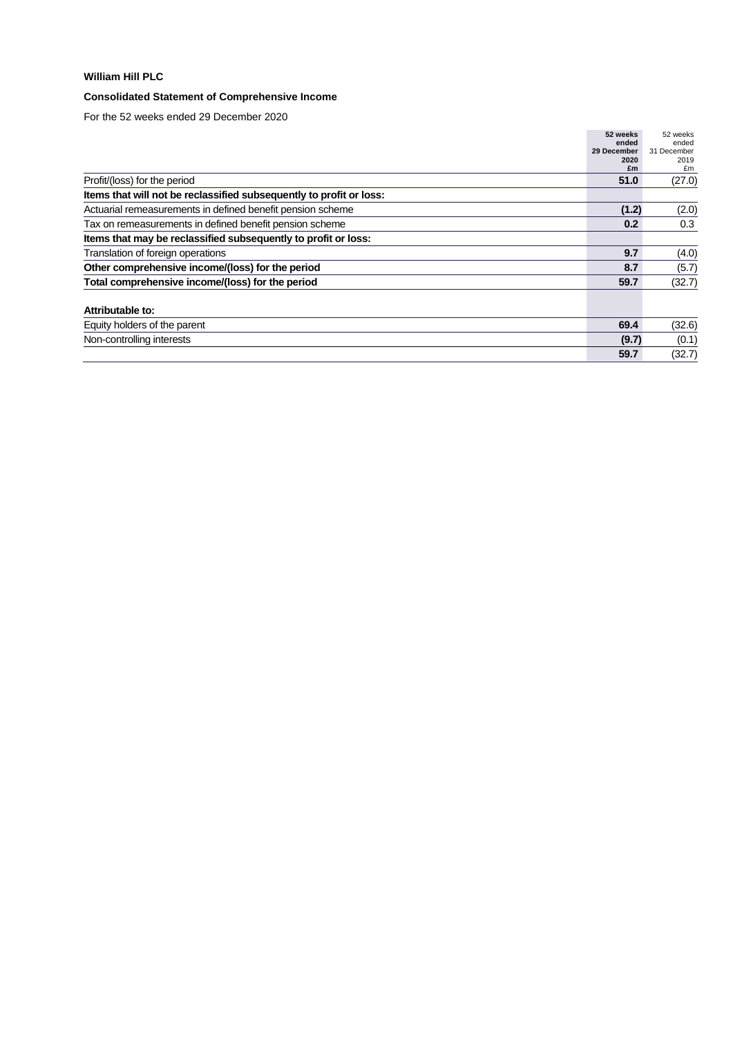# **Consolidated Statement of Comprehensive Income**

|                                                                     | 52 weeks    | 52 weeks    |
|---------------------------------------------------------------------|-------------|-------------|
|                                                                     | ended       | ended       |
|                                                                     | 29 December | 31 December |
|                                                                     | 2020        | 2019        |
|                                                                     | £m          | £m          |
| Profit/(loss) for the period                                        | 51.0        | (27.0)      |
| Items that will not be reclassified subsequently to profit or loss: |             |             |
| Actuarial remeasurements in defined benefit pension scheme          | (1.2)       | (2.0)       |
| Tax on remeasurements in defined benefit pension scheme             | 0.2         | 0.3         |
| Items that may be reclassified subsequently to profit or loss:      |             |             |
| Translation of foreign operations                                   | 9.7         | (4.0)       |
| Other comprehensive income/(loss) for the period                    | 8.7         | (5.7)       |
| Total comprehensive income/(loss) for the period                    | 59.7        | (32.7)      |
| Attributable to:                                                    |             |             |
| Equity holders of the parent                                        | 69.4        | (32.6)      |
| Non-controlling interests                                           | (9.7)       | (0.1)       |
|                                                                     | 59.7        | (32.7)      |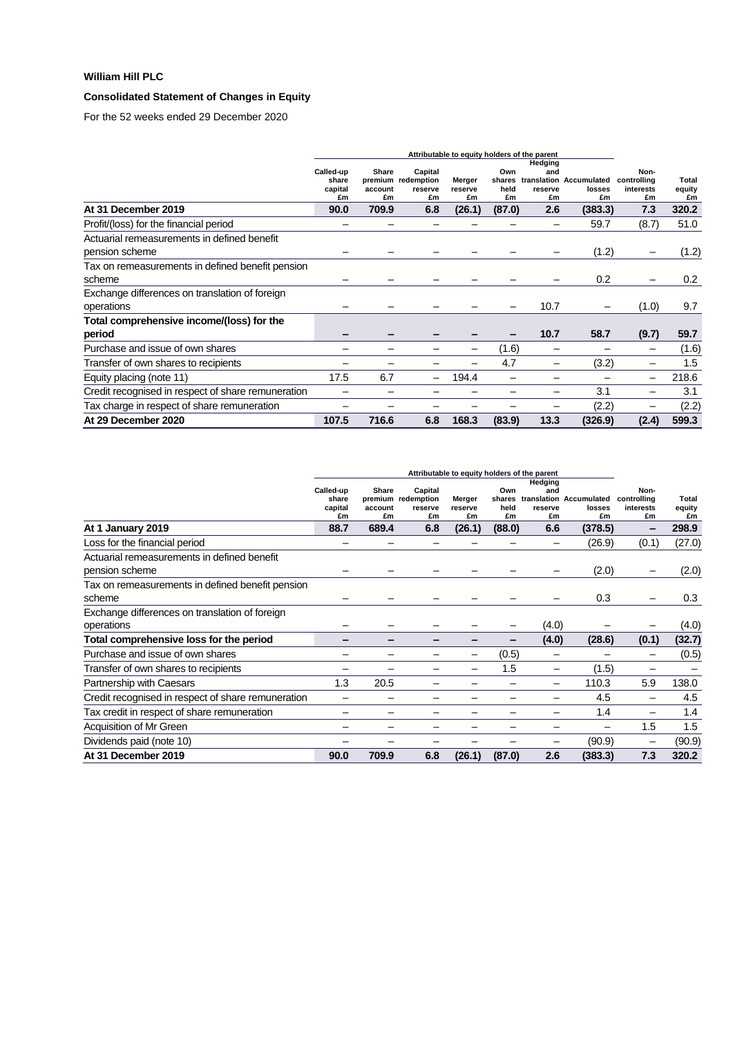# **Consolidated Statement of Changes in Equity**

|                                                               | Attributable to equity holders of the parent |                        |                                                |                         |                             |                                 |                                         |                                        |                              |
|---------------------------------------------------------------|----------------------------------------------|------------------------|------------------------------------------------|-------------------------|-----------------------------|---------------------------------|-----------------------------------------|----------------------------------------|------------------------------|
|                                                               | Called-up<br>share<br>capital<br>£m          | Share<br>account<br>£m | Capital<br>premium redemption<br>reserve<br>£m | Merger<br>reserve<br>£m | Own<br>shares<br>held<br>£m | Hedging<br>and<br>reserve<br>£m | translation Accumulated<br>losses<br>£m | Non-<br>controlling<br>interests<br>£m | <b>Total</b><br>equity<br>£m |
| At 31 December 2019                                           | 90.0                                         | 709.9                  | 6.8                                            | (26.1)                  | (87.0)                      | 2.6                             | (383.3)                                 | 7.3                                    | 320.2                        |
| Profit/(loss) for the financial period                        |                                              |                        |                                                |                         |                             |                                 | 59.7                                    | (8.7)                                  | 51.0                         |
| Actuarial remeasurements in defined benefit<br>pension scheme |                                              |                        |                                                |                         |                             |                                 | (1.2)                                   |                                        | (1.2)                        |
| Tax on remeasurements in defined benefit pension<br>scheme    |                                              |                        |                                                |                         |                             |                                 | 0.2                                     |                                        | 0.2                          |
| Exchange differences on translation of foreign<br>operations  |                                              |                        |                                                |                         |                             | 10.7                            |                                         | (1.0)                                  | 9.7                          |
| Total comprehensive income/(loss) for the<br>period           |                                              |                        |                                                |                         |                             | 10.7                            | 58.7                                    | (9.7)                                  | 59.7                         |
| Purchase and issue of own shares                              |                                              |                        |                                                |                         | (1.6)                       |                                 |                                         |                                        | (1.6)                        |
| Transfer of own shares to recipients                          |                                              |                        |                                                |                         | 4.7                         |                                 | (3.2)                                   |                                        | 1.5                          |
| Equity placing (note 11)                                      | 17.5                                         | 6.7                    |                                                | 194.4                   |                             |                                 |                                         |                                        | 218.6                        |
| Credit recognised in respect of share remuneration            |                                              |                        |                                                |                         |                             | -                               | 3.1                                     |                                        | 3.1                          |
| Tax charge in respect of share remuneration                   |                                              |                        |                                                |                         |                             |                                 | (2.2)                                   |                                        | (2.2)                        |
| At 29 December 2020                                           | 107.5                                        | 716.6                  | 6.8                                            | 168.3                   | (83.9)                      | 13.3                            | (326.9)                                 | (2.4)                                  | 599.3                        |

|                                                    | Attributable to equity holders of the parent |                        |                                                |                         |                             |                                 |                                         |                                        |                       |
|----------------------------------------------------|----------------------------------------------|------------------------|------------------------------------------------|-------------------------|-----------------------------|---------------------------------|-----------------------------------------|----------------------------------------|-----------------------|
|                                                    | Called-up<br>share<br>capital<br>£m          | Share<br>account<br>£m | Capital<br>premium redemption<br>reserve<br>£m | Merger<br>reserve<br>£m | Own<br>shares<br>held<br>£m | Hedging<br>and<br>reserve<br>£m | translation Accumulated<br>losses<br>£m | Non-<br>controlling<br>interests<br>£m | Total<br>equity<br>£m |
| At 1 January 2019                                  | 88.7                                         | 689.4                  | 6.8                                            | (26.1)                  | (88.0)                      | 6.6                             | (378.5)                                 | -                                      | 298.9                 |
| Loss for the financial period                      |                                              |                        |                                                |                         |                             |                                 | (26.9)                                  | (0.1)                                  | (27.0)                |
| Actuarial remeasurements in defined benefit        |                                              |                        |                                                |                         |                             |                                 |                                         |                                        |                       |
| pension scheme                                     |                                              |                        |                                                |                         |                             |                                 | (2.0)                                   |                                        | (2.0)                 |
| Tax on remeasurements in defined benefit pension   |                                              |                        |                                                |                         |                             |                                 |                                         |                                        |                       |
| scheme                                             |                                              |                        |                                                |                         |                             |                                 | 0.3                                     |                                        | 0.3                   |
| Exchange differences on translation of foreign     |                                              |                        |                                                |                         |                             |                                 |                                         |                                        |                       |
| operations                                         |                                              |                        |                                                |                         |                             | (4.0)                           |                                         |                                        | (4.0)                 |
| Total comprehensive loss for the period            |                                              |                        |                                                |                         |                             | (4.0)                           | (28.6)                                  | (0.1)                                  | (32.7)                |
| Purchase and issue of own shares                   |                                              |                        |                                                |                         | (0.5)                       |                                 |                                         |                                        | (0.5)                 |
| Transfer of own shares to recipients               |                                              |                        |                                                |                         | 1.5                         |                                 | (1.5)                                   |                                        |                       |
| Partnership with Caesars                           | 1.3                                          | 20.5                   |                                                |                         |                             |                                 | 110.3                                   | 5.9                                    | 138.0                 |
| Credit recognised in respect of share remuneration |                                              |                        |                                                |                         |                             |                                 | 4.5                                     |                                        | 4.5                   |
| Tax credit in respect of share remuneration        |                                              |                        |                                                |                         |                             |                                 | 1.4                                     |                                        | 1.4                   |
| Acquisition of Mr Green                            |                                              |                        |                                                |                         |                             |                                 |                                         | 1.5                                    | 1.5                   |
| Dividends paid (note 10)                           |                                              |                        |                                                |                         |                             |                                 | (90.9)                                  |                                        | (90.9)                |
| At 31 December 2019                                | 90.0                                         | 709.9                  | 6.8                                            | (26.1)                  | (87.0)                      | 2.6                             | (383.3)                                 | 7.3                                    | 320.2                 |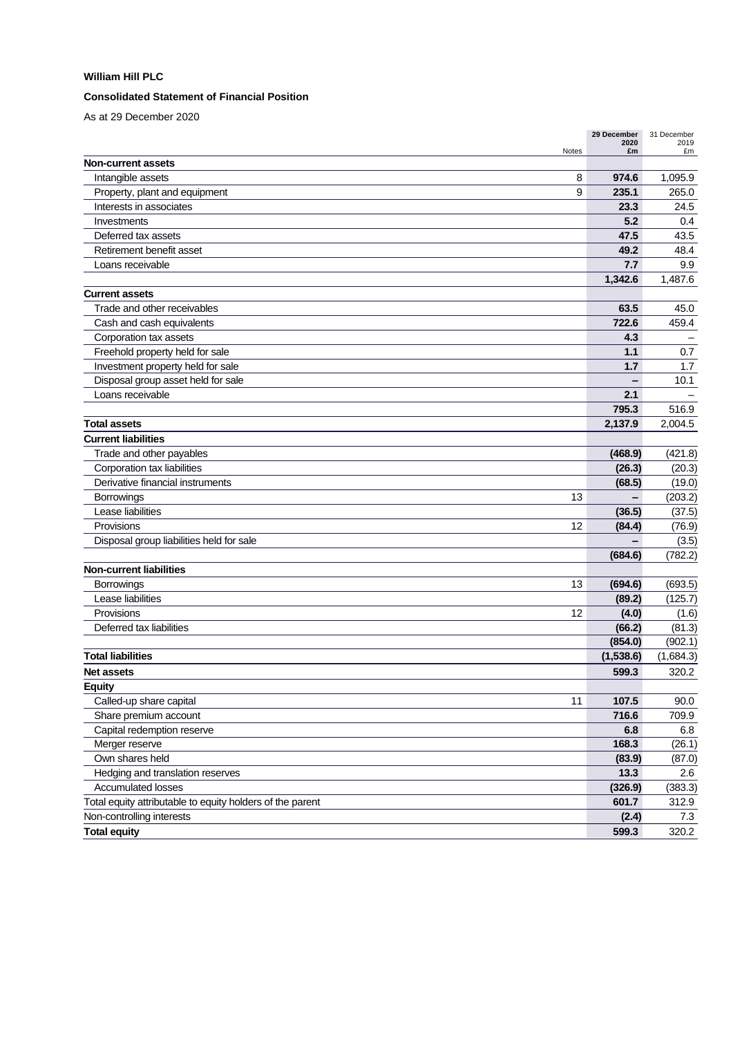### **Consolidated Statement of Financial Position**

As at 29 December 2020

| £m<br>£m<br>Notes<br><b>Non-current assets</b><br>1,095.9<br>Intangible assets<br>8<br>974.6<br>9<br>235.1<br>265.0<br>Property, plant and equipment<br>Interests in associates<br>23.3<br>24.5<br>5.2<br>0.4<br>Investments<br>47.5<br>43.5<br>Deferred tax assets<br>Retirement benefit asset<br>49.2<br>48.4<br>7.7<br>9.9<br>Loans receivable<br>1,342.6<br>1,487.6<br><b>Current assets</b><br>Trade and other receivables<br>63.5<br>45.0<br>722.6<br>Cash and cash equivalents<br>459.4<br>Corporation tax assets<br>4.3<br>Freehold property held for sale<br>1.1<br>0.7<br>1.7<br>Investment property held for sale<br>1.7<br>Disposal group asset held for sale<br>10.1<br>2.1<br>Loans receivable<br>795.3<br>516.9<br>2,004.5<br><b>Total assets</b><br>2,137.9<br><b>Current liabilities</b><br>Trade and other payables<br>(468.9)<br>(421.8)<br>Corporation tax liabilities<br>(26.3)<br>(20.3)<br>Derivative financial instruments<br>(68.5)<br>(19.0)<br>13<br>(203.2)<br><b>Borrowings</b><br>Lease liabilities<br>(36.5)<br>(37.5)<br>Provisions<br>12<br>(84.4)<br>(76.9)<br>Disposal group liabilities held for sale<br>(3.5)<br>(684.6)<br>(782.2)<br><b>Non-current liabilities</b><br>13<br>(693.5)<br><b>Borrowings</b><br>(694.6)<br>Lease liabilities<br>(89.2)<br>(125.7)<br>Provisions<br>12<br>(4.0)<br>(1.6)<br>Deferred tax liabilities<br>(66.2)<br>(81.3)<br>(854.0)<br>(902.1)<br><b>Total liabilities</b><br>(1,538.6)<br>(1,684.3)<br>320.2<br><b>Net assets</b><br>599.3<br><b>Equity</b><br>Called-up share capital<br>11<br>107.5<br>90.0<br>716.6<br>Share premium account<br>709.9<br>Capital redemption reserve<br>6.8<br>6.8<br>Merger reserve<br>168.3<br>(26.1)<br>Own shares held<br>(83.9)<br>(87.0)<br>13.3<br>Hedging and translation reserves<br>2.6<br><b>Accumulated losses</b><br>(326.9)<br>(383.3)<br>Total equity attributable to equity holders of the parent<br>601.7<br>312.9<br>Non-controlling interests<br>(2.4)<br>7.3<br><b>Total equity</b><br>599.3<br>320.2 | 29 December<br>2020 | 31 December<br>2019 |
|---------------------------------------------------------------------------------------------------------------------------------------------------------------------------------------------------------------------------------------------------------------------------------------------------------------------------------------------------------------------------------------------------------------------------------------------------------------------------------------------------------------------------------------------------------------------------------------------------------------------------------------------------------------------------------------------------------------------------------------------------------------------------------------------------------------------------------------------------------------------------------------------------------------------------------------------------------------------------------------------------------------------------------------------------------------------------------------------------------------------------------------------------------------------------------------------------------------------------------------------------------------------------------------------------------------------------------------------------------------------------------------------------------------------------------------------------------------------------------------------------------------------------------------------------------------------------------------------------------------------------------------------------------------------------------------------------------------------------------------------------------------------------------------------------------------------------------------------------------------------------------------------------------------------------------------------------------------------------------------------------------------------------------|---------------------|---------------------|
|                                                                                                                                                                                                                                                                                                                                                                                                                                                                                                                                                                                                                                                                                                                                                                                                                                                                                                                                                                                                                                                                                                                                                                                                                                                                                                                                                                                                                                                                                                                                                                                                                                                                                                                                                                                                                                                                                                                                                                                                                                 |                     |                     |
|                                                                                                                                                                                                                                                                                                                                                                                                                                                                                                                                                                                                                                                                                                                                                                                                                                                                                                                                                                                                                                                                                                                                                                                                                                                                                                                                                                                                                                                                                                                                                                                                                                                                                                                                                                                                                                                                                                                                                                                                                                 |                     |                     |
|                                                                                                                                                                                                                                                                                                                                                                                                                                                                                                                                                                                                                                                                                                                                                                                                                                                                                                                                                                                                                                                                                                                                                                                                                                                                                                                                                                                                                                                                                                                                                                                                                                                                                                                                                                                                                                                                                                                                                                                                                                 |                     |                     |
|                                                                                                                                                                                                                                                                                                                                                                                                                                                                                                                                                                                                                                                                                                                                                                                                                                                                                                                                                                                                                                                                                                                                                                                                                                                                                                                                                                                                                                                                                                                                                                                                                                                                                                                                                                                                                                                                                                                                                                                                                                 |                     |                     |
|                                                                                                                                                                                                                                                                                                                                                                                                                                                                                                                                                                                                                                                                                                                                                                                                                                                                                                                                                                                                                                                                                                                                                                                                                                                                                                                                                                                                                                                                                                                                                                                                                                                                                                                                                                                                                                                                                                                                                                                                                                 |                     |                     |
|                                                                                                                                                                                                                                                                                                                                                                                                                                                                                                                                                                                                                                                                                                                                                                                                                                                                                                                                                                                                                                                                                                                                                                                                                                                                                                                                                                                                                                                                                                                                                                                                                                                                                                                                                                                                                                                                                                                                                                                                                                 |                     |                     |
|                                                                                                                                                                                                                                                                                                                                                                                                                                                                                                                                                                                                                                                                                                                                                                                                                                                                                                                                                                                                                                                                                                                                                                                                                                                                                                                                                                                                                                                                                                                                                                                                                                                                                                                                                                                                                                                                                                                                                                                                                                 |                     |                     |
|                                                                                                                                                                                                                                                                                                                                                                                                                                                                                                                                                                                                                                                                                                                                                                                                                                                                                                                                                                                                                                                                                                                                                                                                                                                                                                                                                                                                                                                                                                                                                                                                                                                                                                                                                                                                                                                                                                                                                                                                                                 |                     |                     |
|                                                                                                                                                                                                                                                                                                                                                                                                                                                                                                                                                                                                                                                                                                                                                                                                                                                                                                                                                                                                                                                                                                                                                                                                                                                                                                                                                                                                                                                                                                                                                                                                                                                                                                                                                                                                                                                                                                                                                                                                                                 |                     |                     |
|                                                                                                                                                                                                                                                                                                                                                                                                                                                                                                                                                                                                                                                                                                                                                                                                                                                                                                                                                                                                                                                                                                                                                                                                                                                                                                                                                                                                                                                                                                                                                                                                                                                                                                                                                                                                                                                                                                                                                                                                                                 |                     |                     |
|                                                                                                                                                                                                                                                                                                                                                                                                                                                                                                                                                                                                                                                                                                                                                                                                                                                                                                                                                                                                                                                                                                                                                                                                                                                                                                                                                                                                                                                                                                                                                                                                                                                                                                                                                                                                                                                                                                                                                                                                                                 |                     |                     |
|                                                                                                                                                                                                                                                                                                                                                                                                                                                                                                                                                                                                                                                                                                                                                                                                                                                                                                                                                                                                                                                                                                                                                                                                                                                                                                                                                                                                                                                                                                                                                                                                                                                                                                                                                                                                                                                                                                                                                                                                                                 |                     |                     |
|                                                                                                                                                                                                                                                                                                                                                                                                                                                                                                                                                                                                                                                                                                                                                                                                                                                                                                                                                                                                                                                                                                                                                                                                                                                                                                                                                                                                                                                                                                                                                                                                                                                                                                                                                                                                                                                                                                                                                                                                                                 |                     |                     |
|                                                                                                                                                                                                                                                                                                                                                                                                                                                                                                                                                                                                                                                                                                                                                                                                                                                                                                                                                                                                                                                                                                                                                                                                                                                                                                                                                                                                                                                                                                                                                                                                                                                                                                                                                                                                                                                                                                                                                                                                                                 |                     |                     |
|                                                                                                                                                                                                                                                                                                                                                                                                                                                                                                                                                                                                                                                                                                                                                                                                                                                                                                                                                                                                                                                                                                                                                                                                                                                                                                                                                                                                                                                                                                                                                                                                                                                                                                                                                                                                                                                                                                                                                                                                                                 |                     |                     |
|                                                                                                                                                                                                                                                                                                                                                                                                                                                                                                                                                                                                                                                                                                                                                                                                                                                                                                                                                                                                                                                                                                                                                                                                                                                                                                                                                                                                                                                                                                                                                                                                                                                                                                                                                                                                                                                                                                                                                                                                                                 |                     |                     |
|                                                                                                                                                                                                                                                                                                                                                                                                                                                                                                                                                                                                                                                                                                                                                                                                                                                                                                                                                                                                                                                                                                                                                                                                                                                                                                                                                                                                                                                                                                                                                                                                                                                                                                                                                                                                                                                                                                                                                                                                                                 |                     |                     |
|                                                                                                                                                                                                                                                                                                                                                                                                                                                                                                                                                                                                                                                                                                                                                                                                                                                                                                                                                                                                                                                                                                                                                                                                                                                                                                                                                                                                                                                                                                                                                                                                                                                                                                                                                                                                                                                                                                                                                                                                                                 |                     |                     |
|                                                                                                                                                                                                                                                                                                                                                                                                                                                                                                                                                                                                                                                                                                                                                                                                                                                                                                                                                                                                                                                                                                                                                                                                                                                                                                                                                                                                                                                                                                                                                                                                                                                                                                                                                                                                                                                                                                                                                                                                                                 |                     |                     |
|                                                                                                                                                                                                                                                                                                                                                                                                                                                                                                                                                                                                                                                                                                                                                                                                                                                                                                                                                                                                                                                                                                                                                                                                                                                                                                                                                                                                                                                                                                                                                                                                                                                                                                                                                                                                                                                                                                                                                                                                                                 |                     |                     |
|                                                                                                                                                                                                                                                                                                                                                                                                                                                                                                                                                                                                                                                                                                                                                                                                                                                                                                                                                                                                                                                                                                                                                                                                                                                                                                                                                                                                                                                                                                                                                                                                                                                                                                                                                                                                                                                                                                                                                                                                                                 |                     |                     |
|                                                                                                                                                                                                                                                                                                                                                                                                                                                                                                                                                                                                                                                                                                                                                                                                                                                                                                                                                                                                                                                                                                                                                                                                                                                                                                                                                                                                                                                                                                                                                                                                                                                                                                                                                                                                                                                                                                                                                                                                                                 |                     |                     |
|                                                                                                                                                                                                                                                                                                                                                                                                                                                                                                                                                                                                                                                                                                                                                                                                                                                                                                                                                                                                                                                                                                                                                                                                                                                                                                                                                                                                                                                                                                                                                                                                                                                                                                                                                                                                                                                                                                                                                                                                                                 |                     |                     |
|                                                                                                                                                                                                                                                                                                                                                                                                                                                                                                                                                                                                                                                                                                                                                                                                                                                                                                                                                                                                                                                                                                                                                                                                                                                                                                                                                                                                                                                                                                                                                                                                                                                                                                                                                                                                                                                                                                                                                                                                                                 |                     |                     |
|                                                                                                                                                                                                                                                                                                                                                                                                                                                                                                                                                                                                                                                                                                                                                                                                                                                                                                                                                                                                                                                                                                                                                                                                                                                                                                                                                                                                                                                                                                                                                                                                                                                                                                                                                                                                                                                                                                                                                                                                                                 |                     |                     |
|                                                                                                                                                                                                                                                                                                                                                                                                                                                                                                                                                                                                                                                                                                                                                                                                                                                                                                                                                                                                                                                                                                                                                                                                                                                                                                                                                                                                                                                                                                                                                                                                                                                                                                                                                                                                                                                                                                                                                                                                                                 |                     |                     |
|                                                                                                                                                                                                                                                                                                                                                                                                                                                                                                                                                                                                                                                                                                                                                                                                                                                                                                                                                                                                                                                                                                                                                                                                                                                                                                                                                                                                                                                                                                                                                                                                                                                                                                                                                                                                                                                                                                                                                                                                                                 |                     |                     |
|                                                                                                                                                                                                                                                                                                                                                                                                                                                                                                                                                                                                                                                                                                                                                                                                                                                                                                                                                                                                                                                                                                                                                                                                                                                                                                                                                                                                                                                                                                                                                                                                                                                                                                                                                                                                                                                                                                                                                                                                                                 |                     |                     |
|                                                                                                                                                                                                                                                                                                                                                                                                                                                                                                                                                                                                                                                                                                                                                                                                                                                                                                                                                                                                                                                                                                                                                                                                                                                                                                                                                                                                                                                                                                                                                                                                                                                                                                                                                                                                                                                                                                                                                                                                                                 |                     |                     |
|                                                                                                                                                                                                                                                                                                                                                                                                                                                                                                                                                                                                                                                                                                                                                                                                                                                                                                                                                                                                                                                                                                                                                                                                                                                                                                                                                                                                                                                                                                                                                                                                                                                                                                                                                                                                                                                                                                                                                                                                                                 |                     |                     |
|                                                                                                                                                                                                                                                                                                                                                                                                                                                                                                                                                                                                                                                                                                                                                                                                                                                                                                                                                                                                                                                                                                                                                                                                                                                                                                                                                                                                                                                                                                                                                                                                                                                                                                                                                                                                                                                                                                                                                                                                                                 |                     |                     |
|                                                                                                                                                                                                                                                                                                                                                                                                                                                                                                                                                                                                                                                                                                                                                                                                                                                                                                                                                                                                                                                                                                                                                                                                                                                                                                                                                                                                                                                                                                                                                                                                                                                                                                                                                                                                                                                                                                                                                                                                                                 |                     |                     |
|                                                                                                                                                                                                                                                                                                                                                                                                                                                                                                                                                                                                                                                                                                                                                                                                                                                                                                                                                                                                                                                                                                                                                                                                                                                                                                                                                                                                                                                                                                                                                                                                                                                                                                                                                                                                                                                                                                                                                                                                                                 |                     |                     |
|                                                                                                                                                                                                                                                                                                                                                                                                                                                                                                                                                                                                                                                                                                                                                                                                                                                                                                                                                                                                                                                                                                                                                                                                                                                                                                                                                                                                                                                                                                                                                                                                                                                                                                                                                                                                                                                                                                                                                                                                                                 |                     |                     |
|                                                                                                                                                                                                                                                                                                                                                                                                                                                                                                                                                                                                                                                                                                                                                                                                                                                                                                                                                                                                                                                                                                                                                                                                                                                                                                                                                                                                                                                                                                                                                                                                                                                                                                                                                                                                                                                                                                                                                                                                                                 |                     |                     |
|                                                                                                                                                                                                                                                                                                                                                                                                                                                                                                                                                                                                                                                                                                                                                                                                                                                                                                                                                                                                                                                                                                                                                                                                                                                                                                                                                                                                                                                                                                                                                                                                                                                                                                                                                                                                                                                                                                                                                                                                                                 |                     |                     |
|                                                                                                                                                                                                                                                                                                                                                                                                                                                                                                                                                                                                                                                                                                                                                                                                                                                                                                                                                                                                                                                                                                                                                                                                                                                                                                                                                                                                                                                                                                                                                                                                                                                                                                                                                                                                                                                                                                                                                                                                                                 |                     |                     |
|                                                                                                                                                                                                                                                                                                                                                                                                                                                                                                                                                                                                                                                                                                                                                                                                                                                                                                                                                                                                                                                                                                                                                                                                                                                                                                                                                                                                                                                                                                                                                                                                                                                                                                                                                                                                                                                                                                                                                                                                                                 |                     |                     |
|                                                                                                                                                                                                                                                                                                                                                                                                                                                                                                                                                                                                                                                                                                                                                                                                                                                                                                                                                                                                                                                                                                                                                                                                                                                                                                                                                                                                                                                                                                                                                                                                                                                                                                                                                                                                                                                                                                                                                                                                                                 |                     |                     |
|                                                                                                                                                                                                                                                                                                                                                                                                                                                                                                                                                                                                                                                                                                                                                                                                                                                                                                                                                                                                                                                                                                                                                                                                                                                                                                                                                                                                                                                                                                                                                                                                                                                                                                                                                                                                                                                                                                                                                                                                                                 |                     |                     |
|                                                                                                                                                                                                                                                                                                                                                                                                                                                                                                                                                                                                                                                                                                                                                                                                                                                                                                                                                                                                                                                                                                                                                                                                                                                                                                                                                                                                                                                                                                                                                                                                                                                                                                                                                                                                                                                                                                                                                                                                                                 |                     |                     |
|                                                                                                                                                                                                                                                                                                                                                                                                                                                                                                                                                                                                                                                                                                                                                                                                                                                                                                                                                                                                                                                                                                                                                                                                                                                                                                                                                                                                                                                                                                                                                                                                                                                                                                                                                                                                                                                                                                                                                                                                                                 |                     |                     |
|                                                                                                                                                                                                                                                                                                                                                                                                                                                                                                                                                                                                                                                                                                                                                                                                                                                                                                                                                                                                                                                                                                                                                                                                                                                                                                                                                                                                                                                                                                                                                                                                                                                                                                                                                                                                                                                                                                                                                                                                                                 |                     |                     |
|                                                                                                                                                                                                                                                                                                                                                                                                                                                                                                                                                                                                                                                                                                                                                                                                                                                                                                                                                                                                                                                                                                                                                                                                                                                                                                                                                                                                                                                                                                                                                                                                                                                                                                                                                                                                                                                                                                                                                                                                                                 |                     |                     |
|                                                                                                                                                                                                                                                                                                                                                                                                                                                                                                                                                                                                                                                                                                                                                                                                                                                                                                                                                                                                                                                                                                                                                                                                                                                                                                                                                                                                                                                                                                                                                                                                                                                                                                                                                                                                                                                                                                                                                                                                                                 |                     |                     |
|                                                                                                                                                                                                                                                                                                                                                                                                                                                                                                                                                                                                                                                                                                                                                                                                                                                                                                                                                                                                                                                                                                                                                                                                                                                                                                                                                                                                                                                                                                                                                                                                                                                                                                                                                                                                                                                                                                                                                                                                                                 |                     |                     |
|                                                                                                                                                                                                                                                                                                                                                                                                                                                                                                                                                                                                                                                                                                                                                                                                                                                                                                                                                                                                                                                                                                                                                                                                                                                                                                                                                                                                                                                                                                                                                                                                                                                                                                                                                                                                                                                                                                                                                                                                                                 |                     |                     |
|                                                                                                                                                                                                                                                                                                                                                                                                                                                                                                                                                                                                                                                                                                                                                                                                                                                                                                                                                                                                                                                                                                                                                                                                                                                                                                                                                                                                                                                                                                                                                                                                                                                                                                                                                                                                                                                                                                                                                                                                                                 |                     |                     |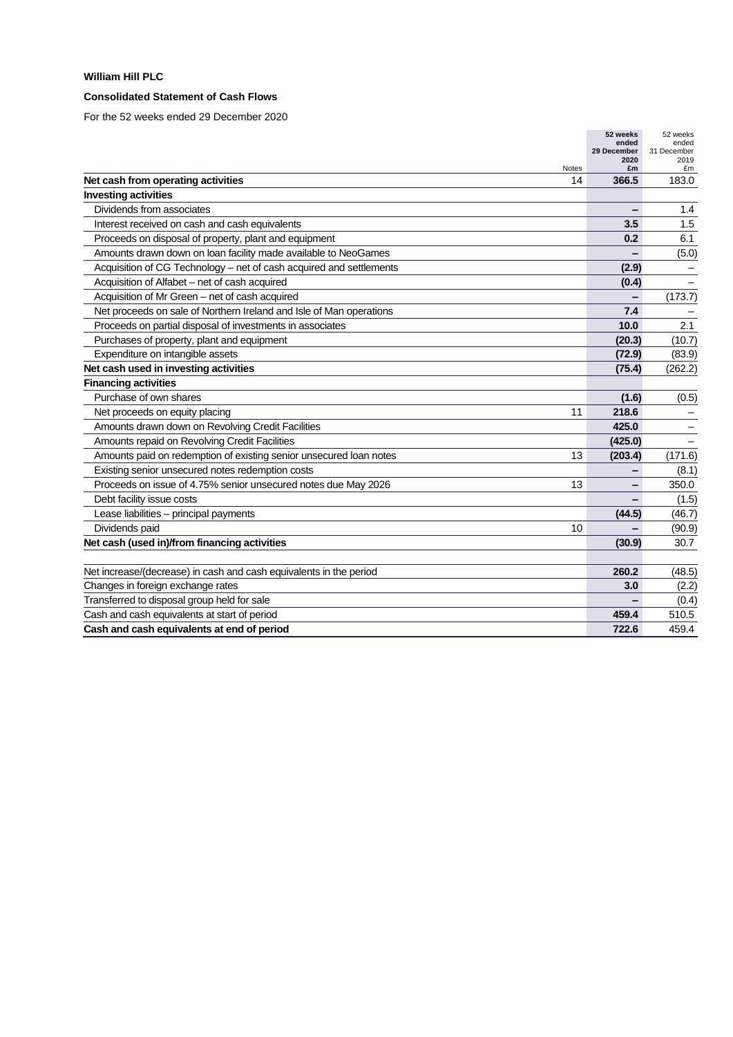### **Consolidated Statement of Cash Flows**

|                                                                          | 52 weeks<br>ended | 52 weeks<br>ended |
|--------------------------------------------------------------------------|-------------------|-------------------|
|                                                                          | 29 December       | 31 December       |
| Notes                                                                    | 2020<br>£m        | 2019<br>£m        |
| Net cash from operating activities<br>14                                 | 366.5             | 183.0             |
| <b>Investing activities</b>                                              |                   |                   |
| Dividends from associates                                                |                   | 1.4               |
| Interest received on cash and cash equivalents                           | 3.5               | 1.5               |
| Proceeds on disposal of property, plant and equipment                    | 0.2               | 6.1               |
| Amounts drawn down on loan facility made available to NeoGames           |                   | (5.0)             |
| Acquisition of CG Technology – net of cash acquired and settlements      | (2.9)             |                   |
| Acquisition of Alfabet - net of cash acquired                            | (0.4)             |                   |
| Acquisition of Mr Green - net of cash acquired                           | -                 | (173.7)           |
| Net proceeds on sale of Northern Ireland and Isle of Man operations      | 7.4               |                   |
| Proceeds on partial disposal of investments in associates                | 10.0              | 2.1               |
| Purchases of property, plant and equipment                               | (20.3)            | (10.7)            |
| Expenditure on intangible assets                                         | (72.9)            | (83.9)            |
| Net cash used in investing activities                                    | (75.4)            | (262.2)           |
| <b>Financing activities</b>                                              |                   |                   |
| Purchase of own shares                                                   | (1.6)             | (0.5)             |
| 11<br>Net proceeds on equity placing                                     | 218.6             |                   |
| Amounts drawn down on Revolving Credit Facilities                        | 425.0             |                   |
| Amounts repaid on Revolving Credit Facilities                            | (425.0)           |                   |
| Amounts paid on redemption of existing senior unsecured loan notes<br>13 | (203.4)           | (171.6)           |
| Existing senior unsecured notes redemption costs                         |                   | (8.1)             |
| Proceeds on issue of 4.75% senior unsecured notes due May 2026<br>13     |                   | 350.0             |
| Debt facility issue costs                                                |                   | (1.5)             |
| Lease liabilities - principal payments                                   | (44.5)            | (46.7)            |
| Dividends paid<br>10                                                     |                   | (90.9)            |
| Net cash (used in)/from financing activities                             | (30.9)            | 30.7              |
|                                                                          |                   |                   |
| Net increase/(decrease) in cash and cash equivalents in the period       | 260.2             | (48.5)            |
| Changes in foreign exchange rates                                        | 3.0               | (2.2)             |
| Transferred to disposal group held for sale                              |                   | (0.4)             |
| Cash and cash equivalents at start of period                             | 459.4             | 510.5             |
| Cash and cash equivalents at end of period                               | 722.6             | 459.4             |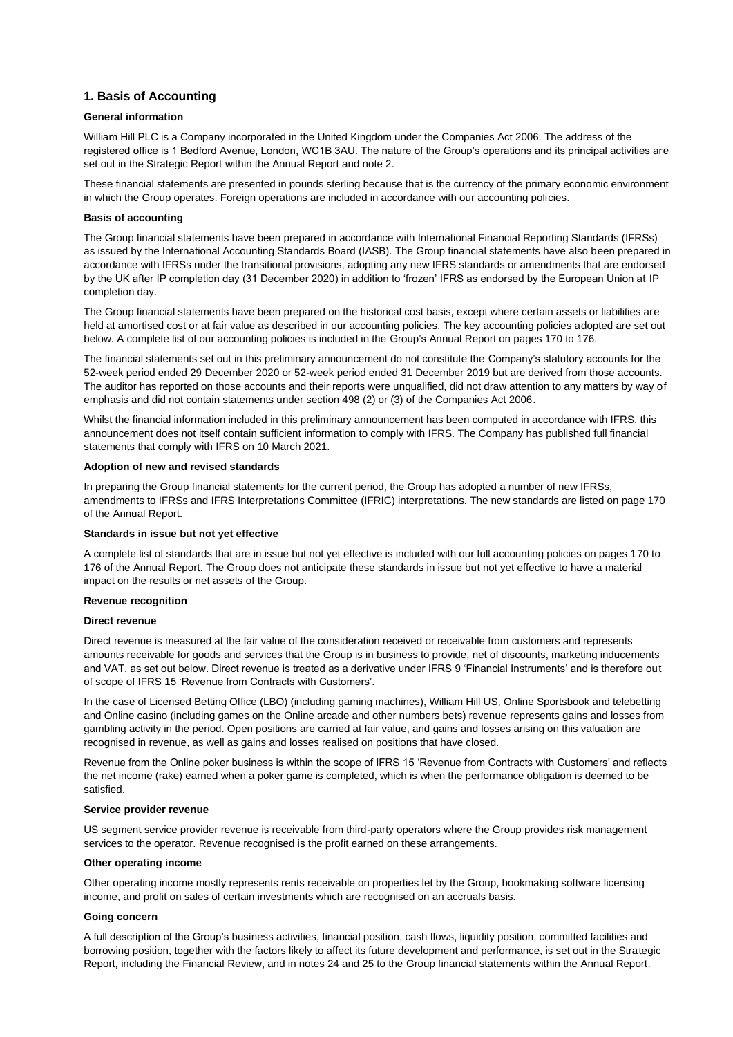### **1. Basis of Accounting**

### **General information**

William Hill PLC is a Company incorporated in the United Kingdom under the Companies Act 2006. The address of the registered office is 1 Bedford Avenue, London, WC1B 3AU. The nature of the Group's operations and its principal activities are set out in the Strategic Report within the Annual Report and note 2.

These financial statements are presented in pounds sterling because that is the currency of the primary economic environment in which the Group operates. Foreign operations are included in accordance with our accounting policies.

#### **Basis of accounting**

The Group financial statements have been prepared in accordance with International Financial Reporting Standards (IFRSs) as issued by the International Accounting Standards Board (IASB). The Group financial statements have also been prepared in accordance with IFRSs under the transitional provisions, adopting any new IFRS standards or amendments that are endorsed by the UK after IP completion day (31 December 2020) in addition to 'frozen' IFRS as endorsed by the European Union at IP completion day.

The Group financial statements have been prepared on the historical cost basis, except where certain assets or liabilities are held at amortised cost or at fair value as described in our accounting policies. The key accounting policies adopted are set out below. A complete list of our accounting policies is included in the Group's Annual Report on pages 170 to 176.

The financial statements set out in this preliminary announcement do not constitute the Company's statutory accounts for the 52-week period ended 29 December 2020 or 52-week period ended 31 December 2019 but are derived from those accounts. The auditor has reported on those accounts and their reports were unqualified, did not draw attention to any matters by way of emphasis and did not contain statements under section 498 (2) or (3) of the Companies Act 2006.

Whilst the financial information included in this preliminary announcement has been computed in accordance with IFRS, this announcement does not itself contain sufficient information to comply with IFRS. The Company has published full financial statements that comply with IFRS on 10 March 2021.

### **Adoption of new and revised standards**

In preparing the Group financial statements for the current period, the Group has adopted a number of new IFRSs, amendments to IFRSs and IFRS Interpretations Committee (IFRIC) interpretations. The new standards are listed on page 170 of the Annual Report.

### **Standards in issue but not yet effective**

A complete list of standards that are in issue but not yet effective is included with our full accounting policies on pages 170 to 176 of the Annual Report. The Group does not anticipate these standards in issue but not yet effective to have a material impact on the results or net assets of the Group.

#### **Revenue recognition**

#### **Direct revenue**

Direct revenue is measured at the fair value of the consideration received or receivable from customers and represents amounts receivable for goods and services that the Group is in business to provide, net of discounts, marketing inducements and VAT, as set out below. Direct revenue is treated as a derivative under IFRS 9 'Financial Instruments' and is therefore out of scope of IFRS 15 'Revenue from Contracts with Customers'.

In the case of Licensed Betting Office (LBO) (including gaming machines), William Hill US, Online Sportsbook and telebetting and Online casino (including games on the Online arcade and other numbers bets) revenue represents gains and losses from gambling activity in the period. Open positions are carried at fair value, and gains and losses arising on this valuation are recognised in revenue, as well as gains and losses realised on positions that have closed.

Revenue from the Online poker business is within the scope of IFRS 15 'Revenue from Contracts with Customers' and reflects the net income (rake) earned when a poker game is completed, which is when the performance obligation is deemed to be satisfied.

#### **Service provider revenue**

US segment service provider revenue is receivable from third-party operators where the Group provides risk management services to the operator. Revenue recognised is the profit earned on these arrangements.

#### **Other operating income**

Other operating income mostly represents rents receivable on properties let by the Group, bookmaking software licensing income, and profit on sales of certain investments which are recognised on an accruals basis.

### **Going concern**

A full description of the Group's business activities, financial position, cash flows, liquidity position, committed facilities and borrowing position, together with the factors likely to affect its future development and performance, is set out in the Strategic Report, including the Financial Review, and in notes 24 and 25 to the Group financial statements within the Annual Report.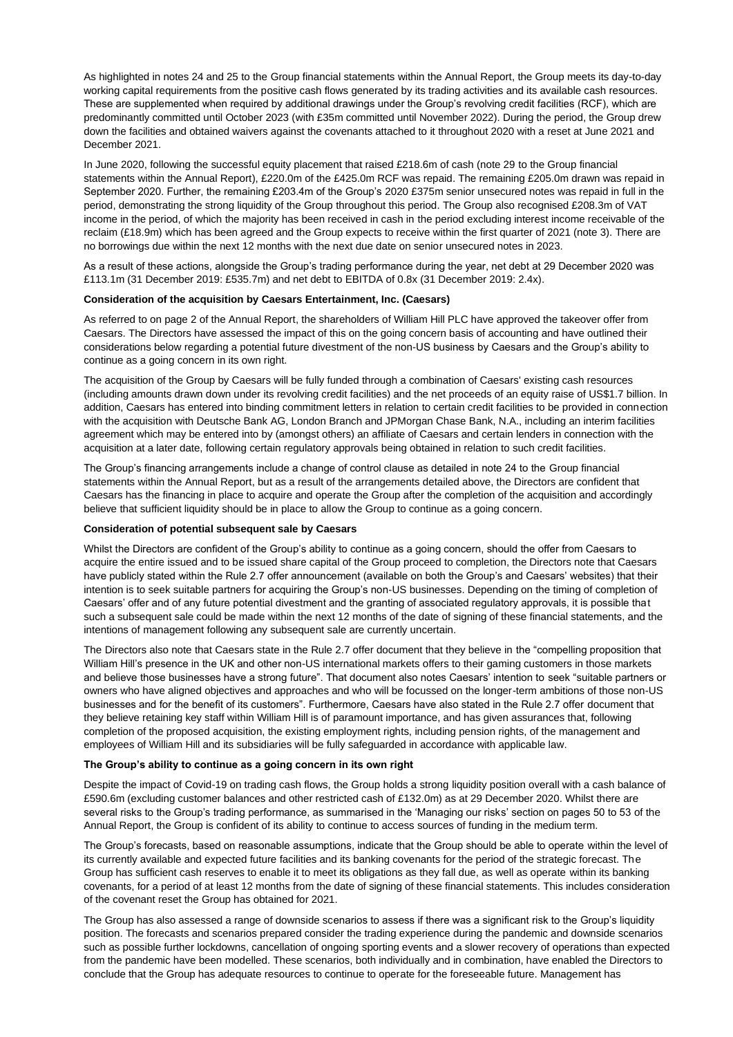As highlighted in notes 24 and 25 to the Group financial statements within the Annual Report, the Group meets its day-to-day working capital requirements from the positive cash flows generated by its trading activities and its available cash resources. These are supplemented when required by additional drawings under the Group's revolving credit facilities (RCF), which are predominantly committed until October 2023 (with £35m committed until November 2022). During the period, the Group drew down the facilities and obtained waivers against the covenants attached to it throughout 2020 with a reset at June 2021 and December 2021.

In June 2020, following the successful equity placement that raised £218.6m of cash (note 29 to the Group financial statements within the Annual Report), £220.0m of the £425.0m RCF was repaid. The remaining £205.0m drawn was repaid in September 2020. Further, the remaining £203.4m of the Group's 2020 £375m senior unsecured notes was repaid in full in the period, demonstrating the strong liquidity of the Group throughout this period. The Group also recognised £208.3m of VAT income in the period, of which the majority has been received in cash in the period excluding interest income receivable of the reclaim (£18.9m) which has been agreed and the Group expects to receive within the first quarter of 2021 (note 3). There are no borrowings due within the next 12 months with the next due date on senior unsecured notes in 2023.

As a result of these actions, alongside the Group's trading performance during the year, net debt at 29 December 2020 was £113.1m (31 December 2019: £535.7m) and net debt to EBITDA of 0.8x (31 December 2019: 2.4x).

### **Consideration of the acquisition by Caesars Entertainment, Inc. (Caesars)**

As referred to on page 2 of the Annual Report, the shareholders of William Hill PLC have approved the takeover offer from Caesars. The Directors have assessed the impact of this on the going concern basis of accounting and have outlined their considerations below regarding a potential future divestment of the non-US business by Caesars and the Group's ability to continue as a going concern in its own right.

The acquisition of the Group by Caesars will be fully funded through a combination of Caesars' existing cash resources (including amounts drawn down under its revolving credit facilities) and the net proceeds of an equity raise of US\$1.7 billion. In addition, Caesars has entered into binding commitment letters in relation to certain credit facilities to be provided in connection with the acquisition with Deutsche Bank AG, London Branch and JPMorgan Chase Bank, N.A., including an interim facilities agreement which may be entered into by (amongst others) an affiliate of Caesars and certain lenders in connection with the acquisition at a later date, following certain regulatory approvals being obtained in relation to such credit facilities.

The Group's financing arrangements include a change of control clause as detailed in note 24 to the Group financial statements within the Annual Report, but as a result of the arrangements detailed above, the Directors are confident that Caesars has the financing in place to acquire and operate the Group after the completion of the acquisition and accordingly believe that sufficient liquidity should be in place to allow the Group to continue as a going concern.

### **Consideration of potential subsequent sale by Caesars**

Whilst the Directors are confident of the Group's ability to continue as a going concern, should the offer from Caesars to acquire the entire issued and to be issued share capital of the Group proceed to completion, the Directors note that Caesars have publicly stated within the Rule 2.7 offer announcement (available on both the Group's and Caesars' websites) that their intention is to seek suitable partners for acquiring the Group's non-US businesses. Depending on the timing of completion of Caesars' offer and of any future potential divestment and the granting of associated regulatory approvals, it is possible that such a subsequent sale could be made within the next 12 months of the date of signing of these financial statements, and the intentions of management following any subsequent sale are currently uncertain.

The Directors also note that Caesars state in the Rule 2.7 offer document that they believe in the "compelling proposition that William Hill's presence in the UK and other non-US international markets offers to their gaming customers in those markets and believe those businesses have a strong future". That document also notes Caesars' intention to seek "suitable partners or owners who have aligned objectives and approaches and who will be focussed on the longer-term ambitions of those non-US businesses and for the benefit of its customers". Furthermore, Caesars have also stated in the Rule 2.7 offer document that they believe retaining key staff within William Hill is of paramount importance, and has given assurances that, following completion of the proposed acquisition, the existing employment rights, including pension rights, of the management and employees of William Hill and its subsidiaries will be fully safeguarded in accordance with applicable law.

### **The Group's ability to continue as a going concern in its own right**

Despite the impact of Covid-19 on trading cash flows, the Group holds a strong liquidity position overall with a cash balance of £590.6m (excluding customer balances and other restricted cash of £132.0m) as at 29 December 2020. Whilst there are several risks to the Group's trading performance, as summarised in the 'Managing our risks' section on pages 50 to 53 of the Annual Report, the Group is confident of its ability to continue to access sources of funding in the medium term.

The Group's forecasts, based on reasonable assumptions, indicate that the Group should be able to operate within the level of its currently available and expected future facilities and its banking covenants for the period of the strategic forecast. The Group has sufficient cash reserves to enable it to meet its obligations as they fall due, as well as operate within its banking covenants, for a period of at least 12 months from the date of signing of these financial statements. This includes consideration of the covenant reset the Group has obtained for 2021.

The Group has also assessed a range of downside scenarios to assess if there was a significant risk to the Group's liquidity position. The forecasts and scenarios prepared consider the trading experience during the pandemic and downside scenarios such as possible further lockdowns, cancellation of ongoing sporting events and a slower recovery of operations than expected from the pandemic have been modelled. These scenarios, both individually and in combination, have enabled the Directors to conclude that the Group has adequate resources to continue to operate for the foreseeable future. Management has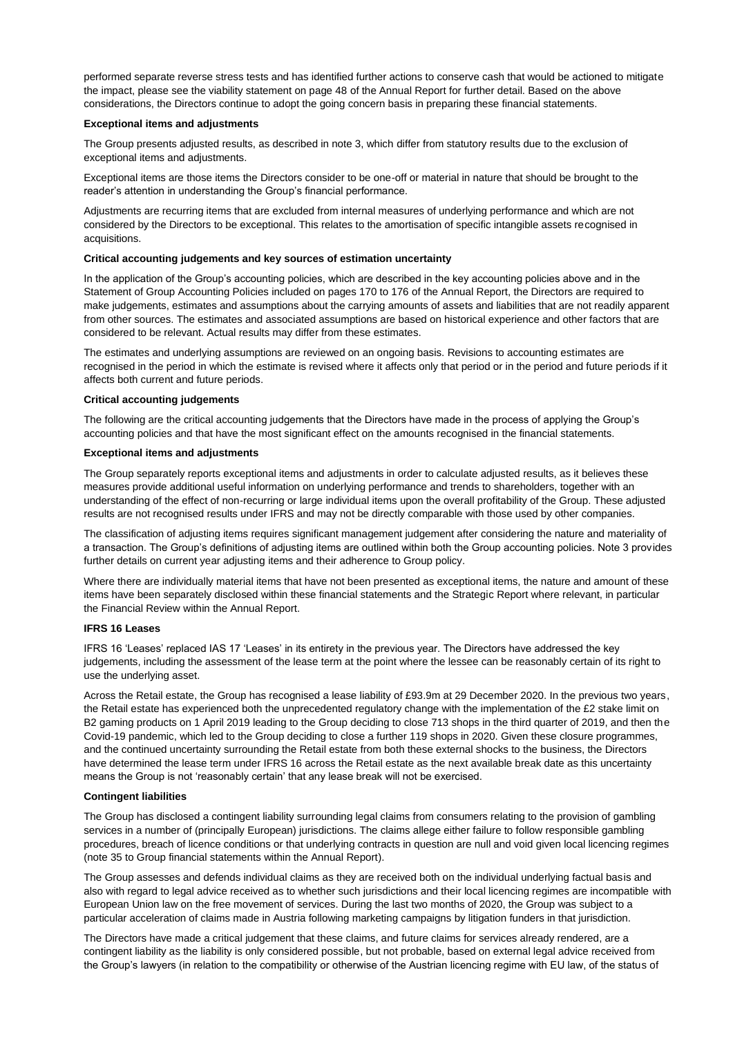performed separate reverse stress tests and has identified further actions to conserve cash that would be actioned to mitigate the impact, please see the viability statement on page 48 of the Annual Report for further detail. Based on the above considerations, the Directors continue to adopt the going concern basis in preparing these financial statements.

#### **Exceptional items and adjustments**

The Group presents adjusted results, as described in note 3, which differ from statutory results due to the exclusion of exceptional items and adjustments.

Exceptional items are those items the Directors consider to be one-off or material in nature that should be brought to the reader's attention in understanding the Group's financial performance.

Adjustments are recurring items that are excluded from internal measures of underlying performance and which are not considered by the Directors to be exceptional. This relates to the amortisation of specific intangible assets recognised in acquisitions.

#### **Critical accounting judgements and key sources of estimation uncertainty**

In the application of the Group's accounting policies, which are described in the key accounting policies above and in the Statement of Group Accounting Policies included on pages 170 to 176 of the Annual Report, the Directors are required to make judgements, estimates and assumptions about the carrying amounts of assets and liabilities that are not readily apparent from other sources. The estimates and associated assumptions are based on historical experience and other factors that are considered to be relevant. Actual results may differ from these estimates.

The estimates and underlying assumptions are reviewed on an ongoing basis. Revisions to accounting estimates are recognised in the period in which the estimate is revised where it affects only that period or in the period and future periods if it affects both current and future periods.

### **Critical accounting judgements**

The following are the critical accounting judgements that the Directors have made in the process of applying the Group's accounting policies and that have the most significant effect on the amounts recognised in the financial statements.

### **Exceptional items and adjustments**

The Group separately reports exceptional items and adjustments in order to calculate adjusted results, as it believes these measures provide additional useful information on underlying performance and trends to shareholders, together with an understanding of the effect of non-recurring or large individual items upon the overall profitability of the Group. These adjusted results are not recognised results under IFRS and may not be directly comparable with those used by other companies.

The classification of adjusting items requires significant management judgement after considering the nature and materiality of a transaction. The Group's definitions of adjusting items are outlined within both the Group accounting policies. Note 3 provides further details on current year adjusting items and their adherence to Group policy.

Where there are individually material items that have not been presented as exceptional items, the nature and amount of these items have been separately disclosed within these financial statements and the Strategic Report where relevant, in particular the Financial Review within the Annual Report.

### **IFRS 16 Leases**

IFRS 16 'Leases' replaced IAS 17 'Leases' in its entirety in the previous year. The Directors have addressed the key judgements, including the assessment of the lease term at the point where the lessee can be reasonably certain of its right to use the underlying asset.

Across the Retail estate, the Group has recognised a lease liability of £93.9m at 29 December 2020. In the previous two years, the Retail estate has experienced both the unprecedented regulatory change with the implementation of the £2 stake limit on B2 gaming products on 1 April 2019 leading to the Group deciding to close 713 shops in the third quarter of 2019, and then the Covid-19 pandemic, which led to the Group deciding to close a further 119 shops in 2020. Given these closure programmes, and the continued uncertainty surrounding the Retail estate from both these external shocks to the business, the Directors have determined the lease term under IFRS 16 across the Retail estate as the next available break date as this uncertainty means the Group is not 'reasonably certain' that any lease break will not be exercised.

#### **Contingent liabilities**

The Group has disclosed a contingent liability surrounding legal claims from consumers relating to the provision of gambling services in a number of (principally European) jurisdictions. The claims allege either failure to follow responsible gambling procedures, breach of licence conditions or that underlying contracts in question are null and void given local licencing regimes (note 35 to Group financial statements within the Annual Report).

The Group assesses and defends individual claims as they are received both on the individual underlying factual basis and also with regard to legal advice received as to whether such jurisdictions and their local licencing regimes are incompatible with European Union law on the free movement of services. During the last two months of 2020, the Group was subject to a particular acceleration of claims made in Austria following marketing campaigns by litigation funders in that jurisdiction.

The Directors have made a critical judgement that these claims, and future claims for services already rendered, are a contingent liability as the liability is only considered possible, but not probable, based on external legal advice received from the Group's lawyers (in relation to the compatibility or otherwise of the Austrian licencing regime with EU law, of the status of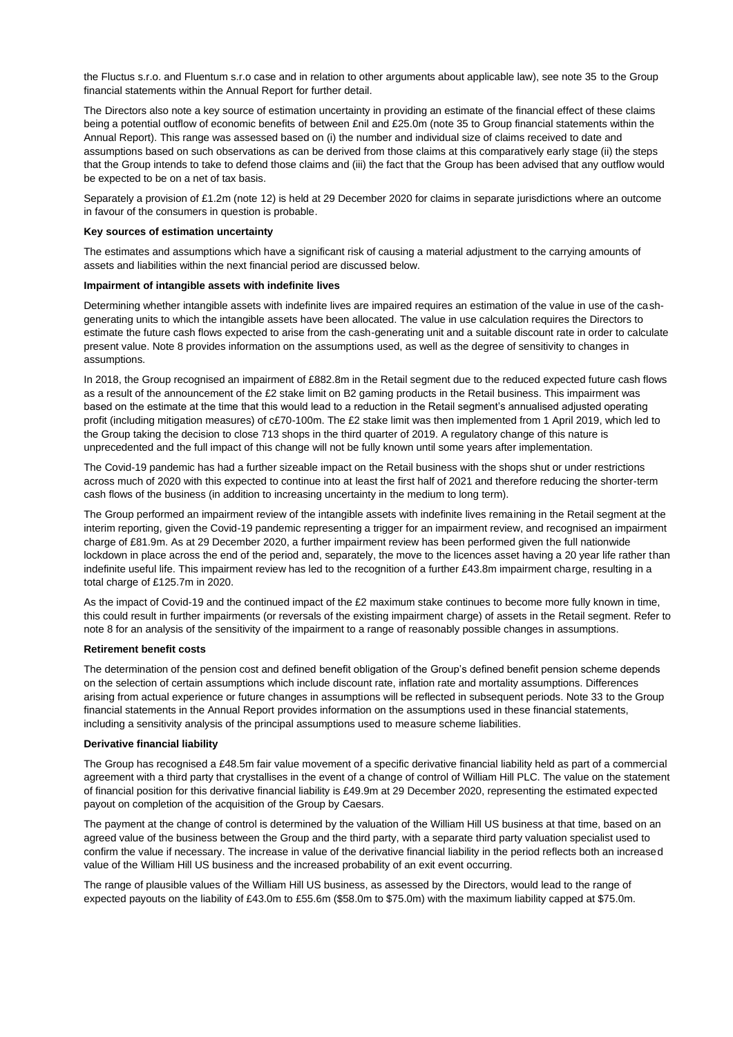the Fluctus s.r.o. and Fluentum s.r.o case and in relation to other arguments about applicable law), see note 35 to the Group financial statements within the Annual Report for further detail.

The Directors also note a key source of estimation uncertainty in providing an estimate of the financial effect of these claims being a potential outflow of economic benefits of between £nil and £25.0m (note 35 to Group financial statements within the Annual Report). This range was assessed based on (i) the number and individual size of claims received to date and assumptions based on such observations as can be derived from those claims at this comparatively early stage (ii) the steps that the Group intends to take to defend those claims and (iii) the fact that the Group has been advised that any outflow would be expected to be on a net of tax basis.

Separately a provision of £1.2m (note 12) is held at 29 December 2020 for claims in separate jurisdictions where an outcome in favour of the consumers in question is probable.

#### **Key sources of estimation uncertainty**

The estimates and assumptions which have a significant risk of causing a material adjustment to the carrying amounts of assets and liabilities within the next financial period are discussed below.

### **Impairment of intangible assets with indefinite lives**

Determining whether intangible assets with indefinite lives are impaired requires an estimation of the value in use of the cashgenerating units to which the intangible assets have been allocated. The value in use calculation requires the Directors to estimate the future cash flows expected to arise from the cash-generating unit and a suitable discount rate in order to calculate present value. Note 8 provides information on the assumptions used, as well as the degree of sensitivity to changes in assumptions.

In 2018, the Group recognised an impairment of £882.8m in the Retail segment due to the reduced expected future cash flows as a result of the announcement of the £2 stake limit on B2 gaming products in the Retail business. This impairment was based on the estimate at the time that this would lead to a reduction in the Retail segment's annualised adjusted operating profit (including mitigation measures) of c£70-100m. The £2 stake limit was then implemented from 1 April 2019, which led to the Group taking the decision to close 713 shops in the third quarter of 2019. A regulatory change of this nature is unprecedented and the full impact of this change will not be fully known until some years after implementation.

The Covid-19 pandemic has had a further sizeable impact on the Retail business with the shops shut or under restrictions across much of 2020 with this expected to continue into at least the first half of 2021 and therefore reducing the shorter-term cash flows of the business (in addition to increasing uncertainty in the medium to long term).

The Group performed an impairment review of the intangible assets with indefinite lives remaining in the Retail segment at the interim reporting, given the Covid-19 pandemic representing a trigger for an impairment review, and recognised an impairment charge of £81.9m. As at 29 December 2020, a further impairment review has been performed given the full nationwide lockdown in place across the end of the period and, separately, the move to the licences asset having a 20 year life rather than indefinite useful life. This impairment review has led to the recognition of a further £43.8m impairment charge, resulting in a total charge of £125.7m in 2020.

As the impact of Covid-19 and the continued impact of the £2 maximum stake continues to become more fully known in time. this could result in further impairments (or reversals of the existing impairment charge) of assets in the Retail segment. Refer to note 8 for an analysis of the sensitivity of the impairment to a range of reasonably possible changes in assumptions.

#### **Retirement benefit costs**

The determination of the pension cost and defined benefit obligation of the Group's defined benefit pension scheme depends on the selection of certain assumptions which include discount rate, inflation rate and mortality assumptions. Differences arising from actual experience or future changes in assumptions will be reflected in subsequent periods. Note 33 to the Group financial statements in the Annual Report provides information on the assumptions used in these financial statements, including a sensitivity analysis of the principal assumptions used to measure scheme liabilities.

#### **Derivative financial liability**

The Group has recognised a £48.5m fair value movement of a specific derivative financial liability held as part of a commercial agreement with a third party that crystallises in the event of a change of control of William Hill PLC. The value on the statement of financial position for this derivative financial liability is £49.9m at 29 December 2020, representing the estimated expected payout on completion of the acquisition of the Group by Caesars.

The payment at the change of control is determined by the valuation of the William Hill US business at that time, based on an agreed value of the business between the Group and the third party, with a separate third party valuation specialist used to confirm the value if necessary. The increase in value of the derivative financial liability in the period reflects both an increased value of the William Hill US business and the increased probability of an exit event occurring.

The range of plausible values of the William Hill US business, as assessed by the Directors, would lead to the range of expected payouts on the liability of £43.0m to £55.6m (\$58.0m to \$75.0m) with the maximum liability capped at \$75.0m.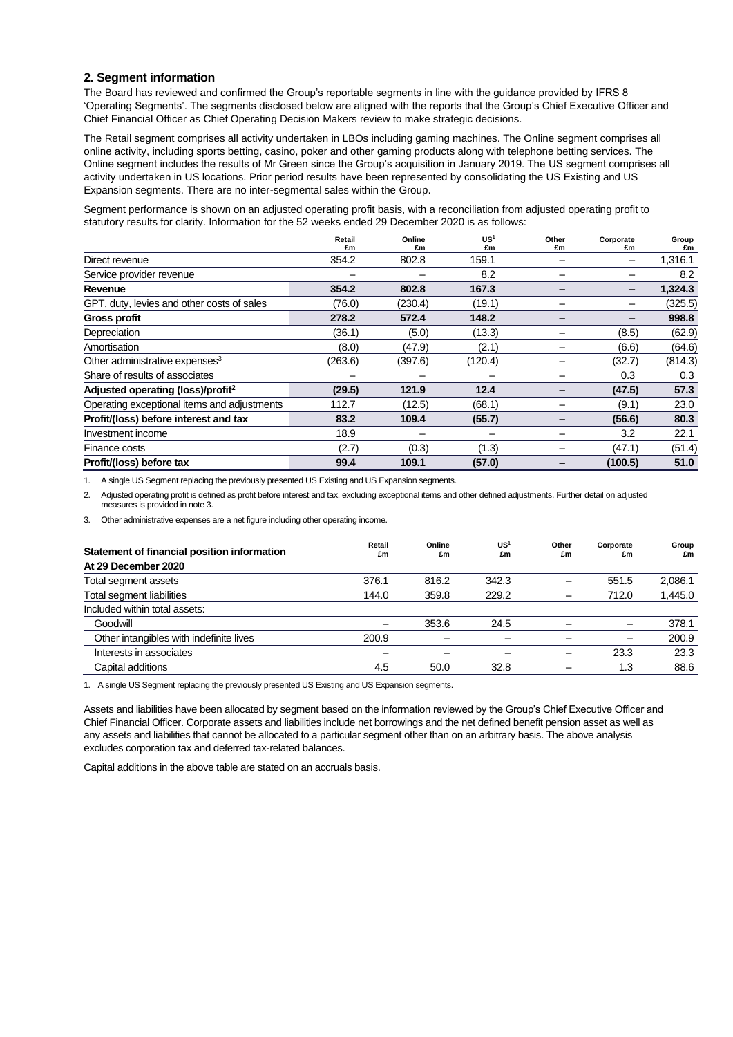### **2. Segment information**

The Board has reviewed and confirmed the Group's reportable segments in line with the guidance provided by IFRS 8 'Operating Segments'. The segments disclosed below are aligned with the reports that the Group's Chief Executive Officer and Chief Financial Officer as Chief Operating Decision Makers review to make strategic decisions.

The Retail segment comprises all activity undertaken in LBOs including gaming machines. The Online segment comprises all online activity, including sports betting, casino, poker and other gaming products along with telephone betting services. The Online segment includes the results of Mr Green since the Group's acquisition in January 2019. The US segment comprises all activity undertaken in US locations. Prior period results have been represented by consolidating the US Existing and US Expansion segments. There are no inter-segmental sales within the Group.

Segment performance is shown on an adjusted operating profit basis, with a reconciliation from adjusted operating profit to statutory results for clarity. Information for the 52 weeks ended 29 December 2020 is as follows:

|                                               | Retail  | Online  | US <sup>1</sup> | Other | Corporate | Group   |
|-----------------------------------------------|---------|---------|-----------------|-------|-----------|---------|
|                                               | £m      | £m      | £m              | £m    | £m        | £m      |
| Direct revenue                                | 354.2   | 802.8   | 159.1           |       |           | 1,316.1 |
| Service provider revenue                      |         |         | 8.2             |       |           | 8.2     |
| Revenue                                       | 354.2   | 802.8   | 167.3           |       | -         | 1,324.3 |
| GPT, duty, levies and other costs of sales    | (76.0)  | (230.4) | (19.1)          |       |           | (325.5) |
| <b>Gross profit</b>                           | 278.2   | 572.4   | 148.2           | -     | -         | 998.8   |
| Depreciation                                  | (36.1)  | (5.0)   | (13.3)          |       | (8.5)     | (62.9)  |
| Amortisation                                  | (8.0)   | (47.9)  | (2.1)           |       | (6.6)     | (64.6)  |
| Other administrative expenses <sup>3</sup>    | (263.6) | (397.6) | (120.4)         |       | (32.7)    | (814.3) |
| Share of results of associates                |         |         |                 |       | 0.3       | 0.3     |
| Adjusted operating (loss)/profit <sup>2</sup> | (29.5)  | 121.9   | 12.4            |       | (47.5)    | 57.3    |
| Operating exceptional items and adjustments   | 112.7   | (12.5)  | (68.1)          |       | (9.1)     | 23.0    |
| Profit/(loss) before interest and tax         | 83.2    | 109.4   | (55.7)          | -     | (56.6)    | 80.3    |
| Investment income                             | 18.9    |         |                 |       | 3.2       | 22.1    |
| Finance costs                                 | (2.7)   | (0.3)   | (1.3)           |       | (47.1)    | (51.4)  |
| Profit/(loss) before tax                      | 99.4    | 109.1   | (57.0)          |       | (100.5)   | 51.0    |

1. A single US Segment replacing the previously presented US Existing and US Expansion segments.

2. Adjusted operating profit is defined as profit before interest and tax, excluding exceptional items and other defined adjustments. Further detail on adjusted measures is provided in note 3.

3. Other administrative expenses are a net figure including other operating income.

| Statement of financial position information | Retail<br>£m | Online<br>£m | US <sup>1</sup><br>£m | Other<br>£m | Corporate<br>£m | Group<br>£m |
|---------------------------------------------|--------------|--------------|-----------------------|-------------|-----------------|-------------|
| At 29 December 2020                         |              |              |                       |             |                 |             |
| Total segment assets                        | 376.1        | 816.2        | 342.3                 |             | 551.5           | 2,086.1     |
| Total segment liabilities                   | 144.0        | 359.8        | 229.2                 |             | 712.0           | 1.445.0     |
| Included within total assets:               |              |              |                       |             |                 |             |
| Goodwill                                    |              | 353.6        | 24.5                  |             | -               | 378.1       |
| Other intangibles with indefinite lives     | 200.9        |              |                       |             | -               | 200.9       |
| Interests in associates                     |              |              |                       |             | 23.3            | 23.3        |
| Capital additions                           | 4.5          | 50.0         | 32.8                  |             | 1.3             | 88.6        |

1. A single US Segment replacing the previously presented US Existing and US Expansion segments.

Assets and liabilities have been allocated by segment based on the information reviewed by the Group's Chief Executive Officer and Chief Financial Officer. Corporate assets and liabilities include net borrowings and the net defined benefit pension asset as well as any assets and liabilities that cannot be allocated to a particular segment other than on an arbitrary basis. The above analysis excludes corporation tax and deferred tax-related balances.

Capital additions in the above table are stated on an accruals basis.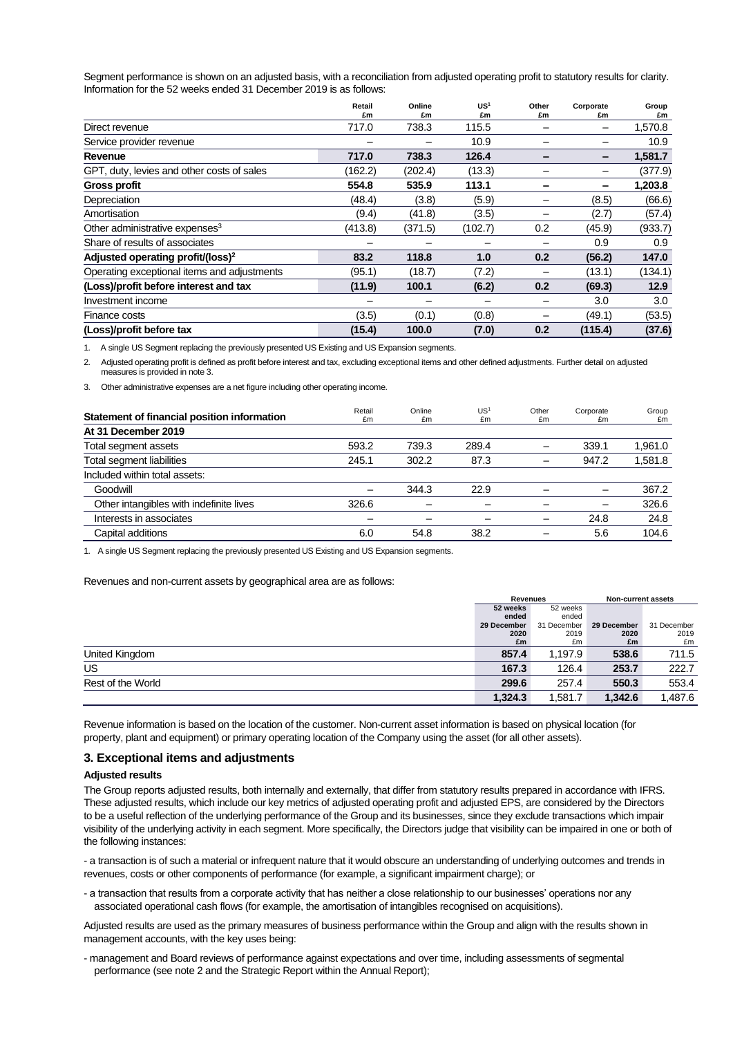Segment performance is shown on an adjusted basis, with a reconciliation from adjusted operating profit to statutory results for clarity. Information for the 52 weeks ended 31 December 2019 is as follows:

|                                               | Retail<br>£m | Online      | US)         | Other<br>£m | Corporate | Group         |
|-----------------------------------------------|--------------|-------------|-------------|-------------|-----------|---------------|
| Direct revenue                                | 717.0        | £m<br>738.3 | £m<br>115.5 |             | £m        | £m<br>1,570.8 |
|                                               |              |             | 10.9        |             |           | 10.9          |
| Service provider revenue                      |              |             |             |             |           |               |
| Revenue                                       | 717.0        | 738.3       | 126.4       |             | -         | 1,581.7       |
| GPT, duty, levies and other costs of sales    | (162.2)      | (202.4)     | (13.3)      |             |           | (377.9)       |
| <b>Gross profit</b>                           | 554.8        | 535.9       | 113.1       |             | -         | 1,203.8       |
| Depreciation                                  | (48.4)       | (3.8)       | (5.9)       |             | (8.5)     | (66.6)        |
| Amortisation                                  | (9.4)        | (41.8)      | (3.5)       |             | (2.7)     | (57.4)        |
| Other administrative expenses <sup>3</sup>    | (413.8)      | (371.5)     | (102.7)     | 0.2         | (45.9)    | (933.7)       |
| Share of results of associates                |              |             |             |             | 0.9       | 0.9           |
| Adjusted operating profit/(loss) <sup>2</sup> | 83.2         | 118.8       | 1.0         | 0.2         | (56.2)    | 147.0         |
| Operating exceptional items and adjustments   | (95.1)       | (18.7)      | (7.2)       |             | (13.1)    | (134.1)       |
| (Loss)/profit before interest and tax         | (11.9)       | 100.1       | (6.2)       | 0.2         | (69.3)    | 12.9          |
| Investment income                             |              |             |             |             | 3.0       | 3.0           |
| Finance costs                                 | (3.5)        | (0.1)       | (0.8)       |             | (49.1)    | (53.5)        |
| (Loss)/profit before tax                      | (15.4)       | 100.0       | (7.0)       | 0.2         | (115.4)   | (37.6)        |

1. A single US Segment replacing the previously presented US Existing and US Expansion segments.

2. Adjusted operating profit is defined as profit before interest and tax, excluding exceptional items and other defined adjustments. Further detail on adjusted measures is provided in note 3.

3. Other administrative expenses are a net figure including other operating income.

| Statement of financial position information | Retail<br>£m | Online<br>£m | US <sup>'</sup><br>£m | Other<br>£m | Corporate<br>£m | Group<br>£m |
|---------------------------------------------|--------------|--------------|-----------------------|-------------|-----------------|-------------|
| At 31 December 2019                         |              |              |                       |             |                 |             |
| Total segment assets                        | 593.2        | 739.3        | 289.4                 |             | 339.1           | 1,961.0     |
| Total segment liabilities                   | 245.1        | 302.2        | 87.3                  | -           | 947.2           | 1,581.8     |
| Included within total assets:               |              |              |                       |             |                 |             |
| Goodwill                                    | -            | 344.3        | 22.9                  | -           |                 | 367.2       |
| Other intangibles with indefinite lives     | 326.6        |              |                       |             |                 | 326.6       |
| Interests in associates                     |              |              |                       |             | 24.8            | 24.8        |
| Capital additions                           | 6.0          | 54.8         | 38.2                  |             | 5.6             | 104.6       |

1. A single US Segment replacing the previously presented US Existing and US Expansion segments.

Revenues and non-current assets by geographical area are as follows:

|                   | Revenues    |             | <b>Non-current assets</b> |             |
|-------------------|-------------|-------------|---------------------------|-------------|
|                   | 52 weeks    | 52 weeks    |                           |             |
|                   | ended       | ended       |                           |             |
|                   | 29 December | 31 December | 29 December               | 31 December |
|                   | 2020        | 2019        | 2020                      | 2019        |
|                   | £m          | £m          | £m                        | £m          |
| United Kingdom    | 857.4       | 1.197.9     | 538.6                     | 711.5       |
| US                | 167.3       | 126.4       | 253.7                     | 222.7       |
| Rest of the World | 299.6       | 257.4       | 550.3                     | 553.4       |
|                   | 1.324.3     | 1,581.7     | 1,342.6                   | 1.487.6     |

Revenue information is based on the location of the customer. Non-current asset information is based on physical location (for property, plant and equipment) or primary operating location of the Company using the asset (for all other assets).

#### **3. Exceptional items and adjustments**

### **Adjusted results**

The Group reports adjusted results, both internally and externally, that differ from statutory results prepared in accordance with IFRS. These adjusted results, which include our key metrics of adjusted operating profit and adjusted EPS, are considered by the Directors to be a useful reflection of the underlying performance of the Group and its businesses, since they exclude transactions which impair visibility of the underlying activity in each segment. More specifically, the Directors judge that visibility can be impaired in one or both of the following instances:

- a transaction is of such a material or infrequent nature that it would obscure an understanding of underlying outcomes and trends in revenues, costs or other components of performance (for example, a significant impairment charge); or

- a transaction that results from a corporate activity that has neither a close relationship to our businesses' operations nor any associated operational cash flows (for example, the amortisation of intangibles recognised on acquisitions).

Adjusted results are used as the primary measures of business performance within the Group and align with the results shown in management accounts, with the key uses being:

- management and Board reviews of performance against expectations and over time, including assessments of segmental performance (see note 2 and the Strategic Report within the Annual Report);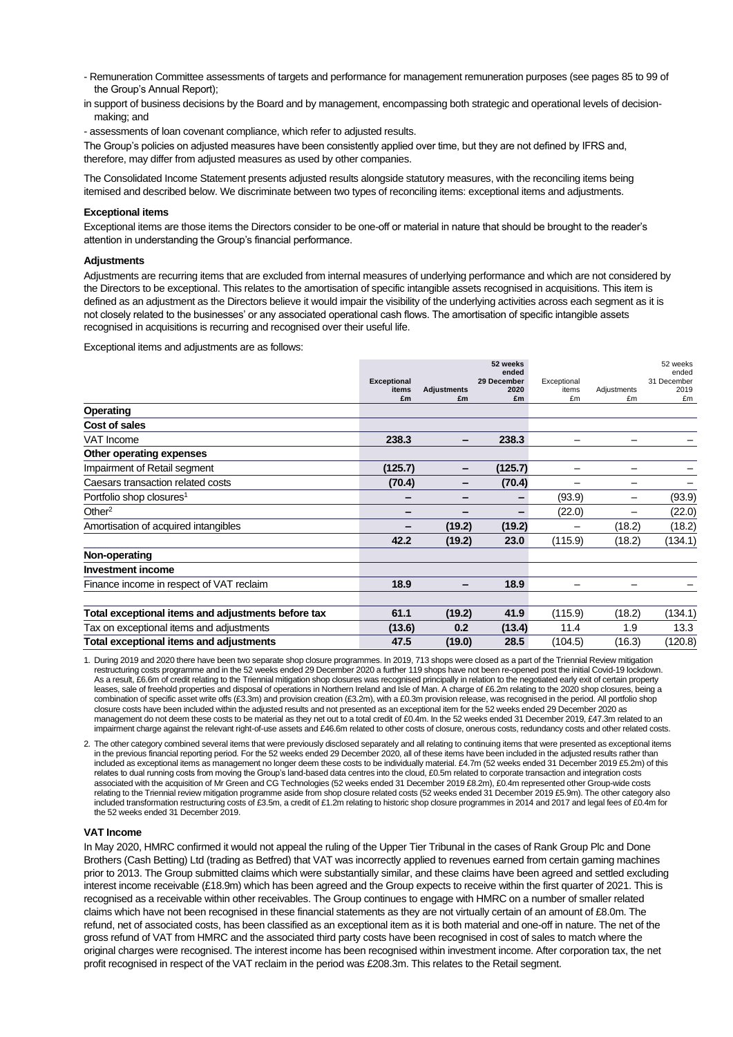- Remuneration Committee assessments of targets and performance for management remuneration purposes (see pages 85 to 99 of the Group's Annual Report);
- in support of business decisions by the Board and by management, encompassing both strategic and operational levels of decisionmaking; and

- assessments of loan covenant compliance, which refer to adjusted results.

The Group's policies on adjusted measures have been consistently applied over time, but they are not defined by IFRS and, therefore, may differ from adjusted measures as used by other companies.

The Consolidated Income Statement presents adjusted results alongside statutory measures, with the reconciling items being itemised and described below. We discriminate between two types of reconciling items: exceptional items and adjustments.

#### **Exceptional items**

Exceptional items are those items the Directors consider to be one-off or material in nature that should be brought to the reader's attention in understanding the Group's financial performance.

#### **Adjustments**

Adjustments are recurring items that are excluded from internal measures of underlying performance and which are not considered by the Directors to be exceptional. This relates to the amortisation of specific intangible assets recognised in acquisitions. This item is defined as an adjustment as the Directors believe it would impair the visibility of the underlying activities across each segment as it is not closely related to the businesses' or any associated operational cash flows. The amortisation of specific intangible assets recognised in acquisitions is recurring and recognised over their useful life.

Exceptional items and adjustments are as follows:

|                                                    |                             |                    | 52 weeks             |                      |             | 52 weeks             |
|----------------------------------------------------|-----------------------------|--------------------|----------------------|----------------------|-------------|----------------------|
|                                                    |                             |                    | ended<br>29 December |                      |             | ended<br>31 December |
|                                                    | <b>Exceptional</b><br>items | <b>Adjustments</b> | 2020                 | Exceptional<br>items | Adjustments | 2019                 |
|                                                    | £m                          | £m                 | £m                   | £m                   | £m          | £m                   |
| Operating                                          |                             |                    |                      |                      |             |                      |
| Cost of sales                                      |                             |                    |                      |                      |             |                      |
| <b>VAT Income</b>                                  | 238.3                       | -                  | 238.3                |                      |             |                      |
| Other operating expenses                           |                             |                    |                      |                      |             |                      |
| Impairment of Retail segment                       | (125.7)                     | -                  | (125.7)              |                      |             |                      |
| Caesars transaction related costs                  | (70.4)                      | -                  | (70.4)               | -                    |             |                      |
| Portfolio shop closures <sup>1</sup>               | -                           | -                  |                      | (93.9)               |             | (93.9)               |
| Other $2$                                          | -                           |                    |                      | (22.0)               |             | (22.0)               |
| Amortisation of acquired intangibles               | -                           | (19.2)             | (19.2)               |                      | (18.2)      | (18.2)               |
|                                                    | 42.2                        | (19.2)             | 23.0                 | (115.9)              | (18.2)      | (134.1)              |
| Non-operating                                      |                             |                    |                      |                      |             |                      |
| <b>Investment income</b>                           |                             |                    |                      |                      |             |                      |
| Finance income in respect of VAT reclaim           | 18.9                        |                    | 18.9                 |                      |             |                      |
|                                                    |                             |                    |                      |                      |             |                      |
| Total exceptional items and adjustments before tax | 61.1                        | (19.2)             | 41.9                 | (115.9)              | (18.2)      | (134.1)              |
| Tax on exceptional items and adjustments           | (13.6)                      | 0.2                | (13.4)               | 11.4                 | 1.9         | 13.3                 |
| Total exceptional items and adjustments            | 47.5                        | (19.0)             | 28.5                 | (104.5)              | (16.3)      | (120.8)              |

1. During 2019 and 2020 there have been two separate shop closure programmes. In 2019, 713 shops were closed as a part of the Triennial Review mitigation restructuring costs programme and in the 52 weeks ended 29 December 2020 a further 119 shops have not been re-opened post the initial Covid-19 lockdown. As a result, £6.6m of credit relating to the Triennial mitigation shop closures was recognised principally in relation to the negotiated early exit of certain property leases, sale of freehold properties and disposal of operations in Northern Ireland and Isle of Man. A charge of £6.2m relating to the 2020 shop closures, being a combination of specific asset write offs (£3.3m) and provision creation (£3.2m), with a £0.3m provision release, was recognised in the period. All portfolio shop closure costs have been included within the adjusted results and not presented as an exceptional item for the 52 weeks ended 29 December 2020 as management do not deem these costs to be material as they net out to a total credit of £0.4m. In the 52 weeks ended 31 December 2019, £47.3m related to an impairment charge against the relevant right-of-use assets and £46.6m related to other costs of closure, onerous costs, redundancy costs and other related costs.

2. The other category combined several items that were previously disclosed separately and all relating to continuing items that were presented as exceptional items in the previous financial reporting period. For the 52 weeks ended 29 December 2020, all of these items have been included in the adjusted results rather than included as exceptional items as management no longer deem these costs to be individually material. £4.7m (52 weeks ended 31 December 2019 £5.2m) of this relates to dual running costs from moving the Group's land-based data centres into the cloud, £0.5m related to corporate transaction and integration costs associated with the acquisition of Mr Green and CG Technologies (52 weeks ended 31 December 2019 £8.2m), £0.4m represented other Group-wide costs relating to the Triennial review mitigation programme aside from shop closure related costs (52 weeks ended 31 December 2019 £5.9m). The other category also included transformation restructuring costs of £3.5m, a credit of £1.2m relating to historic shop closure programmes in 2014 and 2017 and legal fees of £0.4m for the 52 weeks ended 31 December 2019.

#### **VAT Income**

In May 2020, HMRC confirmed it would not appeal the ruling of the Upper Tier Tribunal in the cases of Rank Group Plc and Done Brothers (Cash Betting) Ltd (trading as Betfred) that VAT was incorrectly applied to revenues earned from certain gaming machines prior to 2013. The Group submitted claims which were substantially similar, and these claims have been agreed and settled excluding interest income receivable (£18.9m) which has been agreed and the Group expects to receive within the first quarter of 2021. This is recognised as a receivable within other receivables. The Group continues to engage with HMRC on a number of smaller related claims which have not been recognised in these financial statements as they are not virtually certain of an amount of £8.0m. The refund, net of associated costs, has been classified as an exceptional item as it is both material and one-off in nature. The net of the gross refund of VAT from HMRC and the associated third party costs have been recognised in cost of sales to match where the original charges were recognised. The interest income has been recognised within investment income. After corporation tax, the net profit recognised in respect of the VAT reclaim in the period was £208.3m. This relates to the Retail segment.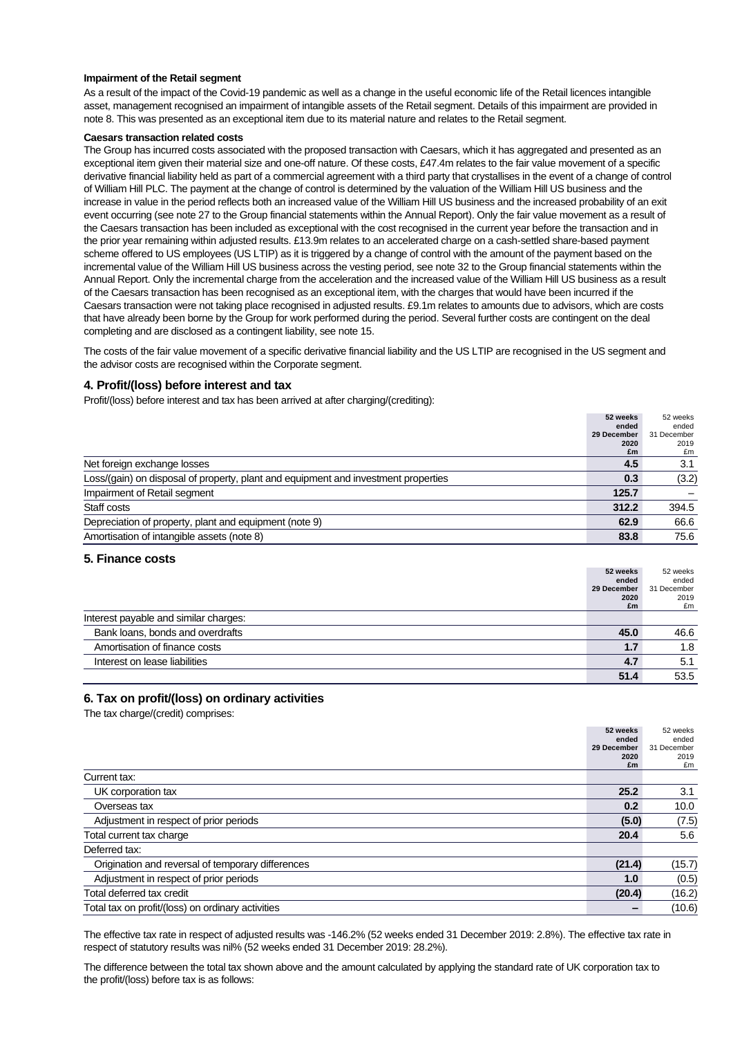#### **Impairment of the Retail segment**

As a result of the impact of the Covid-19 pandemic as well as a change in the useful economic life of the Retail licences intangible asset, management recognised an impairment of intangible assets of the Retail segment. Details of this impairment are provided in note 8. This was presented as an exceptional item due to its material nature and relates to the Retail segment.

#### **Caesars transaction related costs**

The Group has incurred costs associated with the proposed transaction with Caesars, which it has aggregated and presented as an exceptional item given their material size and one-off nature. Of these costs, £47.4m relates to the fair value movement of a specific derivative financial liability held as part of a commercial agreement with a third party that crystallises in the event of a change of control of William Hill PLC. The payment at the change of control is determined by the valuation of the William Hill US business and the increase in value in the period reflects both an increased value of the William Hill US business and the increased probability of an exit event occurring (see note 27 to the Group financial statements within the Annual Report). Only the fair value movement as a result of the Caesars transaction has been included as exceptional with the cost recognised in the current year before the transaction and in the prior year remaining within adjusted results. £13.9m relates to an accelerated charge on a cash-settled share-based payment scheme offered to US employees (US LTIP) as it is triggered by a change of control with the amount of the payment based on the incremental value of the William Hill US business across the vesting period, see note 32 to the Group financial statements within the Annual Report. Only the incremental charge from the acceleration and the increased value of the William Hill US business as a result of the Caesars transaction has been recognised as an exceptional item, with the charges that would have been incurred if the Caesars transaction were not taking place recognised in adjusted results. £9.1m relates to amounts due to advisors, which are costs that have already been borne by the Group for work performed during the period. Several further costs are contingent on the deal completing and are disclosed as a contingent liability, see note 15.

The costs of the fair value movement of a specific derivative financial liability and the US LTIP are recognised in the US segment and the advisor costs are recognised within the Corporate segment.

### **4. Profit/(loss) before interest and tax**

Profit/(loss) before interest and tax has been arrived at after charging/(crediting):

|                                                                                    | 52 weeks    | 52 weeks    |
|------------------------------------------------------------------------------------|-------------|-------------|
|                                                                                    | ended       | ended       |
|                                                                                    | 29 December | 31 December |
|                                                                                    | 2020        | 2019        |
|                                                                                    | £m          | £m          |
| Net foreign exchange losses                                                        | 4.5         | 3.1         |
| Loss/(gain) on disposal of property, plant and equipment and investment properties | 0.3         | (3.2)       |
| Impairment of Retail segment                                                       | 125.7       |             |
| Staff costs                                                                        | 312.2       | 394.5       |
| Depreciation of property, plant and equipment (note 9)                             | 62.9        | 66.6        |
| Amortisation of intangible assets (note 8)                                         | 83.8        | 75.6        |

### **5. Finance costs**

|                                       | 52 weeks    | 52 weeks    |
|---------------------------------------|-------------|-------------|
|                                       | ended       | ended       |
|                                       | 29 December | 31 December |
|                                       | 2020        | 2019        |
|                                       | £m          | £m          |
| Interest payable and similar charges: |             |             |
| Bank loans, bonds and overdrafts      | 45.0        | 46.6        |
| Amortisation of finance costs         | 1.7         | 1.8         |
| Interest on lease liabilities         | 4.7         | 5.1         |
|                                       | 51.4        | 53.5        |

### **6. Tax on profit/(loss) on ordinary activities**

The tax charge/(credit) comprises:

|                                                   | 52 weeks    | 52 weeks    |
|---------------------------------------------------|-------------|-------------|
|                                                   | ended       | ended       |
|                                                   | 29 December | 31 December |
|                                                   | 2020        | 2019        |
|                                                   | £m          | £m          |
| Current tax:                                      |             |             |
| UK corporation tax                                | 25.2        | 3.1         |
| Overseas tax                                      | 0.2         | 10.0        |
| Adjustment in respect of prior periods            | (5.0)       | (7.5)       |
| Total current tax charge                          | 20.4        | 5.6         |
| Deferred tax:                                     |             |             |
| Origination and reversal of temporary differences | (21.4)      | (15.7)      |
| Adjustment in respect of prior periods            | 1.0         | (0.5)       |
| Total deferred tax credit                         | (20.4)      | (16.2)      |
| Total tax on profit/(loss) on ordinary activities |             | (10.6)      |

The effective tax rate in respect of adjusted results was -146.2% (52 weeks ended 31 December 2019: 2.8%). The effective tax rate in respect of statutory results was nil% (52 weeks ended 31 December 2019: 28.2%).

The difference between the total tax shown above and the amount calculated by applying the standard rate of UK corporation tax to the profit/(loss) before tax is as follows: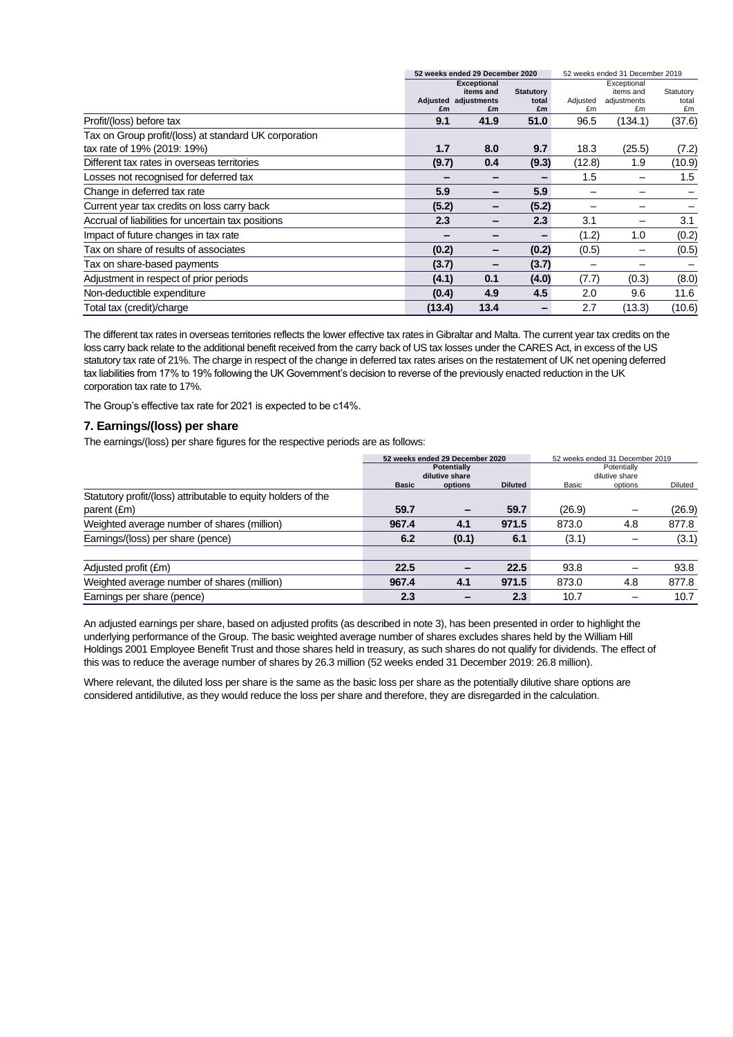|                                                       |        | 52 weeks ended 29 December 2020 |                  |                | 52 weeks ended 31 December 2019 |             |  |  |
|-------------------------------------------------------|--------|---------------------------------|------------------|----------------|---------------------------------|-------------|--|--|
|                                                       |        | <b>Exceptional</b>              |                  |                | Exceptional                     |             |  |  |
|                                                       |        | items and                       | <b>Statutory</b> |                | items and                       | Statutory   |  |  |
|                                                       | £m     | Adjusted adjustments<br>£m      | total<br>£m      | Adjusted<br>£m | adjustments<br>£m               | total<br>£m |  |  |
| Profit/(loss) before tax                              | 9.1    | 41.9                            | 51.0             | 96.5           | (134.1)                         | (37.6)      |  |  |
| Tax on Group profit/(loss) at standard UK corporation |        |                                 |                  |                |                                 |             |  |  |
| tax rate of 19% (2019: 19%)                           | 1.7    | 8.0                             | 9.7              | 18.3           | (25.5)                          | (7.2)       |  |  |
| Different tax rates in overseas territories           | (9.7)  | 0.4                             | (9.3)            | (12.8)         | 1.9                             | (10.9)      |  |  |
| Losses not recognised for deferred tax                |        |                                 |                  | 1.5            |                                 | 1.5         |  |  |
| Change in deferred tax rate                           | 5.9    | -                               | 5.9              |                |                                 |             |  |  |
| Current year tax credits on loss carry back           | (5.2)  |                                 | (5.2)            |                |                                 |             |  |  |
| Accrual of liabilities for uncertain tax positions    | 2.3    |                                 | 2.3              | 3.1            |                                 | 3.1         |  |  |
| Impact of future changes in tax rate                  |        |                                 |                  | (1.2)          | 1.0                             | (0.2)       |  |  |
| Tax on share of results of associates                 | (0.2)  |                                 | (0.2)            | (0.5)          |                                 | (0.5)       |  |  |
| Tax on share-based payments                           | (3.7)  |                                 | (3.7)            |                |                                 |             |  |  |
| Adjustment in respect of prior periods                | (4.1)  | 0.1                             | (4.0)            | (7.7)          | (0.3)                           | (8.0)       |  |  |
| Non-deductible expenditure                            | (0.4)  | 4.9                             | 4.5              | 2.0            | 9.6                             | 11.6        |  |  |
| Total tax (credit)/charge                             | (13.4) | 13.4                            |                  | 2.7            | (13.3)                          | (10.6)      |  |  |

The different tax rates in overseas territories reflects the lower effective tax rates in Gibraltar and Malta. The current year tax credits on the loss carry back relate to the additional benefit received from the carry back of US tax losses under the CARES Act, in excess of the US statutory tax rate of 21%. The charge in respect of the change in deferred tax rates arises on the restatement of UK net opening deferred tax liabilities from 17% to 19% following the UK Government's decision to reverse of the previously enacted reduction in the UK corporation tax rate to 17%.

The Group's effective tax rate for 2021 is expected to be c14%.

### **7. Earnings/(loss) per share**

The earnings/(loss) per share figures for the respective periods are as follows:

|                                                               | 52 weeks ended 29 December 2020 |                                      |                | 52 weeks ended 31 December 2019<br>Potentially |         |         |  |
|---------------------------------------------------------------|---------------------------------|--------------------------------------|----------------|------------------------------------------------|---------|---------|--|
|                                                               |                                 | <b>Potentially</b><br>dilutive share |                | dilutive share                                 |         |         |  |
|                                                               | <b>Basic</b>                    | options                              | <b>Diluted</b> | Basic                                          | options | Diluted |  |
| Statutory profit/(loss) attributable to equity holders of the |                                 |                                      |                |                                                |         |         |  |
| parent (£m)                                                   | 59.7                            |                                      | 59.7           | (26.9)                                         |         | (26.9)  |  |
| Weighted average number of shares (million)                   | 967.4                           | 4.1                                  | 971.5          | 873.0                                          | 4.8     | 877.8   |  |
| Earnings/(loss) per share (pence)                             | 6.2                             | (0.1)                                | 6.1            | (3.1)                                          |         | (3.1)   |  |
|                                                               |                                 |                                      |                |                                                |         |         |  |
| Adjusted profit (£m)                                          | 22.5                            | $\overline{\phantom{0}}$             | 22.5           | 93.8                                           |         | 93.8    |  |
| Weighted average number of shares (million)                   | 967.4                           | 4.1                                  | 971.5          | 873.0                                          | 4.8     | 877.8   |  |
| Earnings per share (pence)                                    | 2.3                             |                                      | 2.3            | 10.7                                           |         | 10.7    |  |

An adjusted earnings per share, based on adjusted profits (as described in note 3), has been presented in order to highlight the underlying performance of the Group. The basic weighted average number of shares excludes shares held by the William Hill Holdings 2001 Employee Benefit Trust and those shares held in treasury, as such shares do not qualify for dividends. The effect of this was to reduce the average number of shares by 26.3 million (52 weeks ended 31 December 2019: 26.8 million).

Where relevant, the diluted loss per share is the same as the basic loss per share as the potentially dilutive share options are considered antidilutive, as they would reduce the loss per share and therefore, they are disregarded in the calculation.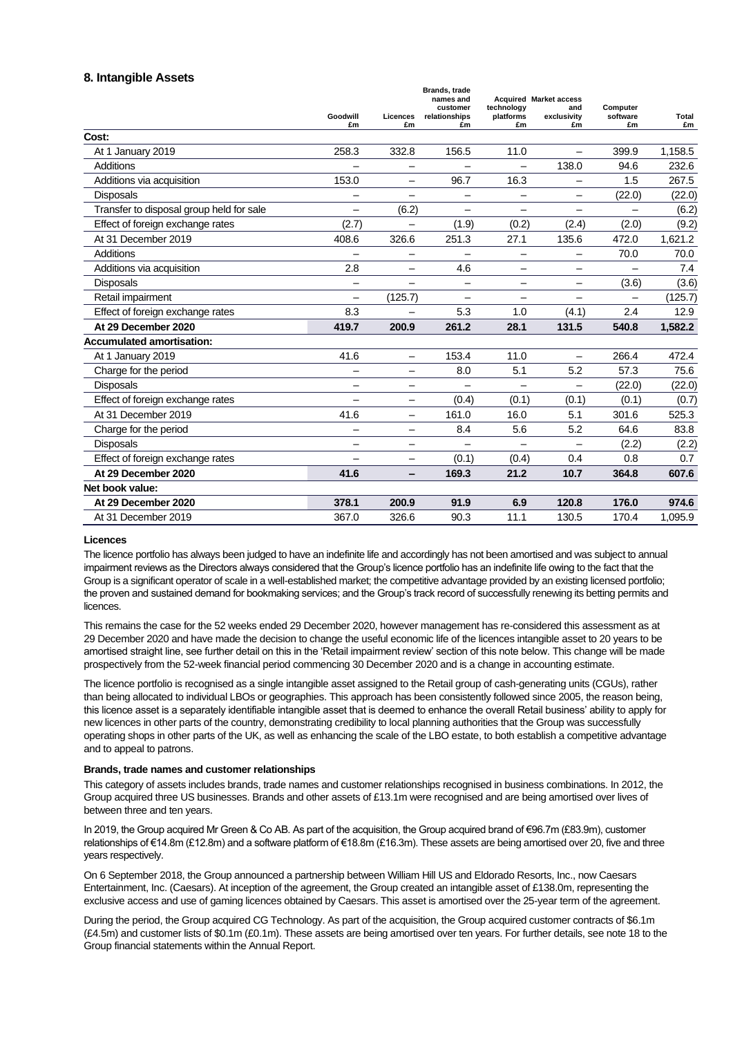# **8. Intangible Assets**

|                                          | Goodwill<br>£m           | Licences<br>£m           | Brands, trade<br>names and<br>customer<br>relationships<br>£m | technology<br>platforms<br>£m | <b>Acquired Market access</b><br>and<br>exclusivity<br>£m | Computer<br>software<br>£m | Total<br>£m |
|------------------------------------------|--------------------------|--------------------------|---------------------------------------------------------------|-------------------------------|-----------------------------------------------------------|----------------------------|-------------|
| Cost:                                    |                          |                          |                                                               |                               |                                                           |                            |             |
| At 1 January 2019                        | 258.3                    | 332.8                    | 156.5                                                         | 11.0                          |                                                           | 399.9                      | 1,158.5     |
| Additions                                |                          |                          |                                                               | $\overline{\phantom{0}}$      | 138.0                                                     | 94.6                       | 232.6       |
| Additions via acquisition                | 153.0                    | -                        | 96.7                                                          | 16.3                          |                                                           | 1.5                        | 267.5       |
| Disposals                                | -                        | $\overline{\phantom{0}}$ | -                                                             | $\overline{\phantom{0}}$      | $\overline{\phantom{0}}$                                  | (22.0)                     | (22.0)      |
| Transfer to disposal group held for sale | $\overline{\phantom{0}}$ | (6.2)                    |                                                               |                               |                                                           |                            | (6.2)       |
| Effect of foreign exchange rates         | (2.7)                    |                          | (1.9)                                                         | (0.2)                         | (2.4)                                                     | (2.0)                      | (9.2)       |
| At 31 December 2019                      | 408.6                    | 326.6                    | 251.3                                                         | 27.1                          | 135.6                                                     | 472.0                      | 1,621.2     |
| Additions                                |                          |                          |                                                               | $\overline{\phantom{0}}$      | $\overline{\phantom{0}}$                                  | 70.0                       | 70.0        |
| Additions via acquisition                | 2.8                      | ÷                        | 4.6                                                           | $\overline{\phantom{0}}$      | $\overline{\phantom{0}}$                                  |                            | 7.4         |
| Disposals                                | $\qquad \qquad$          | $\overline{\phantom{0}}$ | $\overline{\phantom{0}}$                                      | -                             | $\qquad \qquad -$                                         | (3.6)                      | (3.6)       |
| Retail impairment                        | $\overline{\phantom{0}}$ | (125.7)                  |                                                               |                               |                                                           |                            | (125.7)     |
| Effect of foreign exchange rates         | 8.3                      | -                        | 5.3                                                           | 1.0                           | (4.1)                                                     | 2.4                        | 12.9        |
| At 29 December 2020                      | 419.7                    | 200.9                    | 261.2                                                         | 28.1                          | 131.5                                                     | 540.8                      | 1,582.2     |
| <b>Accumulated amortisation:</b>         |                          |                          |                                                               |                               |                                                           |                            |             |
| At 1 January 2019                        | 41.6                     | ÷                        | 153.4                                                         | 11.0                          |                                                           | 266.4                      | 472.4       |
| Charge for the period                    | $\overline{\phantom{0}}$ | $\overline{\phantom{0}}$ | 8.0                                                           | 5.1                           | 5.2                                                       | 57.3                       | 75.6        |
| <b>Disposals</b>                         | $\overline{\phantom{0}}$ | $\overline{\phantom{0}}$ |                                                               | $\overline{\phantom{0}}$      |                                                           | (22.0)                     | (22.0)      |
| Effect of foreign exchange rates         |                          | -                        | (0.4)                                                         | (0.1)                         | (0.1)                                                     | (0.1)                      | (0.7)       |
| At 31 December 2019                      | 41.6                     | $\overline{\phantom{0}}$ | 161.0                                                         | 16.0                          | 5.1                                                       | 301.6                      | 525.3       |
| Charge for the period                    | -                        | -                        | 8.4                                                           | 5.6                           | 5.2                                                       | 64.6                       | 83.8        |
| <b>Disposals</b>                         | $\overline{\phantom{0}}$ | -                        |                                                               |                               |                                                           | (2.2)                      | (2.2)       |
| Effect of foreign exchange rates         | $\overline{\phantom{0}}$ | -                        | (0.1)                                                         | (0.4)                         | 0.4                                                       | 0.8                        | 0.7         |
| At 29 December 2020                      | 41.6                     | -                        | 169.3                                                         | 21.2                          | 10.7                                                      | 364.8                      | 607.6       |
| Net book value:                          |                          |                          |                                                               |                               |                                                           |                            |             |
| At 29 December 2020                      | 378.1                    | 200.9                    | 91.9                                                          | 6.9                           | 120.8                                                     | 176.0                      | 974.6       |
| At 31 December 2019                      | 367.0                    | 326.6                    | 90.3                                                          | 11.1                          | 130.5                                                     | 170.4                      | 1,095.9     |

### **Licences**

The licence portfolio has always been judged to have an indefinite life and accordingly has not been amortised and was subject to annual impairment reviews as the Directors always considered that the Group's licence portfolio has an indefinite life owing to the fact that the Group is a significant operator of scale in a well-established market; the competitive advantage provided by an existing licensed portfolio; the proven and sustained demand for bookmaking services; and the Group's track record of successfully renewing its betting permits and licences.

This remains the case for the 52 weeks ended 29 December 2020, however management has re-considered this assessment as at 29 December 2020 and have made the decision to change the useful economic life of the licences intangible asset to 20 years to be amortised straight line, see further detail on this in the 'Retail impairment review' section of this note below. This change will be made prospectively from the 52-week financial period commencing 30 December 2020 and is a change in accounting estimate.

The licence portfolio is recognised as a single intangible asset assigned to the Retail group of cash-generating units (CGUs), rather than being allocated to individual LBOs or geographies. This approach has been consistently followed since 2005, the reason being, this licence asset is a separately identifiable intangible asset that is deemed to enhance the overall Retail business' ability to apply for new licences in other parts of the country, demonstrating credibility to local planning authorities that the Group was successfully operating shops in other parts of the UK, as well as enhancing the scale of the LBO estate, to both establish a competitive advantage and to appeal to patrons.

#### **Brands, trade names and customer relationships**

This category of assets includes brands, trade names and customer relationships recognised in business combinations. In 2012, the Group acquired three US businesses. Brands and other assets of £13.1m were recognised and are being amortised over lives of between three and ten years.

In 2019, the Group acquired Mr Green & Co AB. As part of the acquisition, the Group acquired brand of €96.7m (£83.9m), customer relationships of €14.8m (£12.8m) and a software platform of €18.8m (£16.3m). These assets are being amortised over 20, five and three years respectively.

On 6 September 2018, the Group announced a partnership between William Hill US and Eldorado Resorts, Inc., now Caesars Entertainment, Inc. (Caesars). At inception of the agreement, the Group created an intangible asset of £138.0m, representing the exclusive access and use of gaming licences obtained by Caesars. This asset is amortised over the 25-year term of the agreement.

During the period, the Group acquired CG Technology. As part of the acquisition, the Group acquired customer contracts of \$6.1m (£4.5m) and customer lists of \$0.1m (£0.1m). These assets are being amortised over ten years. For further details, see note 18 to the Group financial statements within the Annual Report.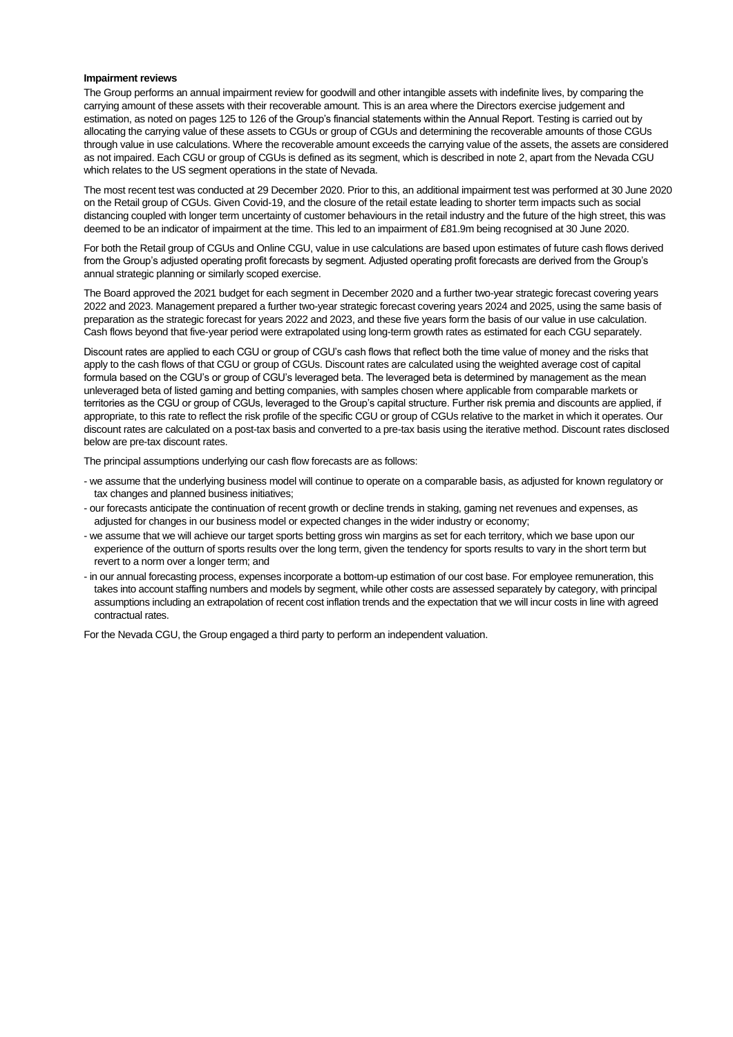#### **Impairment reviews**

The Group performs an annual impairment review for goodwill and other intangible assets with indefinite lives, by comparing the carrying amount of these assets with their recoverable amount. This is an area where the Directors exercise judgement and estimation, as noted on pages 125 to 126 of the Group's financial statements within the Annual Report. Testing is carried out by allocating the carrying value of these assets to CGUs or group of CGUs and determining the recoverable amounts of those CGUs through value in use calculations. Where the recoverable amount exceeds the carrying value of the assets, the assets are considered as not impaired. Each CGU or group of CGUs is defined as its segment, which is described in note 2, apart from the Nevada CGU which relates to the US segment operations in the state of Nevada.

The most recent test was conducted at 29 December 2020. Prior to this, an additional impairment test was performed at 30 June 2020 on the Retail group of CGUs. Given Covid-19, and the closure of the retail estate leading to shorter term impacts such as social distancing coupled with longer term uncertainty of customer behaviours in the retail industry and the future of the high street, this was deemed to be an indicator of impairment at the time. This led to an impairment of £81.9m being recognised at 30 June 2020.

For both the Retail group of CGUs and Online CGU, value in use calculations are based upon estimates of future cash flows derived from the Group's adjusted operating profit forecasts by segment. Adjusted operating profit forecasts are derived from the Group's annual strategic planning or similarly scoped exercise.

The Board approved the 2021 budget for each segment in December 2020 and a further two-year strategic forecast covering years 2022 and 2023. Management prepared a further two-year strategic forecast covering years 2024 and 2025, using the same basis of preparation as the strategic forecast for years 2022 and 2023, and these five years form the basis of our value in use calculation. Cash flows beyond that five-year period were extrapolated using long-term growth rates as estimated for each CGU separately.

Discount rates are applied to each CGU or group of CGU's cash flows that reflect both the time value of money and the risks that apply to the cash flows of that CGU or group of CGUs. Discount rates are calculated using the weighted average cost of capital formula based on the CGU's or group of CGU's leveraged beta. The leveraged beta is determined by management as the mean unleveraged beta of listed gaming and betting companies, with samples chosen where applicable from comparable markets or territories as the CGU or group of CGUs, leveraged to the Group's capital structure. Further risk premia and discounts are applied, if appropriate, to this rate to reflect the risk profile of the specific CGU or group of CGUs relative to the market in which it operates. Our discount rates are calculated on a post-tax basis and converted to a pre-tax basis using the iterative method. Discount rates disclosed below are pre-tax discount rates.

The principal assumptions underlying our cash flow forecasts are as follows:

- we assume that the underlying business model will continue to operate on a comparable basis, as adjusted for known regulatory or tax changes and planned business initiatives;
- our forecasts anticipate the continuation of recent growth or decline trends in staking, gaming net revenues and expenses, as adjusted for changes in our business model or expected changes in the wider industry or economy;
- we assume that we will achieve our target sports betting gross win margins as set for each territory, which we base upon our experience of the outturn of sports results over the long term, given the tendency for sports results to vary in the short term but revert to a norm over a longer term; and
- in our annual forecasting process, expenses incorporate a bottom-up estimation of our cost base. For employee remuneration, this takes into account staffing numbers and models by segment, while other costs are assessed separately by category, with principal assumptions including an extrapolation of recent cost inflation trends and the expectation that we will incur costs in line with agreed contractual rates.

For the Nevada CGU, the Group engaged a third party to perform an independent valuation.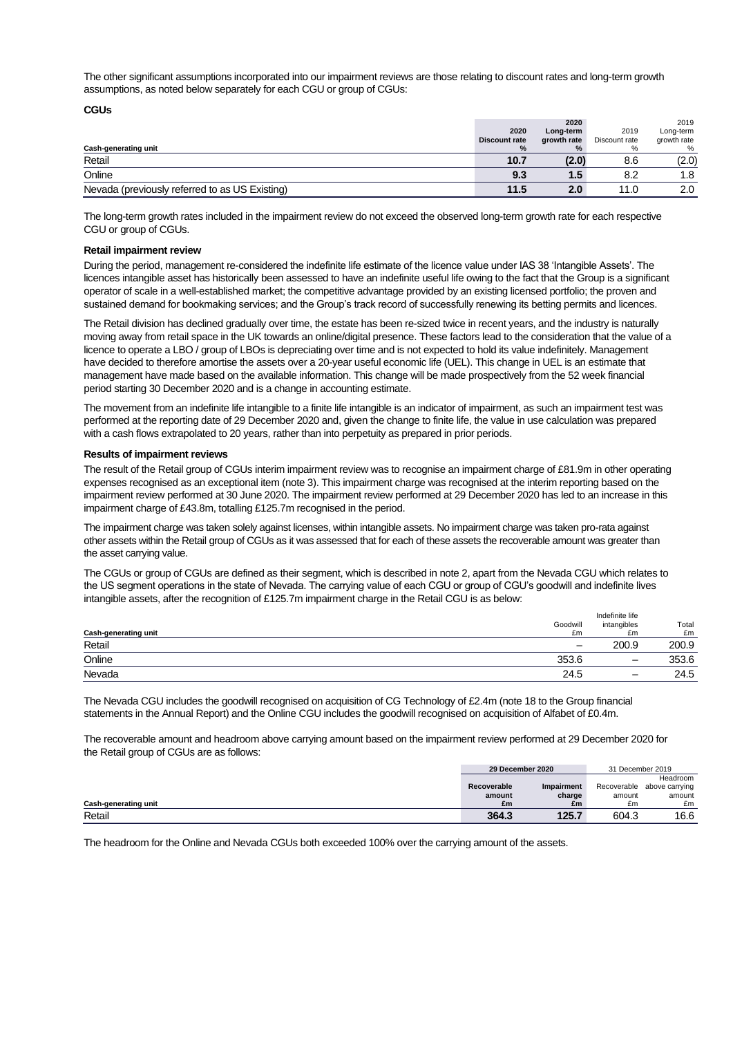The other significant assumptions incorporated into our impairment reviews are those relating to discount rates and long-term growth assumptions, as noted below separately for each CGU or group of CGUs:

#### **CGUs**

|                                                |                      | 2020        |               | 2019        |
|------------------------------------------------|----------------------|-------------|---------------|-------------|
|                                                | 2020                 | Long-term   | 2019          | Long-term   |
|                                                | <b>Discount rate</b> | growth rate | Discount rate | growth rate |
| <b>Cash-generating unit</b>                    |                      | $\%$        |               | %           |
| Retail                                         | 10.7                 | (2.0)       | 8.6           | (2.0)       |
| Online                                         | 9.3                  | 1.5         | 8.2           | 1.8         |
| Nevada (previously referred to as US Existing) | 11.5                 | 2.0         | 11.0          | 2.0         |

The long-term growth rates included in the impairment review do not exceed the observed long-term growth rate for each respective CGU or group of CGUs.

#### **Retail impairment review**

During the period, management re-considered the indefinite life estimate of the licence value under IAS 38 'Intangible Assets'. The licences intangible asset has historically been assessed to have an indefinite useful life owing to the fact that the Group is a significant operator of scale in a well-established market; the competitive advantage provided by an existing licensed portfolio; the proven and sustained demand for bookmaking services; and the Group's track record of successfully renewing its betting permits and licences.

The Retail division has declined gradually over time, the estate has been re-sized twice in recent years, and the industry is naturally moving away from retail space in the UK towards an online/digital presence. These factors lead to the consideration that the value of a licence to operate a LBO / group of LBOs is depreciating over time and is not expected to hold its value indefinitely. Management have decided to therefore amortise the assets over a 20-year useful economic life (UEL). This change in UEL is an estimate that management have made based on the available information. This change will be made prospectively from the 52 week financial period starting 30 December 2020 and is a change in accounting estimate.

The movement from an indefinite life intangible to a finite life intangible is an indicator of impairment, as such an impairment test was performed at the reporting date of 29 December 2020 and, given the change to finite life, the value in use calculation was prepared with a cash flows extrapolated to 20 years, rather than into perpetuity as prepared in prior periods.

### **Results of impairment reviews**

The result of the Retail group of CGUs interim impairment review was to recognise an impairment charge of £81.9m in other operating expenses recognised as an exceptional item (note 3). This impairment charge was recognised at the interim reporting based on the impairment review performed at 30 June 2020. The impairment review performed at 29 December 2020 has led to an increase in this impairment charge of £43.8m, totalling £125.7m recognised in the period.

The impairment charge was taken solely against licenses, within intangible assets. No impairment charge was taken pro-rata against other assets within the Retail group of CGUs as it was assessed that for each of these assets the recoverable amount was greater than the asset carrying value.

The CGUs or group of CGUs are defined as their segment, which is described in note 2, apart from the Nevada CGU which relates to the US segment operations in the state of Nevada. The carrying value of each CGU or group of CGU's goodwill and indefinite lives intangible assets, after the recognition of £125.7m impairment charge in the Retail CGU is as below:

|                             |                          | Indefinite life |       |  |
|-----------------------------|--------------------------|-----------------|-------|--|
|                             | Goodwill                 | intangibles     | Total |  |
| <b>Cash-generating unit</b> | £m                       | £m              | £m    |  |
| Retail                      | $\overline{\phantom{m}}$ | 200.9           | 200.9 |  |
| Online                      | 353.6                    | -               | 353.6 |  |
| Nevada                      | 24.5                     | -               | 24.5  |  |

The Nevada CGU includes the goodwill recognised on acquisition of CG Technology of £2.4m (note 18 to the Group financial statements in the Annual Report) and the Online CGU includes the goodwill recognised on acquisition of Alfabet of £0.4m.

The recoverable amount and headroom above carrying amount based on the impairment review performed at 29 December 2020 for the Retail group of CGUs are as follows:

|                      | 29 December 2020 |            | 31 December 2019 |                            |
|----------------------|------------------|------------|------------------|----------------------------|
|                      |                  |            |                  | Headroom                   |
|                      | Recoverable      | Impairment |                  | Recoverable above carrying |
|                      | amount           | charge     | amount           | amount                     |
| Cash-generating unit | £m               | £m         | £m               | £m                         |
| Retail               | 364.3            | 125.7      | 604.3            | 16.6                       |

The headroom for the Online and Nevada CGUs both exceeded 100% over the carrying amount of the assets.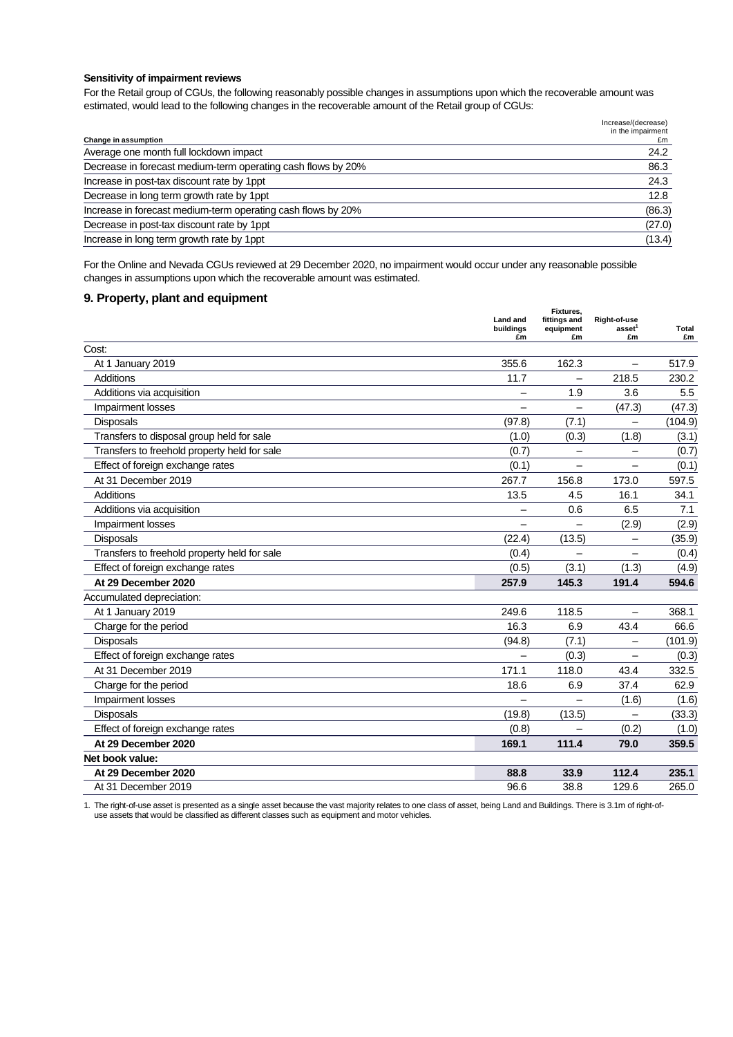#### **Sensitivity of impairment reviews**

For the Retail group of CGUs, the following reasonably possible changes in assumptions upon which the recoverable amount was estimated, would lead to the following changes in the recoverable amount of the Retail group of CGUs:

|                                                              | Increase/(decrease)<br>in the impairment |
|--------------------------------------------------------------|------------------------------------------|
| Change in assumption                                         | £m                                       |
| Average one month full lockdown impact                       | 24.2                                     |
| Decrease in forecast medium-term operating cash flows by 20% | 86.3                                     |
| Increase in post-tax discount rate by 1ppt                   | 24.3                                     |
| Decrease in long term growth rate by 1ppt                    | 12.8                                     |
| Increase in forecast medium-term operating cash flows by 20% | (86.3)                                   |
| Decrease in post-tax discount rate by 1ppt                   | (27.0)                                   |
| Increase in long term growth rate by 1ppt                    | (13.4)                                   |
|                                                              |                                          |

For the Online and Nevada CGUs reviewed at 29 December 2020, no impairment would occur under any reasonable possible changes in assumptions upon which the recoverable amount was estimated.

# **9. Property, plant and equipment**

|                                              | Land and<br>buildings<br>£m | Fixtures,<br>fittings and<br>equipment<br>£m | Right-of-use<br>asset <sup>1</sup><br>£m | Total<br>£m |
|----------------------------------------------|-----------------------------|----------------------------------------------|------------------------------------------|-------------|
| Cost:                                        |                             |                                              |                                          |             |
| At 1 January 2019                            | 355.6                       | 162.3                                        |                                          | 517.9       |
| Additions                                    | 11.7                        | $\overline{\phantom{0}}$                     | 218.5                                    | 230.2       |
| Additions via acquisition                    |                             | 1.9                                          | 3.6                                      | 5.5         |
| Impairment losses                            |                             |                                              | (47.3)                                   | (47.3)      |
| Disposals                                    | (97.8)                      | (7.1)                                        | $\overline{\phantom{0}}$                 | (104.9)     |
| Transfers to disposal group held for sale    | (1.0)                       | (0.3)                                        | (1.8)                                    | (3.1)       |
| Transfers to freehold property held for sale | (0.7)                       | -                                            | -                                        | (0.7)       |
| Effect of foreign exchange rates             | (0.1)                       |                                              |                                          | (0.1)       |
| At 31 December 2019                          | 267.7                       | 156.8                                        | 173.0                                    | 597.5       |
| <b>Additions</b>                             | 13.5                        | 4.5                                          | 16.1                                     | 34.1        |
| Additions via acquisition                    |                             | 0.6                                          | 6.5                                      | 7.1         |
| Impairment losses                            |                             |                                              | (2.9)                                    | (2.9)       |
| <b>Disposals</b>                             | (22.4)                      | (13.5)                                       |                                          | (35.9)      |
| Transfers to freehold property held for sale | (0.4)                       |                                              |                                          | (0.4)       |
| Effect of foreign exchange rates             | (0.5)                       | (3.1)                                        | (1.3)                                    | (4.9)       |
| At 29 December 2020                          | 257.9                       | 145.3                                        | 191.4                                    | 594.6       |
| Accumulated depreciation:                    |                             |                                              |                                          |             |
| At 1 January 2019                            | 249.6                       | 118.5                                        | —                                        | 368.1       |
| Charge for the period                        | 16.3                        | 6.9                                          | 43.4                                     | 66.6        |
| Disposals                                    | (94.8)                      | (7.1)                                        |                                          | (101.9)     |
| Effect of foreign exchange rates             |                             | (0.3)                                        |                                          | (0.3)       |
| At 31 December 2019                          | 171.1                       | 118.0                                        | 43.4                                     | 332.5       |
| Charge for the period                        | 18.6                        | 6.9                                          | 37.4                                     | 62.9        |
| Impairment losses                            |                             |                                              | (1.6)                                    | (1.6)       |
| Disposals                                    | (19.8)                      | (13.5)                                       |                                          | (33.3)      |
| Effect of foreign exchange rates             | (0.8)                       |                                              | (0.2)                                    | (1.0)       |
| At 29 December 2020                          | 169.1                       | 111.4                                        | 79.0                                     | 359.5       |
| Net book value:                              |                             |                                              |                                          |             |
| At 29 December 2020                          | 88.8                        | 33.9                                         | 112.4                                    | 235.1       |
| At 31 December 2019                          | 96.6                        | 38.8                                         | 129.6                                    | 265.0       |

1. The right-of-use asset is presented as a single asset because the vast majority relates to one class of asset, being Land and Buildings. There is 3.1m of right-ofuse assets that would be classified as different classes such as equipment and motor vehicles.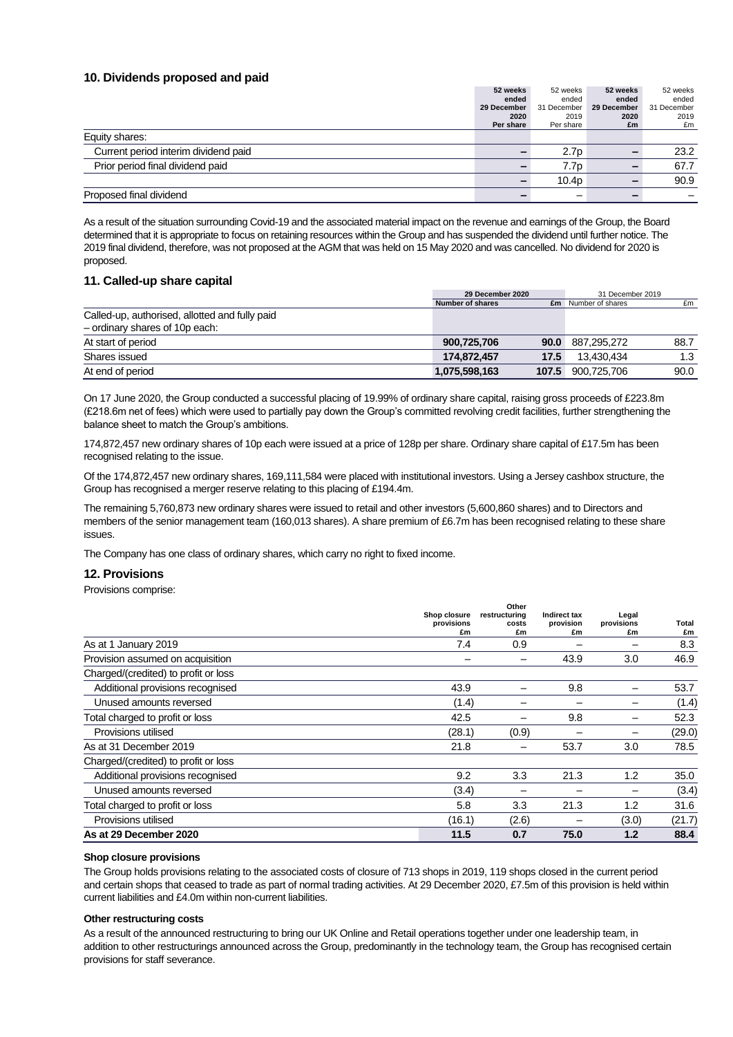### **10. Dividends proposed and paid**

|                                      | 52 weeks    | 52 weeks          | 52 weeks    | 52 weeks    |
|--------------------------------------|-------------|-------------------|-------------|-------------|
|                                      | ended       | ended             | ended       | ended       |
|                                      | 29 December | 31 December       | 29 December | 31 December |
|                                      | 2020        | 2019              | 2020        | 2019        |
|                                      | Per share   | Per share         | £m          | £m          |
| Equity shares:                       |             |                   |             |             |
| Current period interim dividend paid | -           | 2.7p              |             | 23.2        |
| Prior period final dividend paid     |             | 7.7p              |             | 67.7        |
|                                      |             | 10.4 <sub>p</sub> |             | 90.9        |
| Proposed final dividend              |             |                   |             |             |

As a result of the situation surrounding Covid-19 and the associated material impact on the revenue and earnings of the Group, the Board determined that it is appropriate to focus on retaining resources within the Group and has suspended the dividend until further notice. The 2019 final dividend, therefore, was not proposed at the AGM that was held on 15 May 2020 and was cancelled. No dividend for 2020 is proposed.

### **11. Called-up share capital**

|                                                | 29 December 2020 |       | 31 December 2019           |      |
|------------------------------------------------|------------------|-------|----------------------------|------|
|                                                | Number of shares |       | <b>£m</b> Number of shares | £m   |
| Called-up, authorised, allotted and fully paid |                  |       |                            |      |
| $-$ ordinary shares of 10p each:               |                  |       |                            |      |
| At start of period                             | 900,725,706      | 90.0  | 887,295,272                | 88.7 |
| Shares issued                                  | 174.872.457      | 17.5  | 13.430.434                 | 1.3  |
| At end of period                               | 1,075,598,163    | 107.5 | 900.725.706                | 90.0 |

On 17 June 2020, the Group conducted a successful placing of 19.99% of ordinary share capital, raising gross proceeds of £223.8m (£218.6m net of fees) which were used to partially pay down the Group's committed revolving credit facilities, further strengthening the balance sheet to match the Group's ambitions.

174,872,457 new ordinary shares of 10p each were issued at a price of 128p per share. Ordinary share capital of £17.5m has been recognised relating to the issue.

Of the 174,872,457 new ordinary shares, 169,111,584 were placed with institutional investors. Using a Jersey cashbox structure, the Group has recognised a merger reserve relating to this placing of £194.4m.

The remaining 5,760,873 new ordinary shares were issued to retail and other investors (5,600,860 shares) and to Directors and members of the senior management team (160,013 shares). A share premium of £6.7m has been recognised relating to these share issues.

The Company has one class of ordinary shares, which carry no right to fixed income.

### **12. Provisions**

Provisions comprise:

|                                      |                  | Other         |                 |                  |             |
|--------------------------------------|------------------|---------------|-----------------|------------------|-------------|
|                                      | Shop closure     | restructuring | Indirect tax    | Legal            |             |
|                                      | provisions<br>£m | costs<br>£m   | provision<br>£m | provisions<br>£m | Total<br>£m |
|                                      |                  |               |                 |                  |             |
| As at 1 January 2019                 | 7.4              | 0.9           |                 |                  | 8.3         |
| Provision assumed on acquisition     |                  |               | 43.9            | 3.0              | 46.9        |
| Charged/(credited) to profit or loss |                  |               |                 |                  |             |
| Additional provisions recognised     | 43.9             |               | 9.8             |                  | 53.7        |
| Unused amounts reversed              | (1.4)            |               |                 |                  | (1.4)       |
| Total charged to profit or loss      | 42.5             |               | 9.8             |                  | 52.3        |
| Provisions utilised                  | (28.1)           | (0.9)         |                 |                  | (29.0)      |
| As at 31 December 2019               | 21.8             |               | 53.7            | 3.0              | 78.5        |
| Charged/(credited) to profit or loss |                  |               |                 |                  |             |
| Additional provisions recognised     | 9.2              | 3.3           | 21.3            | 1.2              | 35.0        |
| Unused amounts reversed              | (3.4)            |               |                 |                  | (3.4)       |
| Total charged to profit or loss      | 5.8              | 3.3           | 21.3            | 1.2              | 31.6        |
| Provisions utilised                  | (16.1)           | (2.6)         |                 | (3.0)            | (21.7)      |
| As at 29 December 2020               | 11.5             | 0.7           | 75.0            | 1.2              | 88.4        |

### **Shop closure provisions**

The Group holds provisions relating to the associated costs of closure of 713 shops in 2019, 119 shops closed in the current period and certain shops that ceased to trade as part of normal trading activities. At 29 December 2020, £7.5m of this provision is held within current liabilities and £4.0m within non-current liabilities.

#### **Other restructuring costs**

As a result of the announced restructuring to bring our UK Online and Retail operations together under one leadership team, in addition to other restructurings announced across the Group, predominantly in the technology team, the Group has recognised certain provisions for staff severance.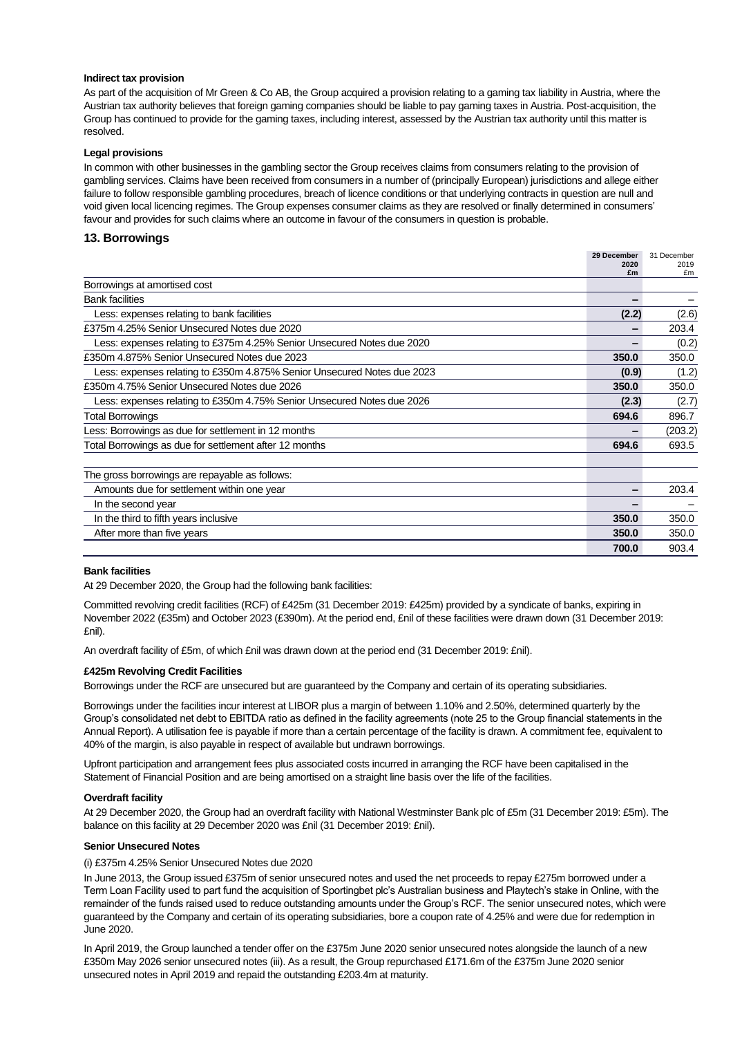#### **Indirect tax provision**

As part of the acquisition of Mr Green & Co AB, the Group acquired a provision relating to a gaming tax liability in Austria, where the Austrian tax authority believes that foreign gaming companies should be liable to pay gaming taxes in Austria. Post-acquisition, the Group has continued to provide for the gaming taxes, including interest, assessed by the Austrian tax authority until this matter is resolved.

### **Legal provisions**

In common with other businesses in the gambling sector the Group receives claims from consumers relating to the provision of gambling services. Claims have been received from consumers in a number of (principally European) jurisdictions and allege either failure to follow responsible gambling procedures, breach of licence conditions or that underlying contracts in question are null and void given local licencing regimes. The Group expenses consumer claims as they are resolved or finally determined in consumers' favour and provides for such claims where an outcome in favour of the consumers in question is probable.

### **13. Borrowings**

|                                                                         | 29 December<br>2020 | 31 December<br>2019 |
|-------------------------------------------------------------------------|---------------------|---------------------|
|                                                                         | £m                  | £m                  |
| Borrowings at amortised cost                                            |                     |                     |
| <b>Bank facilities</b>                                                  |                     |                     |
| Less: expenses relating to bank facilities                              | (2.2)               | (2.6)               |
| £375m 4.25% Senior Unsecured Notes due 2020                             |                     | 203.4               |
| Less: expenses relating to £375m 4.25% Senior Unsecured Notes due 2020  |                     | (0.2)               |
| £350m 4.875% Senior Unsecured Notes due 2023                            | 350.0               | 350.0               |
| Less: expenses relating to £350m 4.875% Senior Unsecured Notes due 2023 | (0.9)               | (1.2)               |
| £350m 4.75% Senior Unsecured Notes due 2026                             | 350.0               | 350.0               |
| Less: expenses relating to £350m 4.75% Senior Unsecured Notes due 2026  | (2.3)               | (2.7)               |
| Total Borrowings                                                        | 694.6               | 896.7               |
| Less: Borrowings as due for settlement in 12 months                     |                     | (203.2)             |
| Total Borrowings as due for settlement after 12 months                  | 694.6               | 693.5               |
|                                                                         |                     |                     |
| The gross borrowings are repayable as follows:                          |                     |                     |
| Amounts due for settlement within one year                              |                     | 203.4               |
| In the second year                                                      |                     |                     |
| In the third to fifth years inclusive                                   | 350.0               | 350.0               |
| After more than five years                                              | 350.0               | 350.0               |
|                                                                         | 700.0               | 903.4               |

### **Bank facilities**

At 29 December 2020, the Group had the following bank facilities:

Committed revolving credit facilities (RCF) of £425m (31 December 2019: £425m) provided by a syndicate of banks, expiring in November 2022 (£35m) and October 2023 (£390m). At the period end, £nil of these facilities were drawn down (31 December 2019: £nil).

An overdraft facility of £5m, of which £nil was drawn down at the period end (31 December 2019: £nil).

### **£425m Revolving Credit Facilities**

Borrowings under the RCF are unsecured but are guaranteed by the Company and certain of its operating subsidiaries.

Borrowings under the facilities incur interest at LIBOR plus a margin of between 1.10% and 2.50%, determined quarterly by the Group's consolidated net debt to EBITDA ratio as defined in the facility agreements (note 25 to the Group financial statements in the Annual Report). A utilisation fee is payable if more than a certain percentage of the facility is drawn. A commitment fee, equivalent to 40% of the margin, is also payable in respect of available but undrawn borrowings.

Upfront participation and arrangement fees plus associated costs incurred in arranging the RCF have been capitalised in the Statement of Financial Position and are being amortised on a straight line basis over the life of the facilities.

#### **Overdraft facility**

At 29 December 2020, the Group had an overdraft facility with National Westminster Bank plc of £5m (31 December 2019: £5m). The balance on this facility at 29 December 2020 was £nil (31 December 2019: £nil).

#### **Senior Unsecured Notes**

### (i) £375m 4.25% Senior Unsecured Notes due 2020

In June 2013, the Group issued £375m of senior unsecured notes and used the net proceeds to repay £275m borrowed under a Term Loan Facility used to part fund the acquisition of Sportingbet plc's Australian business and Playtech's stake in Online, with the remainder of the funds raised used to reduce outstanding amounts under the Group's RCF. The senior unsecured notes, which were guaranteed by the Company and certain of its operating subsidiaries, bore a coupon rate of 4.25% and were due for redemption in June 2020.

In April 2019, the Group launched a tender offer on the £375m June 2020 senior unsecured notes alongside the launch of a new £350m May 2026 senior unsecured notes (iii). As a result, the Group repurchased £171.6m of the £375m June 2020 senior unsecured notes in April 2019 and repaid the outstanding £203.4m at maturity.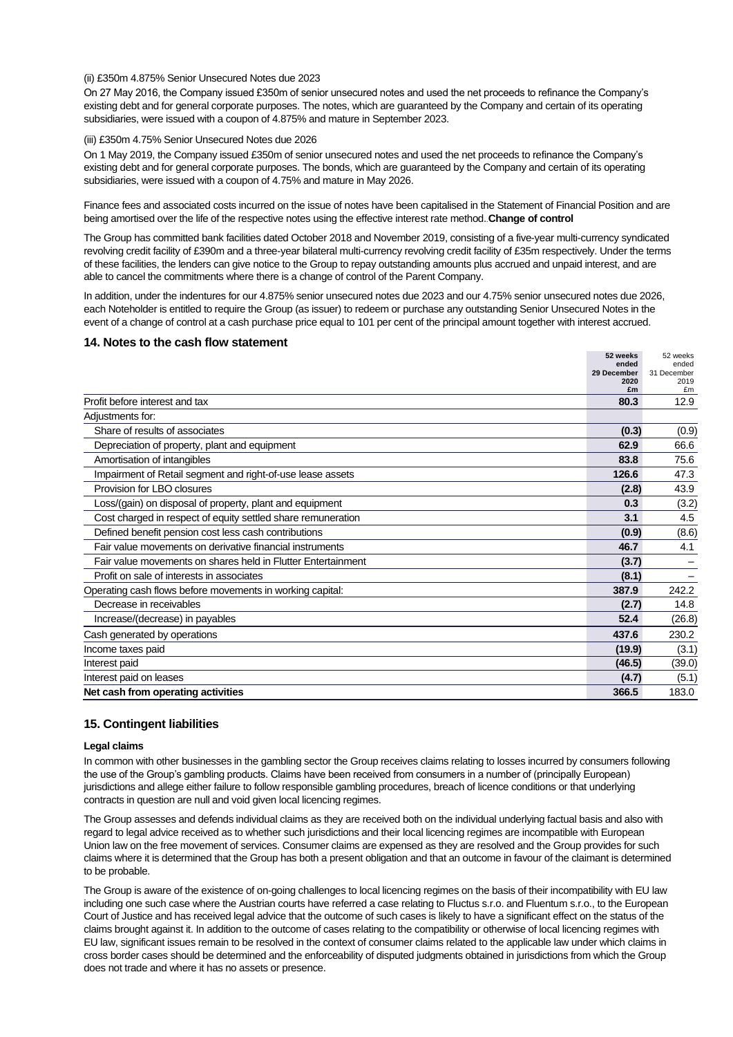### (ii) £350m 4.875% Senior Unsecured Notes due 2023

On 27 May 2016, the Company issued £350m of senior unsecured notes and used the net proceeds to refinance the Company's existing debt and for general corporate purposes. The notes, which are guaranteed by the Company and certain of its operating subsidiaries, were issued with a coupon of 4.875% and mature in September 2023.

#### (iii) £350m 4.75% Senior Unsecured Notes due 2026

On 1 May 2019, the Company issued £350m of senior unsecured notes and used the net proceeds to refinance the Company's existing debt and for general corporate purposes. The bonds, which are guaranteed by the Company and certain of its operating subsidiaries, were issued with a coupon of 4.75% and mature in May 2026.

Finance fees and associated costs incurred on the issue of notes have been capitalised in the Statement of Financial Position and are being amortised over the life of the respective notes using the effective interest rate method..**Change of control**

The Group has committed bank facilities dated October 2018 and November 2019, consisting of a five-year multi-currency syndicated revolving credit facility of £390m and a three-year bilateral multi-currency revolving credit facility of £35m respectively. Under the terms of these facilities, the lenders can give notice to the Group to repay outstanding amounts plus accrued and unpaid interest, and are able to cancel the commitments where there is a change of control of the Parent Company.

In addition, under the indentures for our 4.875% senior unsecured notes due 2023 and our 4.75% senior unsecured notes due 2026, each Noteholder is entitled to require the Group (as issuer) to redeem or purchase any outstanding Senior Unsecured Notes in the event of a change of control at a cash purchase price equal to 101 per cent of the principal amount together with interest accrued.

### **14. Notes to the cash flow statement**

|                                                              | 52 weeks<br>ended<br>29 December | 52 weeks<br>ended<br>31 December |
|--------------------------------------------------------------|----------------------------------|----------------------------------|
|                                                              | 2020<br>£m                       | 2019<br>£m                       |
| Profit before interest and tax                               | 80.3                             | 12.9                             |
| Adjustments for:                                             |                                  |                                  |
| Share of results of associates                               | (0.3)                            | (0.9)                            |
| Depreciation of property, plant and equipment                | 62.9                             | 66.6                             |
| Amortisation of intangibles                                  | 83.8                             | 75.6                             |
| Impairment of Retail segment and right-of-use lease assets   | 126.6                            | 47.3                             |
| Provision for LBO closures                                   | (2.8)                            | 43.9                             |
| Loss/(gain) on disposal of property, plant and equipment     | 0.3                              | (3.2)                            |
| Cost charged in respect of equity settled share remuneration | 3.1                              | 4.5                              |
| Defined benefit pension cost less cash contributions         | (0.9)                            | (8.6)                            |
| Fair value movements on derivative financial instruments     | 46.7                             | 4.1                              |
| Fair value movements on shares held in Flutter Entertainment | (3.7)                            |                                  |
| Profit on sale of interests in associates                    | (8.1)                            |                                  |
| Operating cash flows before movements in working capital:    | 387.9                            | 242.2                            |
| Decrease in receivables                                      | (2.7)                            | 14.8                             |
| Increase/(decrease) in payables                              | 52.4                             | (26.8)                           |
| Cash generated by operations                                 | 437.6                            | 230.2                            |
| Income taxes paid                                            | (19.9)                           | (3.1)                            |
| Interest paid                                                | (46.5)                           | (39.0)                           |
| Interest paid on leases                                      | (4.7)                            | (5.1)                            |
| Net cash from operating activities                           | 366.5                            | 183.0                            |

### **15. Contingent liabilities**

### **Legal claims**

In common with other businesses in the gambling sector the Group receives claims relating to losses incurred by consumers following the use of the Group's gambling products. Claims have been received from consumers in a number of (principally European) jurisdictions and allege either failure to follow responsible gambling procedures, breach of licence conditions or that underlying contracts in question are null and void given local licencing regimes.

The Group assesses and defends individual claims as they are received both on the individual underlying factual basis and also with regard to legal advice received as to whether such jurisdictions and their local licencing regimes are incompatible with European Union law on the free movement of services. Consumer claims are expensed as they are resolved and the Group provides for such claims where it is determined that the Group has both a present obligation and that an outcome in favour of the claimant is determined to be probable.

The Group is aware of the existence of on-going challenges to local licencing regimes on the basis of their incompatibility with EU law including one such case where the Austrian courts have referred a case relating to Fluctus s.r.o. and Fluentum s.r.o., to the European Court of Justice and has received legal advice that the outcome of such cases is likely to have a significant effect on the status of the claims brought against it. In addition to the outcome of cases relating to the compatibility or otherwise of local licencing regimes with EU law, significant issues remain to be resolved in the context of consumer claims related to the applicable law under which claims in cross border cases should be determined and the enforceability of disputed judgments obtained in jurisdictions from which the Group does not trade and where it has no assets or presence.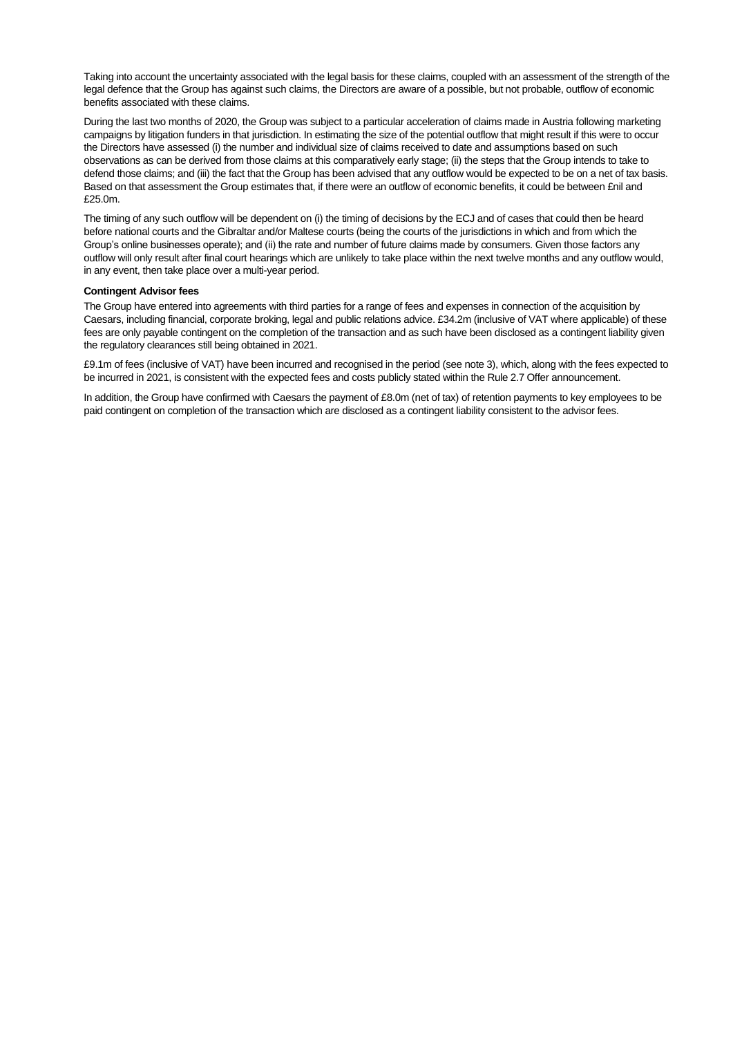Taking into account the uncertainty associated with the legal basis for these claims, coupled with an assessment of the strength of the legal defence that the Group has against such claims, the Directors are aware of a possible, but not probable, outflow of economic benefits associated with these claims.

During the last two months of 2020, the Group was subject to a particular acceleration of claims made in Austria following marketing campaigns by litigation funders in that jurisdiction. In estimating the size of the potential outflow that might result if this were to occur the Directors have assessed (i) the number and individual size of claims received to date and assumptions based on such observations as can be derived from those claims at this comparatively early stage; (ii) the steps that the Group intends to take to defend those claims; and (iii) the fact that the Group has been advised that any outflow would be expected to be on a net of tax basis. Based on that assessment the Group estimates that, if there were an outflow of economic benefits, it could be between £nil and £25.0m.

The timing of any such outflow will be dependent on (i) the timing of decisions by the ECJ and of cases that could then be heard before national courts and the Gibraltar and/or Maltese courts (being the courts of the jurisdictions in which and from which the Group's online businesses operate); and (ii) the rate and number of future claims made by consumers. Given those factors any outflow will only result after final court hearings which are unlikely to take place within the next twelve months and any outflow would, in any event, then take place over a multi-year period.

### **Contingent Advisor fees**

The Group have entered into agreements with third parties for a range of fees and expenses in connection of the acquisition by Caesars, including financial, corporate broking, legal and public relations advice. £34.2m (inclusive of VAT where applicable) of these fees are only payable contingent on the completion of the transaction and as such have been disclosed as a contingent liability given the regulatory clearances still being obtained in 2021.

£9.1m of fees (inclusive of VAT) have been incurred and recognised in the period (see note 3), which, along with the fees expected to be incurred in 2021, is consistent with the expected fees and costs publicly stated within the Rule 2.7 Offer announcement.

In addition, the Group have confirmed with Caesars the payment of £8.0m (net of tax) of retention payments to key employees to be paid contingent on completion of the transaction which are disclosed as a contingent liability consistent to the advisor fees.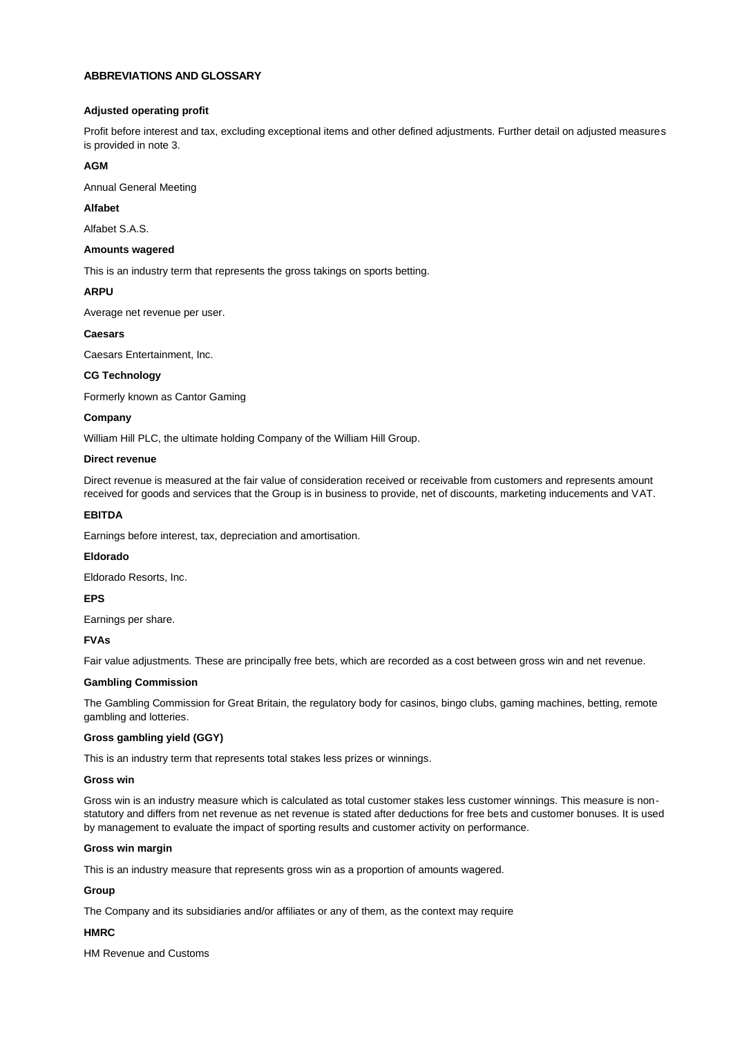### **ABBREVIATIONS AND GLOSSARY**

### **Adjusted operating profit**

Profit before interest and tax, excluding exceptional items and other defined adjustments. Further detail on adjusted measures is provided in note 3.

### **AGM**

Annual General Meeting

# **Alfabet**

Alfabet S.A.S.

#### **Amounts wagered**

This is an industry term that represents the gross takings on sports betting.

### **ARPU**

Average net revenue per user.

### **Caesars**

Caesars Entertainment, Inc.

### **CG Technology**

Formerly known as Cantor Gaming

### **Company**

William Hill PLC, the ultimate holding Company of the William Hill Group.

### **Direct revenue**

Direct revenue is measured at the fair value of consideration received or receivable from customers and represents amount received for goods and services that the Group is in business to provide, net of discounts, marketing inducements and VAT.

### **EBITDA**

Earnings before interest, tax, depreciation and amortisation.

### **Eldorado**

Eldorado Resorts, Inc.

### **EPS**

Earnings per share.

### **FVAs**

Fair value adjustments. These are principally free bets, which are recorded as a cost between gross win and net revenue.

### **Gambling Commission**

The Gambling Commission for Great Britain, the regulatory body for casinos, bingo clubs, gaming machines, betting, remote gambling and lotteries.

### **Gross gambling yield (GGY)**

This is an industry term that represents total stakes less prizes or winnings.

#### **Gross win**

Gross win is an industry measure which is calculated as total customer stakes less customer winnings. This measure is nonstatutory and differs from net revenue as net revenue is stated after deductions for free bets and customer bonuses. It is used by management to evaluate the impact of sporting results and customer activity on performance.

#### **Gross win margin**

This is an industry measure that represents gross win as a proportion of amounts wagered.

#### **Group**

The Company and its subsidiaries and/or affiliates or any of them, as the context may require

### **HMRC**

HM Revenue and Customs